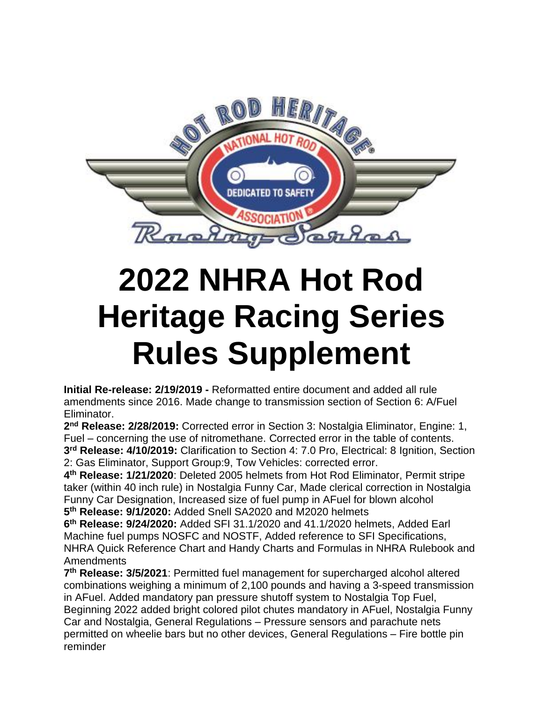

<span id="page-0-0"></span>**Initial Re-release: 2/19/2019 -** Reformatted entire document and added all rule amendments since 2016. Made change to transmission section of Section 6: A/Fuel Eliminator.

**2 nd Release: 2/28/2019:** Corrected error in Section 3: Nostalgia Eliminator, Engine: 1, Fuel – concerning the use of nitromethane. Corrected error in the table of contents. **3 rd Release: 4/10/2019:** Clarification to Section 4: 7.0 Pro, Electrical: 8 Ignition, Section 2: Gas Eliminator, Support Group:9, Tow Vehicles: corrected error.

**4 th Release: 1/21/2020**: Deleted 2005 helmets from Hot Rod Eliminator, Permit stripe taker (within 40 inch rule) in Nostalgia Funny Car, Made clerical correction in Nostalgia Funny Car Designation, Increased size of fuel pump in AFuel for blown alcohol **5 th Release: 9/1/2020:** Added Snell SA2020 and M2020 helmets

**6 th Release: 9/24/2020:** Added SFI 31.1/2020 and 41.1/2020 helmets, Added Earl Machine fuel pumps NOSFC and NOSTF, Added reference to SFI Specifications, NHRA Quick Reference Chart and Handy Charts and Formulas in NHRA Rulebook and Amendments

**7 th Release: 3/5/2021**: Permitted fuel management for supercharged alcohol altered combinations weighing a minimum of 2,100 pounds and having a 3-speed transmission in AFuel. Added mandatory pan pressure shutoff system to Nostalgia Top Fuel, Beginning 2022 added bright colored pilot chutes mandatory in AFuel, Nostalgia Funny Car and Nostalgia, General Regulations – Pressure sensors and parachute nets permitted on wheelie bars but no other devices, General Regulations – Fire bottle pin reminder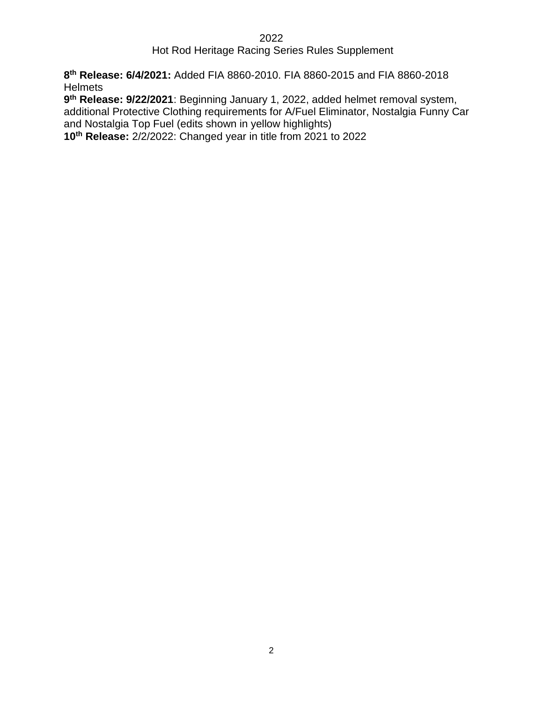### Hot Rod Heritage Racing Series Rules Supplement

**8 th Release: 6/4/2021:** Added FIA 8860-2010. FIA 8860-2015 and FIA 8860-2018 **Helmets** 

**9 th Release: 9/22/2021**: Beginning January 1, 2022, added helmet removal system, additional Protective Clothing requirements for A/Fuel Eliminator, Nostalgia Funny Car and Nostalgia Top Fuel (edits shown in yellow highlights)

**10th Release:** 2/2/2022: Changed year in title from 2021 to 2022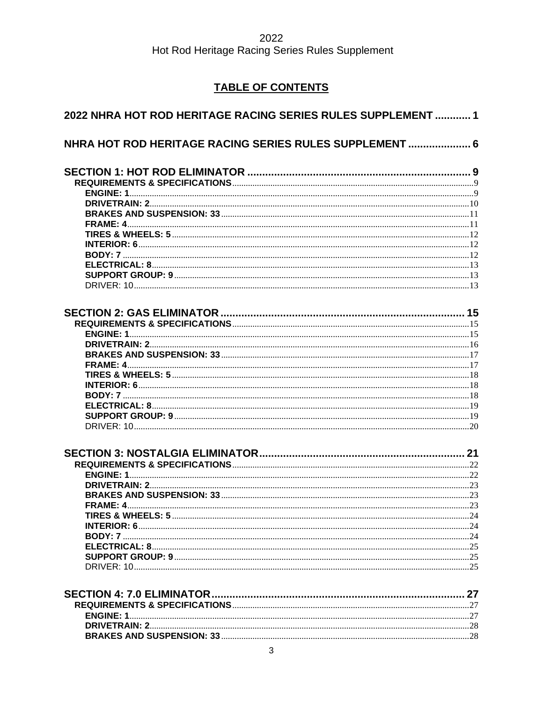### **TABLE OF CONTENTS**

| 2022 NHRA HOT ROD HERITAGE RACING SERIES RULES SUPPLEMENT  1 |  |
|--------------------------------------------------------------|--|
| NHRA HOT ROD HERITAGE RACING SERIES RULES SUPPLEMENT  6      |  |
|                                                              |  |
|                                                              |  |
|                                                              |  |
|                                                              |  |
|                                                              |  |
|                                                              |  |
|                                                              |  |
|                                                              |  |
|                                                              |  |
|                                                              |  |
|                                                              |  |
|                                                              |  |
|                                                              |  |
|                                                              |  |
|                                                              |  |
|                                                              |  |
|                                                              |  |
|                                                              |  |
|                                                              |  |
|                                                              |  |
|                                                              |  |
|                                                              |  |
|                                                              |  |
|                                                              |  |
|                                                              |  |
|                                                              |  |
|                                                              |  |
|                                                              |  |
|                                                              |  |
| FRAME A                                                      |  |
|                                                              |  |
|                                                              |  |
|                                                              |  |
|                                                              |  |
|                                                              |  |
|                                                              |  |
|                                                              |  |
|                                                              |  |
|                                                              |  |
|                                                              |  |
|                                                              |  |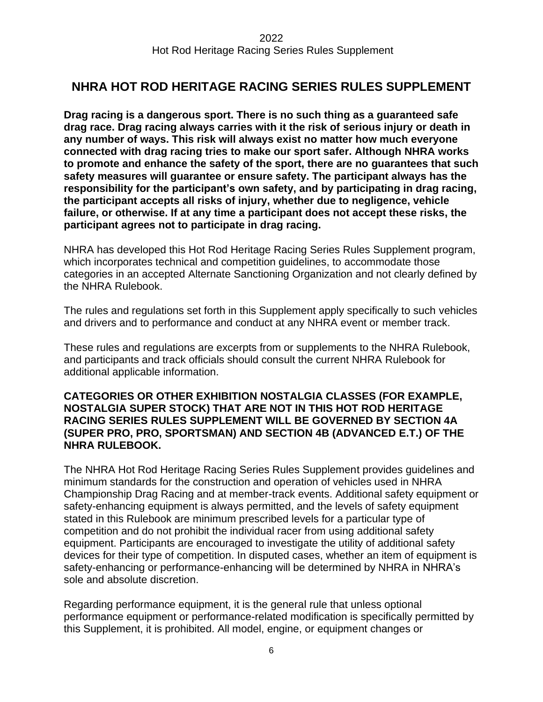### <span id="page-5-0"></span>**NHRA HOT ROD HERITAGE RACING SERIES RULES SUPPLEMENT**

**Drag racing is a dangerous sport. There is no such thing as a guaranteed safe drag race. Drag racing always carries with it the risk of serious injury or death in any number of ways. This risk will always exist no matter how much everyone connected with drag racing tries to make our sport safer. Although NHRA works to promote and enhance the safety of the sport, there are no guarantees that such safety measures will guarantee or ensure safety. The participant always has the responsibility for the participant's own safety, and by participating in drag racing, the participant accepts all risks of injury, whether due to negligence, vehicle failure, or otherwise. If at any time a participant does not accept these risks, the participant agrees not to participate in drag racing.**

NHRA has developed this Hot Rod Heritage Racing Series Rules Supplement program, which incorporates technical and competition guidelines, to accommodate those categories in an accepted Alternate Sanctioning Organization and not clearly defined by the NHRA Rulebook.

The rules and regulations set forth in this Supplement apply specifically to such vehicles and drivers and to performance and conduct at any NHRA event or member track.

These rules and regulations are excerpts from or supplements to the NHRA Rulebook, and participants and track officials should consult the current NHRA Rulebook for additional applicable information.

#### **CATEGORIES OR OTHER EXHIBITION NOSTALGIA CLASSES (FOR EXAMPLE, NOSTALGIA SUPER STOCK) THAT ARE NOT IN THIS HOT ROD HERITAGE RACING SERIES RULES SUPPLEMENT WILL BE GOVERNED BY SECTION 4A (SUPER PRO, PRO, SPORTSMAN) AND SECTION 4B (ADVANCED E.T.) OF THE NHRA RULEBOOK.**

The NHRA Hot Rod Heritage Racing Series Rules Supplement provides guidelines and minimum standards for the construction and operation of vehicles used in NHRA Championship Drag Racing and at member-track events. Additional safety equipment or safety-enhancing equipment is always permitted, and the levels of safety equipment stated in this Rulebook are minimum prescribed levels for a particular type of competition and do not prohibit the individual racer from using additional safety equipment. Participants are encouraged to investigate the utility of additional safety devices for their type of competition. In disputed cases, whether an item of equipment is safety-enhancing or performance-enhancing will be determined by NHRA in NHRA's sole and absolute discretion.

Regarding performance equipment, it is the general rule that unless optional performance equipment or performance-related modification is specifically permitted by this Supplement, it is prohibited. All model, engine, or equipment changes or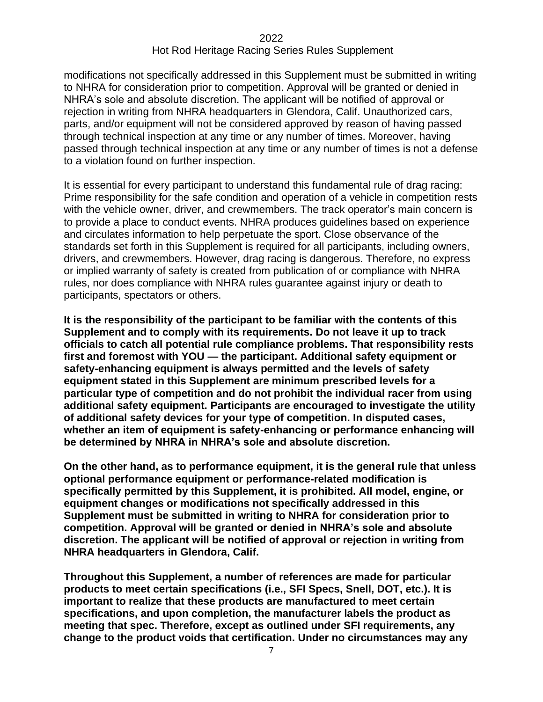modifications not specifically addressed in this Supplement must be submitted in writing to NHRA for consideration prior to competition. Approval will be granted or denied in NHRA's sole and absolute discretion. The applicant will be notified of approval or rejection in writing from NHRA headquarters in Glendora, Calif. Unauthorized cars, parts, and/or equipment will not be considered approved by reason of having passed through technical inspection at any time or any number of times. Moreover, having passed through technical inspection at any time or any number of times is not a defense to a violation found on further inspection.

It is essential for every participant to understand this fundamental rule of drag racing: Prime responsibility for the safe condition and operation of a vehicle in competition rests with the vehicle owner, driver, and crewmembers. The track operator's main concern is to provide a place to conduct events. NHRA produces guidelines based on experience and circulates information to help perpetuate the sport. Close observance of the standards set forth in this Supplement is required for all participants, including owners, drivers, and crewmembers. However, drag racing is dangerous. Therefore, no express or implied warranty of safety is created from publication of or compliance with NHRA rules, nor does compliance with NHRA rules guarantee against injury or death to participants, spectators or others.

**It is the responsibility of the participant to be familiar with the contents of this Supplement and to comply with its requirements. Do not leave it up to track officials to catch all potential rule compliance problems. That responsibility rests first and foremost with YOU — the participant. Additional safety equipment or safety-enhancing equipment is always permitted and the levels of safety equipment stated in this Supplement are minimum prescribed levels for a particular type of competition and do not prohibit the individual racer from using additional safety equipment. Participants are encouraged to investigate the utility of additional safety devices for your type of competition. In disputed cases, whether an item of equipment is safety-enhancing or performance enhancing will be determined by NHRA in NHRA's sole and absolute discretion.**

**On the other hand, as to performance equipment, it is the general rule that unless optional performance equipment or performance-related modification is specifically permitted by this Supplement, it is prohibited. All model, engine, or equipment changes or modifications not specifically addressed in this Supplement must be submitted in writing to NHRA for consideration prior to competition. Approval will be granted or denied in NHRA's sole and absolute discretion. The applicant will be notified of approval or rejection in writing from NHRA headquarters in Glendora, Calif.**

**Throughout this Supplement, a number of references are made for particular products to meet certain specifications (i.e., SFI Specs, Snell, DOT, etc.). It is important to realize that these products are manufactured to meet certain specifications, and upon completion, the manufacturer labels the product as meeting that spec. Therefore, except as outlined under SFI requirements, any change to the product voids that certification. Under no circumstances may any**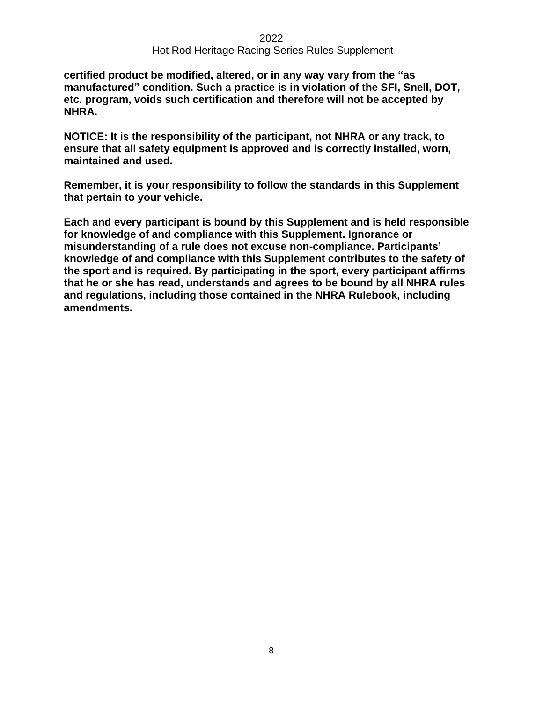**certified product be modified, altered, or in any way vary from the "as manufactured" condition. Such a practice is in violation of the SFI, Snell, DOT, etc. program, voids such certification and therefore will not be accepted by NHRA.**

**NOTICE: It is the responsibility of the participant, not NHRA or any track, to ensure that all safety equipment is approved and is correctly installed, worn, maintained and used.**

**Remember, it is your responsibility to follow the standards in this Supplement that pertain to your vehicle.**

**Each and every participant is bound by this Supplement and is held responsible for knowledge of and compliance with this Supplement. Ignorance or misunderstanding of a rule does not excuse non-compliance. Participants' knowledge of and compliance with this Supplement contributes to the safety of the sport and is required. By participating in the sport, every participant affirms that he or she has read, understands and agrees to be bound by all NHRA rules and regulations, including those contained in the NHRA Rulebook, including amendments.**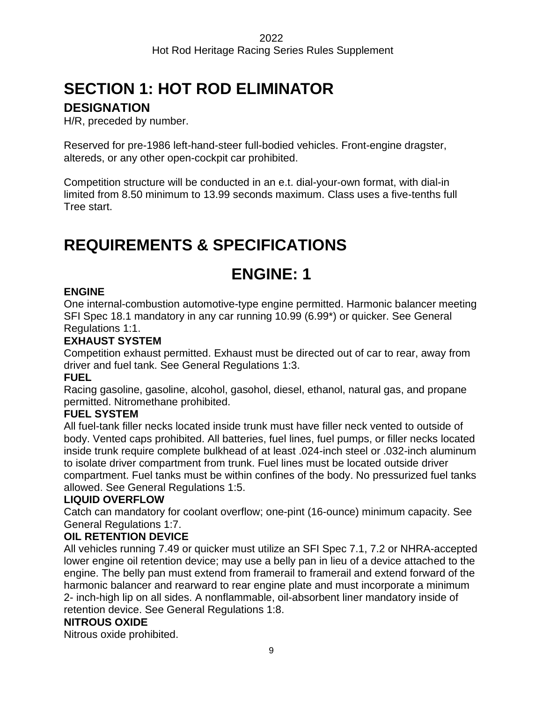# <span id="page-8-0"></span>**SECTION 1: HOT ROD ELIMINATOR**

### **DESIGNATION**

H/R, preceded by number.

Reserved for pre-1986 left-hand-steer full-bodied vehicles. Front-engine dragster, altereds, or any other open-cockpit car prohibited.

Competition structure will be conducted in an e.t. dial-your-own format, with dial-in limited from 8.50 minimum to 13.99 seconds maximum. Class uses a five-tenths full Tree start.

# <span id="page-8-2"></span><span id="page-8-1"></span>**REQUIREMENTS & SPECIFICATIONS**

# **ENGINE: 1**

### **ENGINE**

One internal-combustion automotive-type engine permitted. Harmonic balancer meeting SFI Spec 18.1 mandatory in any car running 10.99 (6.99\*) or quicker. See General Regulations 1:1.

### **EXHAUST SYSTEM**

Competition exhaust permitted. Exhaust must be directed out of car to rear, away from driver and fuel tank. See General Regulations 1:3.

### **FUEL**

Racing gasoline, gasoline, alcohol, gasohol, diesel, ethanol, natural gas, and propane permitted. Nitromethane prohibited.

### **FUEL SYSTEM**

All fuel-tank filler necks located inside trunk must have filler neck vented to outside of body. Vented caps prohibited. All batteries, fuel lines, fuel pumps, or filler necks located inside trunk require complete bulkhead of at least .024-inch steel or .032-inch aluminum to isolate driver compartment from trunk. Fuel lines must be located outside driver compartment. Fuel tanks must be within confines of the body. No pressurized fuel tanks allowed. See General Regulations 1:5.

### **LIQUID OVERFLOW**

Catch can mandatory for coolant overflow; one-pint (16-ounce) minimum capacity. See General Regulations 1:7.

### **OIL RETENTION DEVICE**

All vehicles running 7.49 or quicker must utilize an SFI Spec 7.1, 7.2 or NHRA-accepted lower engine oil retention device; may use a belly pan in lieu of a device attached to the engine. The belly pan must extend from framerail to framerail and extend forward of the harmonic balancer and rearward to rear engine plate and must incorporate a minimum 2- inch-high lip on all sides. A nonflammable, oil-absorbent liner mandatory inside of retention device. See General Regulations 1:8.

### **NITROUS OXIDE**

Nitrous oxide prohibited.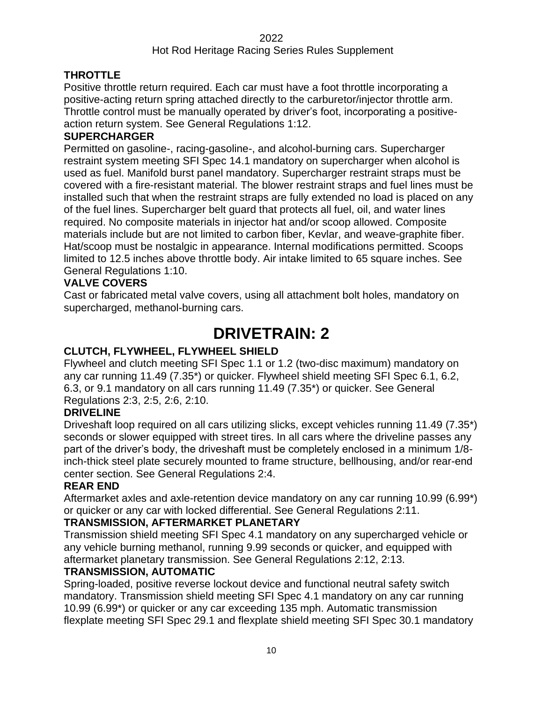### Hot Rod Heritage Racing Series Rules Supplement

### **THROTTLE**

Positive throttle return required. Each car must have a foot throttle incorporating a positive-acting return spring attached directly to the carburetor/injector throttle arm. Throttle control must be manually operated by driver's foot, incorporating a positiveaction return system. See General Regulations 1:12.

### **SUPERCHARGER**

Permitted on gasoline-, racing-gasoline-, and alcohol-burning cars. Supercharger restraint system meeting SFI Spec 14.1 mandatory on supercharger when alcohol is used as fuel. Manifold burst panel mandatory. Supercharger restraint straps must be covered with a fire-resistant material. The blower restraint straps and fuel lines must be installed such that when the restraint straps are fully extended no load is placed on any of the fuel lines. Supercharger belt guard that protects all fuel, oil, and water lines required. No composite materials in injector hat and/or scoop allowed. Composite materials include but are not limited to carbon fiber, Kevlar, and weave-graphite fiber. Hat/scoop must be nostalgic in appearance. Internal modifications permitted. Scoops limited to 12.5 inches above throttle body. Air intake limited to 65 square inches. See General Regulations 1:10.

### **VALVE COVERS**

<span id="page-9-0"></span>Cast or fabricated metal valve covers, using all attachment bolt holes, mandatory on supercharged, methanol-burning cars.

# **DRIVETRAIN: 2**

### **CLUTCH, FLYWHEEL, FLYWHEEL SHIELD**

Flywheel and clutch meeting SFI Spec 1.1 or 1.2 (two-disc maximum) mandatory on any car running 11.49 (7.35\*) or quicker. Flywheel shield meeting SFI Spec 6.1, 6.2, 6.3, or 9.1 mandatory on all cars running 11.49 (7.35\*) or quicker. See General Regulations 2:3, 2:5, 2:6, 2:10.

### **DRIVELINE**

Driveshaft loop required on all cars utilizing slicks, except vehicles running 11.49 (7.35\*) seconds or slower equipped with street tires. In all cars where the driveline passes any part of the driver's body, the driveshaft must be completely enclosed in a minimum 1/8 inch-thick steel plate securely mounted to frame structure, bellhousing, and/or rear-end center section. See General Regulations 2:4.

### **REAR END**

Aftermarket axles and axle-retention device mandatory on any car running 10.99 (6.99\*) or quicker or any car with locked differential. See General Regulations 2:11.

### **TRANSMISSION, AFTERMARKET PLANETARY**

Transmission shield meeting SFI Spec 4.1 mandatory on any supercharged vehicle or any vehicle burning methanol, running 9.99 seconds or quicker, and equipped with aftermarket planetary transmission. See General Regulations 2:12, 2:13.

### **TRANSMISSION, AUTOMATIC**

Spring-loaded, positive reverse lockout device and functional neutral safety switch mandatory. Transmission shield meeting SFI Spec 4.1 mandatory on any car running 10.99 (6.99\*) or quicker or any car exceeding 135 mph. Automatic transmission flexplate meeting SFI Spec 29.1 and flexplate shield meeting SFI Spec 30.1 mandatory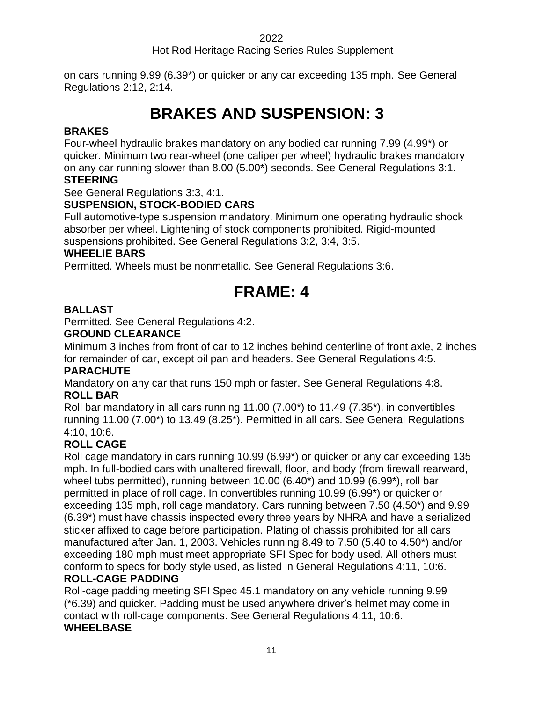Hot Rod Heritage Racing Series Rules Supplement

<span id="page-10-0"></span>on cars running 9.99 (6.39\*) or quicker or any car exceeding 135 mph. See General Regulations 2:12, 2:14.

# **BRAKES AND SUSPENSION: 33**

### **BRAKES**

Four-wheel hydraulic brakes mandatory on any bodied car running 7.99 (4.99\*) or quicker. Minimum two rear-wheel (one caliper per wheel) hydraulic brakes mandatory on any car running slower than 8.00 (5.00\*) seconds. See General Regulations 3:1.

### **STEERING**

See General Regulations 3:3, 4:1.

### **SUSPENSION, STOCK-BODIED CARS**

Full automotive-type suspension mandatory. Minimum one operating hydraulic shock absorber per wheel. Lightening of stock components prohibited. Rigid-mounted suspensions prohibited. See General Regulations 3:2, 3:4, 3:5.

### **WHEELIE BARS**

<span id="page-10-1"></span>Permitted. Wheels must be nonmetallic. See General Regulations 3:6.

### **FRAME: 4**

### **BALLAST**

Permitted. See General Regulations 4:2.

### **GROUND CLEARANCE**

Minimum 3 inches from front of car to 12 inches behind centerline of front axle, 2 inches for remainder of car, except oil pan and headers. See General Regulations 4:5.

### **PARACHUTE**

Mandatory on any car that runs 150 mph or faster. See General Regulations 4:8. **ROLL BAR**

Roll bar mandatory in all cars running 11.00 (7.00\*) to 11.49 (7.35\*), in convertibles running 11.00 (7.00\*) to 13.49 (8.25\*). Permitted in all cars. See General Regulations 4:10, 10:6.

### **ROLL CAGE**

Roll cage mandatory in cars running 10.99 (6.99\*) or quicker or any car exceeding 135 mph. In full-bodied cars with unaltered firewall, floor, and body (from firewall rearward, wheel tubs permitted), running between 10.00 (6.40\*) and 10.99 (6.99\*), roll bar permitted in place of roll cage. In convertibles running 10.99 (6.99\*) or quicker or exceeding 135 mph, roll cage mandatory. Cars running between 7.50 (4.50\*) and 9.99 (6.39\*) must have chassis inspected every three years by NHRA and have a serialized sticker affixed to cage before participation. Plating of chassis prohibited for all cars manufactured after Jan. 1, 2003. Vehicles running 8.49 to 7.50 (5.40 to 4.50\*) and/or exceeding 180 mph must meet appropriate SFI Spec for body used. All others must conform to specs for body style used, as listed in General Regulations 4:11, 10:6. **ROLL-CAGE PADDING**

Roll-cage padding meeting SFI Spec 45.1 mandatory on any vehicle running 9.99 (\*6.39) and quicker. Padding must be used anywhere driver's helmet may come in contact with roll-cage components. See General Regulations 4:11, 10:6. **WHEELBASE**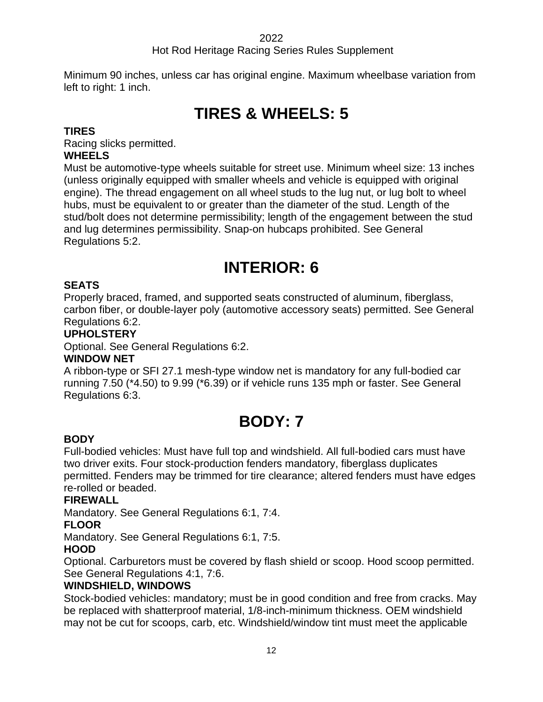### Hot Rod Heritage Racing Series Rules Supplement

<span id="page-11-0"></span>Minimum 90 inches, unless car has original engine. Maximum wheelbase variation from left to right: 1 inch.

# **TIRES & WHEELS: 5**

### **TIRES**

Racing slicks permitted.

### **WHEELS**

Must be automotive-type wheels suitable for street use. Minimum wheel size: 13 inches (unless originally equipped with smaller wheels and vehicle is equipped with original engine). The thread engagement on all wheel studs to the lug nut, or lug bolt to wheel hubs, must be equivalent to or greater than the diameter of the stud. Length of the stud/bolt does not determine permissibility; length of the engagement between the stud and lug determines permissibility. Snap-on hubcaps prohibited. See General Regulations 5:2.

# **INTERIOR: 6**

### <span id="page-11-1"></span>**SEATS**

Properly braced, framed, and supported seats constructed of aluminum, fiberglass, carbon fiber, or double-layer poly (automotive accessory seats) permitted. See General Regulations 6:2.

### **UPHOLSTERY**

Optional. See General Regulations 6:2.

### **WINDOW NET**

A ribbon-type or SFI 27.1 mesh-type window net is mandatory for any full-bodied car running 7.50 (\*4.50) to 9.99 (\*6.39) or if vehicle runs 135 mph or faster. See General Regulations 6:3.

# **BODY: 7**

### <span id="page-11-2"></span>**BODY**

Full-bodied vehicles: Must have full top and windshield. All full-bodied cars must have two driver exits. Four stock-production fenders mandatory, fiberglass duplicates permitted. Fenders may be trimmed for tire clearance; altered fenders must have edges re-rolled or beaded.

### **FIREWALL**

Mandatory. See General Regulations 6:1, 7:4.

### **FLOOR**

Mandatory. See General Regulations 6:1, 7:5.

### **HOOD**

Optional. Carburetors must be covered by flash shield or scoop. Hood scoop permitted. See General Regulations 4:1, 7:6.

### **WINDSHIELD, WINDOWS**

Stock-bodied vehicles: mandatory; must be in good condition and free from cracks. May be replaced with shatterproof material, 1/8-inch-minimum thickness. OEM windshield may not be cut for scoops, carb, etc. Windshield/window tint must meet the applicable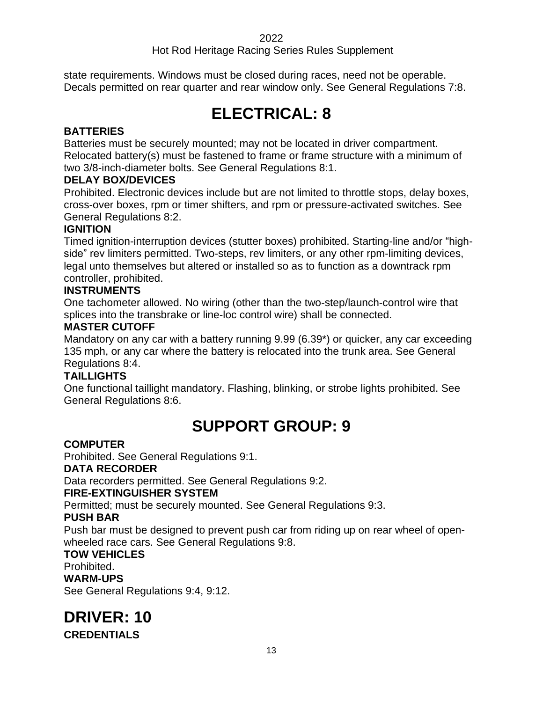### Hot Rod Heritage Racing Series Rules Supplement

<span id="page-12-0"></span>state requirements. Windows must be closed during races, need not be operable. Decals permitted on rear quarter and rear window only. See General Regulations 7:8.

# **ELECTRICAL: 8**

### **BATTERIES**

Batteries must be securely mounted; may not be located in driver compartment. Relocated battery(s) must be fastened to frame or frame structure with a minimum of two 3/8-inch-diameter bolts. See General Regulations 8:1.

### **DELAY BOX/DEVICES**

Prohibited. Electronic devices include but are not limited to throttle stops, delay boxes, cross-over boxes, rpm or timer shifters, and rpm or pressure-activated switches. See General Regulations 8:2.

### **IGNITION**

Timed ignition-interruption devices (stutter boxes) prohibited. Starting-line and/or "highside" rev limiters permitted. Two-steps, rev limiters, or any other rpm-limiting devices, legal unto themselves but altered or installed so as to function as a downtrack rpm controller, prohibited.

### **INSTRUMENTS**

One tachometer allowed. No wiring (other than the two-step/launch-control wire that splices into the transbrake or line-loc control wire) shall be connected.

### **MASTER CUTOFF**

Mandatory on any car with a battery running 9.99 (6.39\*) or quicker, any car exceeding 135 mph, or any car where the battery is relocated into the trunk area. See General Regulations 8:4.

### **TAILLIGHTS**

<span id="page-12-1"></span>One functional taillight mandatory. Flashing, blinking, or strobe lights prohibited. See General Regulations 8:6.

# **SUPPORT GROUP: 9**

### **COMPUTER**

Prohibited. See General Regulations 9:1. **DATA RECORDER** Data recorders permitted. See General Regulations 9:2. **FIRE-EXTINGUISHER SYSTEM**

Permitted; must be securely mounted. See General Regulations 9:3.

### **PUSH BAR**

Push bar must be designed to prevent push car from riding up on rear wheel of openwheeled race cars. See General Regulations 9:8.

### **TOW VEHICLES**

Prohibited.

### **WARM-UPS**

<span id="page-12-2"></span>See General Regulations 9:4, 9:12.

### **DRIVER: 10**

**CREDENTIALS**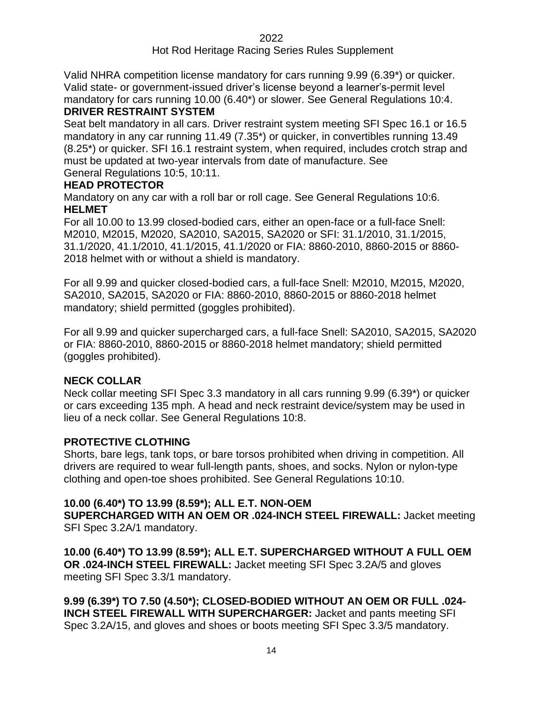Valid NHRA competition license mandatory for cars running 9.99 (6.39\*) or quicker. Valid state- or government-issued driver's license beyond a learner's-permit level mandatory for cars running 10.00 (6.40\*) or slower. See General Regulations 10:4.

### **DRIVER RESTRAINT SYSTEM**

Seat belt mandatory in all cars. Driver restraint system meeting SFI Spec 16.1 or 16.5 mandatory in any car running 11.49 (7.35\*) or quicker, in convertibles running 13.49 (8.25\*) or quicker. SFI 16.1 restraint system, when required, includes crotch strap and must be updated at two-year intervals from date of manufacture. See General Regulations 10:5, 10:11.

### **HEAD PROTECTOR**

Mandatory on any car with a roll bar or roll cage. See General Regulations 10:6. **HELMET**

For all 10.00 to 13.99 closed-bodied cars, either an open-face or a full-face Snell: M2010, M2015, M2020, SA2010, SA2015, SA2020 or SFI: 31.1/2010, 31.1/2015, 31.1/2020, 41.1/2010, 41.1/2015, 41.1/2020 or FIA: 8860-2010, 8860-2015 or 8860- 2018 helmet with or without a shield is mandatory.

For all 9.99 and quicker closed-bodied cars, a full-face Snell: M2010, M2015, M2020, SA2010, SA2015, SA2020 or FIA: 8860-2010, 8860-2015 or 8860-2018 helmet mandatory; shield permitted (goggles prohibited).

For all 9.99 and quicker supercharged cars, a full-face Snell: SA2010, SA2015, SA2020 or FIA: 8860-2010, 8860-2015 or 8860-2018 helmet mandatory; shield permitted (goggles prohibited).

### **NECK COLLAR**

Neck collar meeting SFI Spec 3.3 mandatory in all cars running 9.99 (6.39\*) or quicker or cars exceeding 135 mph. A head and neck restraint device/system may be used in lieu of a neck collar. See General Regulations 10:8.

### **PROTECTIVE CLOTHING**

Shorts, bare legs, tank tops, or bare torsos prohibited when driving in competition. All drivers are required to wear full-length pants, shoes, and socks. Nylon or nylon-type clothing and open-toe shoes prohibited. See General Regulations 10:10.

### **10.00 (6.40\*) TO 13.99 (8.59\*); ALL E.T. NON-OEM**

**SUPERCHARGED WITH AN OEM OR .024-INCH STEEL FIREWALL:** Jacket meeting SFI Spec 3.2A/1 mandatory.

**10.00 (6.40\*) TO 13.99 (8.59\*); ALL E.T. SUPERCHARGED WITHOUT A FULL OEM OR .024-INCH STEEL FIREWALL:** Jacket meeting SFI Spec 3.2A/5 and gloves meeting SFI Spec 3.3/1 mandatory.

**9.99 (6.39\*) TO 7.50 (4.50\*); CLOSED-BODIED WITHOUT AN OEM OR FULL .024- INCH STEEL FIREWALL WITH SUPERCHARGER:** Jacket and pants meeting SFI Spec 3.2A/15, and gloves and shoes or boots meeting SFI Spec 3.3/5 mandatory.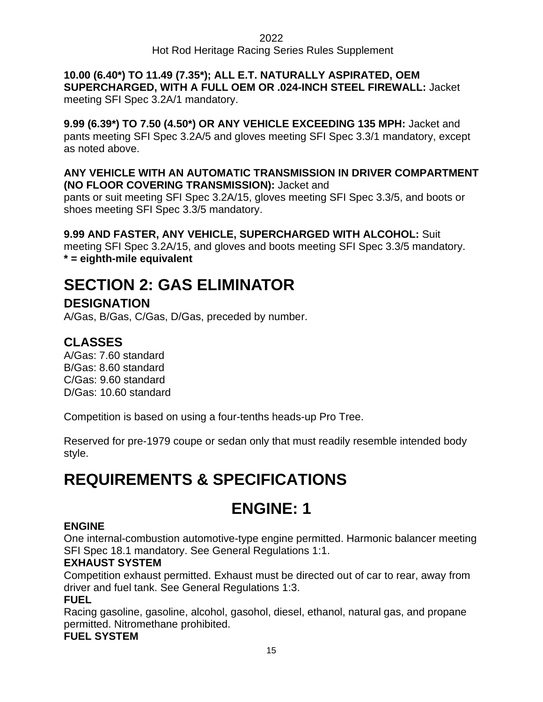**10.00 (6.40\*) TO 11.49 (7.35\*); ALL E.T. NATURALLY ASPIRATED, OEM SUPERCHARGED, WITH A FULL OEM OR .024-INCH STEEL FIREWALL:** Jacket meeting SFI Spec 3.2A/1 mandatory.

**9.99 (6.39\*) TO 7.50 (4.50\*) OR ANY VEHICLE EXCEEDING 135 MPH:** Jacket and pants meeting SFI Spec 3.2A/5 and gloves meeting SFI Spec 3.3/1 mandatory, except as noted above.

### **ANY VEHICLE WITH AN AUTOMATIC TRANSMISSION IN DRIVER COMPARTMENT (NO FLOOR COVERING TRANSMISSION):** Jacket and

pants or suit meeting SFI Spec 3.2A/15, gloves meeting SFI Spec 3.3/5, and boots or shoes meeting SFI Spec 3.3/5 mandatory.

### **9.99 AND FASTER, ANY VEHICLE, SUPERCHARGED WITH ALCOHOL:** Suit

meeting SFI Spec 3.2A/15, and gloves and boots meeting SFI Spec 3.3/5 mandatory. **\* = eighth-mile equivalent**

# <span id="page-14-0"></span>**SECTION 2: GAS ELIMINATOR**

### **DESIGNATION**

A/Gas, B/Gas, C/Gas, D/Gas, preceded by number.

### **CLASSES**

A/Gas: 7.60 standard B/Gas: 8.60 standard C/Gas: 9.60 standard D/Gas: 10.60 standard

Competition is based on using a four-tenths heads-up Pro Tree.

Reserved for pre-1979 coupe or sedan only that must readily resemble intended body style.

# <span id="page-14-2"></span><span id="page-14-1"></span>**REQUIREMENTS & SPECIFICATIONS**

### **ENGINE: 1**

### **ENGINE**

One internal-combustion automotive-type engine permitted. Harmonic balancer meeting SFI Spec 18.1 mandatory. See General Regulations 1:1.

### **EXHAUST SYSTEM**

Competition exhaust permitted. Exhaust must be directed out of car to rear, away from driver and fuel tank. See General Regulations 1:3.

### **FUEL**

Racing gasoline, gasoline, alcohol, gasohol, diesel, ethanol, natural gas, and propane permitted. Nitromethane prohibited.

### **FUEL SYSTEM**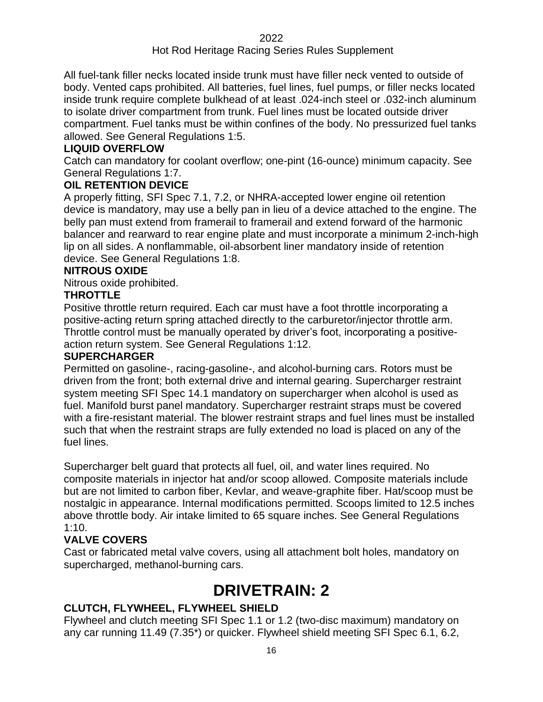All fuel-tank filler necks located inside trunk must have filler neck vented to outside of body. Vented caps prohibited. All batteries, fuel lines, fuel pumps, or filler necks located inside trunk require complete bulkhead of at least .024-inch steel or .032-inch aluminum to isolate driver compartment from trunk. Fuel lines must be located outside driver compartment. Fuel tanks must be within confines of the body. No pressurized fuel tanks allowed. See General Regulations 1:5.

### **LIQUID OVERFLOW**

Catch can mandatory for coolant overflow; one-pint (16-ounce) minimum capacity. See General Regulations 1:7.

### **OIL RETENTION DEVICE**

A properly fitting, SFI Spec 7.1, 7.2, or NHRA-accepted lower engine oil retention device is mandatory, may use a belly pan in lieu of a device attached to the engine. The belly pan must extend from framerail to framerail and extend forward of the harmonic balancer and rearward to rear engine plate and must incorporate a minimum 2-inch-high lip on all sides. A nonflammable, oil-absorbent liner mandatory inside of retention device. See General Regulations 1:8.

#### **NITROUS OXIDE**

Nitrous oxide prohibited.

### **THROTTLE**

Positive throttle return required. Each car must have a foot throttle incorporating a positive-acting return spring attached directly to the carburetor/injector throttle arm. Throttle control must be manually operated by driver's foot, incorporating a positiveaction return system. See General Regulations 1:12.

#### **SUPERCHARGER**

Permitted on gasoline-, racing-gasoline-, and alcohol-burning cars. Rotors must be driven from the front; both external drive and internal gearing. Supercharger restraint system meeting SFI Spec 14.1 mandatory on supercharger when alcohol is used as fuel. Manifold burst panel mandatory. Supercharger restraint straps must be covered with a fire-resistant material. The blower restraint straps and fuel lines must be installed such that when the restraint straps are fully extended no load is placed on any of the fuel lines.

Supercharger belt guard that protects all fuel, oil, and water lines required. No composite materials in injector hat and/or scoop allowed. Composite materials include but are not limited to carbon fiber, Kevlar, and weave-graphite fiber. Hat/scoop must be nostalgic in appearance. Internal modifications permitted. Scoops limited to 12.5 inches above throttle body. Air intake limited to 65 square inches. See General Regulations 1:10.

### **VALVE COVERS**

<span id="page-15-0"></span>Cast or fabricated metal valve covers, using all attachment bolt holes, mandatory on supercharged, methanol-burning cars.

### **DRIVETRAIN: 2**

### **CLUTCH, FLYWHEEL, FLYWHEEL SHIELD**

Flywheel and clutch meeting SFI Spec 1.1 or 1.2 (two-disc maximum) mandatory on any car running 11.49 (7.35\*) or quicker. Flywheel shield meeting SFI Spec 6.1, 6.2,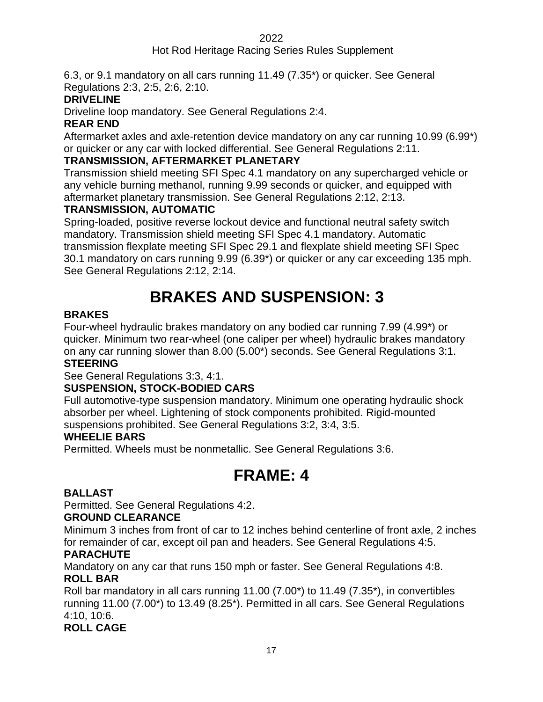### Hot Rod Heritage Racing Series Rules Supplement

6.3, or 9.1 mandatory on all cars running 11.49 (7.35\*) or quicker. See General Regulations 2:3, 2:5, 2:6, 2:10.

### **DRIVELINE**

Driveline loop mandatory. See General Regulations 2:4.

### **REAR END**

Aftermarket axles and axle-retention device mandatory on any car running 10.99 (6.99\*) or quicker or any car with locked differential. See General Regulations 2:11.

### **TRANSMISSION, AFTERMARKET PLANETARY**

Transmission shield meeting SFI Spec 4.1 mandatory on any supercharged vehicle or any vehicle burning methanol, running 9.99 seconds or quicker, and equipped with aftermarket planetary transmission. See General Regulations 2:12, 2:13.

### **TRANSMISSION, AUTOMATIC**

Spring-loaded, positive reverse lockout device and functional neutral safety switch mandatory. Transmission shield meeting SFI Spec 4.1 mandatory. Automatic transmission flexplate meeting SFI Spec 29.1 and flexplate shield meeting SFI Spec 30.1 mandatory on cars running 9.99 (6.39\*) or quicker or any car exceeding 135 mph. See General Regulations 2:12, 2:14.

# **BRAKES AND SUSPENSION: 33**

### <span id="page-16-0"></span>**BRAKES**

Four-wheel hydraulic brakes mandatory on any bodied car running 7.99 (4.99\*) or quicker. Minimum two rear-wheel (one caliper per wheel) hydraulic brakes mandatory on any car running slower than 8.00 (5.00\*) seconds. See General Regulations 3:1.

### **STEERING**

See General Regulations 3:3, 4:1.

### **SUSPENSION, STOCK-BODIED CARS**

Full automotive-type suspension mandatory. Minimum one operating hydraulic shock absorber per wheel. Lightening of stock components prohibited. Rigid-mounted suspensions prohibited. See General Regulations 3:2, 3:4, 3:5.

### **WHEELIE BARS**

<span id="page-16-1"></span>Permitted. Wheels must be nonmetallic. See General Regulations 3:6.

### **FRAME: 4**

### **BALLAST**

Permitted. See General Regulations 4:2.

### **GROUND CLEARANCE**

Minimum 3 inches from front of car to 12 inches behind centerline of front axle, 2 inches for remainder of car, except oil pan and headers. See General Regulations 4:5.

### **PARACHUTE**

Mandatory on any car that runs 150 mph or faster. See General Regulations 4:8. **ROLL BAR**

Roll bar mandatory in all cars running 11.00 (7.00\*) to 11.49 (7.35\*), in convertibles running 11.00 (7.00\*) to 13.49 (8.25\*). Permitted in all cars. See General Regulations 4:10, 10:6.

### **ROLL CAGE**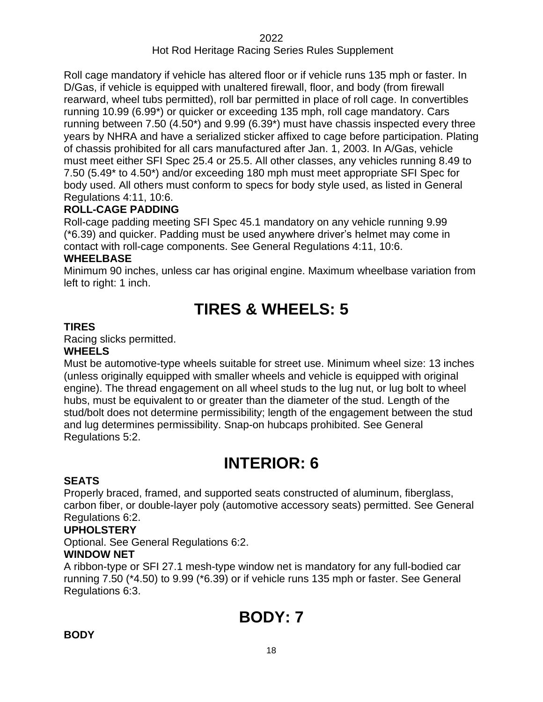Roll cage mandatory if vehicle has altered floor or if vehicle runs 135 mph or faster. In D/Gas, if vehicle is equipped with unaltered firewall, floor, and body (from firewall rearward, wheel tubs permitted), roll bar permitted in place of roll cage. In convertibles running 10.99 (6.99\*) or quicker or exceeding 135 mph, roll cage mandatory. Cars running between 7.50 (4.50\*) and 9.99 (6.39\*) must have chassis inspected every three years by NHRA and have a serialized sticker affixed to cage before participation. Plating of chassis prohibited for all cars manufactured after Jan. 1, 2003. In A/Gas, vehicle must meet either SFI Spec 25.4 or 25.5. All other classes, any vehicles running 8.49 to 7.50 (5.49\* to 4.50\*) and/or exceeding 180 mph must meet appropriate SFI Spec for body used. All others must conform to specs for body style used, as listed in General Regulations 4:11, 10:6.

### **ROLL-CAGE PADDING**

Roll-cage padding meeting SFI Spec 45.1 mandatory on any vehicle running 9.99 (\*6.39) and quicker. Padding must be used anywhere driver's helmet may come in contact with roll-cage components. See General Regulations 4:11, 10:6.

### **WHEELBASE**

<span id="page-17-0"></span>Minimum 90 inches, unless car has original engine. Maximum wheelbase variation from left to right: 1 inch.

# **TIRES & WHEELS: 5**

### **TIRES**

Racing slicks permitted.

### **WHEELS**

Must be automotive-type wheels suitable for street use. Minimum wheel size: 13 inches (unless originally equipped with smaller wheels and vehicle is equipped with original engine). The thread engagement on all wheel studs to the lug nut, or lug bolt to wheel hubs, must be equivalent to or greater than the diameter of the stud. Length of the stud/bolt does not determine permissibility; length of the engagement between the stud and lug determines permissibility. Snap-on hubcaps prohibited. See General Regulations 5:2.

# **INTERIOR: 6**

### <span id="page-17-1"></span>**SEATS**

Properly braced, framed, and supported seats constructed of aluminum, fiberglass, carbon fiber, or double-layer poly (automotive accessory seats) permitted. See General Regulations 6:2.

### **UPHOLSTERY**

Optional. See General Regulations 6:2.

### **WINDOW NET**

A ribbon-type or SFI 27.1 mesh-type window net is mandatory for any full-bodied car running 7.50 (\*4.50) to 9.99 (\*6.39) or if vehicle runs 135 mph or faster. See General Regulations 6:3.

# **BODY: 7**

### <span id="page-17-2"></span>**BODY**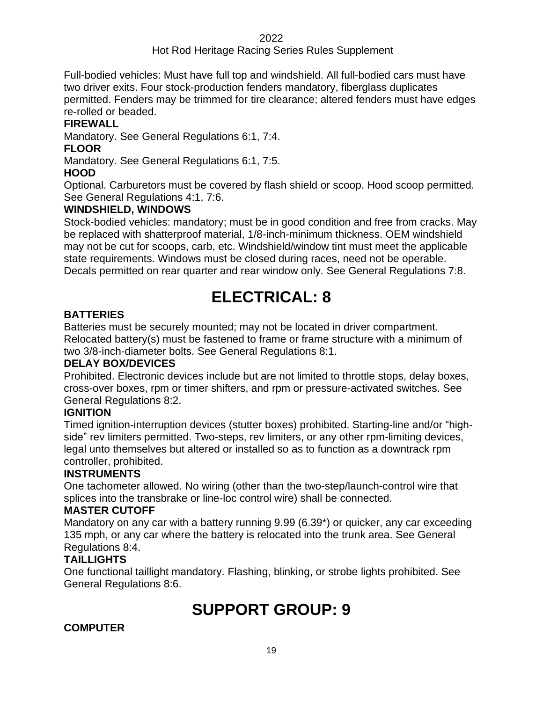### Hot Rod Heritage Racing Series Rules Supplement

Full-bodied vehicles: Must have full top and windshield. All full-bodied cars must have two driver exits. Four stock-production fenders mandatory, fiberglass duplicates permitted. Fenders may be trimmed for tire clearance; altered fenders must have edges re-rolled or beaded.

### **FIREWALL**

Mandatory. See General Regulations 6:1, 7:4.

### **FLOOR**

Mandatory. See General Regulations 6:1, 7:5.

### **HOOD**

Optional. Carburetors must be covered by flash shield or scoop. Hood scoop permitted. See General Regulations 4:1, 7:6.

### **WINDSHIELD, WINDOWS**

Stock-bodied vehicles: mandatory; must be in good condition and free from cracks. May be replaced with shatterproof material, 1/8-inch-minimum thickness. OEM windshield may not be cut for scoops, carb, etc. Windshield/window tint must meet the applicable state requirements. Windows must be closed during races, need not be operable. Decals permitted on rear quarter and rear window only. See General Regulations 7:8.

# **ELECTRICAL: 8**

### <span id="page-18-0"></span>**BATTERIES**

Batteries must be securely mounted; may not be located in driver compartment. Relocated battery(s) must be fastened to frame or frame structure with a minimum of two 3/8-inch-diameter bolts. See General Regulations 8:1.

### **DELAY BOX/DEVICES**

Prohibited. Electronic devices include but are not limited to throttle stops, delay boxes, cross-over boxes, rpm or timer shifters, and rpm or pressure-activated switches. See General Regulations 8:2.

### **IGNITION**

Timed ignition-interruption devices (stutter boxes) prohibited. Starting-line and/or "highside" rev limiters permitted. Two-steps, rev limiters, or any other rpm-limiting devices, legal unto themselves but altered or installed so as to function as a downtrack rpm controller, prohibited.

### **INSTRUMENTS**

One tachometer allowed. No wiring (other than the two-step/launch-control wire that splices into the transbrake or line-loc control wire) shall be connected.

### **MASTER CUTOFF**

Mandatory on any car with a battery running 9.99 (6.39\*) or quicker, any car exceeding 135 mph, or any car where the battery is relocated into the trunk area. See General Regulations 8:4.

### **TAILLIGHTS**

<span id="page-18-1"></span>One functional taillight mandatory. Flashing, blinking, or strobe lights prohibited. See General Regulations 8:6.

# **SUPPORT GROUP: 9**

### **COMPUTER**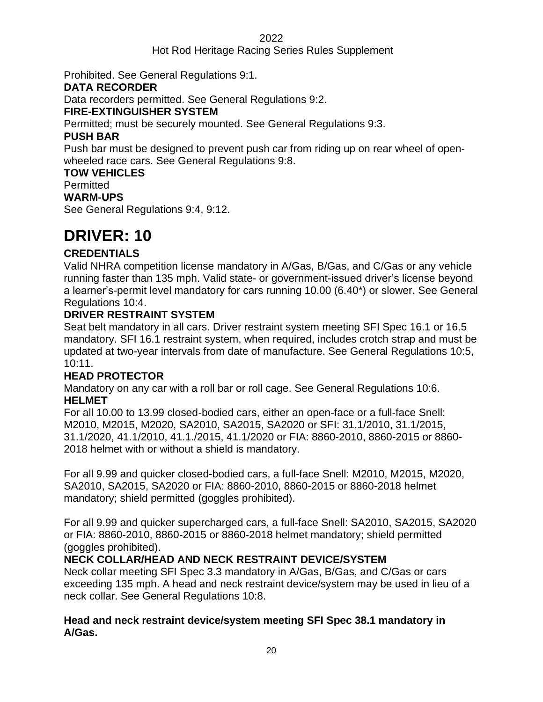### Hot Rod Heritage Racing Series Rules Supplement

Prohibited. See General Regulations 9:1.

### **DATA RECORDER**

Data recorders permitted. See General Regulations 9:2.

### **FIRE-EXTINGUISHER SYSTEM**

Permitted; must be securely mounted. See General Regulations 9:3.

### **PUSH BAR**

Push bar must be designed to prevent push car from riding up on rear wheel of openwheeled race cars. See General Regulations 9:8.

**TOW VEHICLES**

**Permitted** 

### **WARM-UPS**

See General Regulations 9:4, 9:12.

### <span id="page-19-0"></span>**DRIVER: 10**

### **CREDENTIALS**

Valid NHRA competition license mandatory in A/Gas, B/Gas, and C/Gas or any vehicle running faster than 135 mph. Valid state- or government-issued driver's license beyond a learner's-permit level mandatory for cars running 10.00 (6.40\*) or slower. See General Regulations 10:4.

### **DRIVER RESTRAINT SYSTEM**

Seat belt mandatory in all cars. Driver restraint system meeting SFI Spec 16.1 or 16.5 mandatory. SFI 16.1 restraint system, when required, includes crotch strap and must be updated at two-year intervals from date of manufacture. See General Regulations 10:5, 10:11.

### **HEAD PROTECTOR**

Mandatory on any car with a roll bar or roll cage. See General Regulations 10:6. **HELMET**

For all 10.00 to 13.99 closed-bodied cars, either an open-face or a full-face Snell: M2010, M2015, M2020, SA2010, SA2015, SA2020 or SFI: 31.1/2010, 31.1/2015, 31.1/2020, 41.1/2010, 41.1./2015, 41.1/2020 or FIA: 8860-2010, 8860-2015 or 8860- 2018 helmet with or without a shield is mandatory.

For all 9.99 and quicker closed-bodied cars, a full-face Snell: M2010, M2015, M2020, SA2010, SA2015, SA2020 or FIA: 8860-2010, 8860-2015 or 8860-2018 helmet mandatory; shield permitted (goggles prohibited).

For all 9.99 and quicker supercharged cars, a full-face Snell: SA2010, SA2015, SA2020 or FIA: 8860-2010, 8860-2015 or 8860-2018 helmet mandatory; shield permitted (goggles prohibited).

### **NECK COLLAR/HEAD AND NECK RESTRAINT DEVICE/SYSTEM**

Neck collar meeting SFI Spec 3.3 mandatory in A/Gas, B/Gas, and C/Gas or cars exceeding 135 mph. A head and neck restraint device/system may be used in lieu of a neck collar. See General Regulations 10:8.

### **Head and neck restraint device/system meeting SFI Spec 38.1 mandatory in A/Gas.**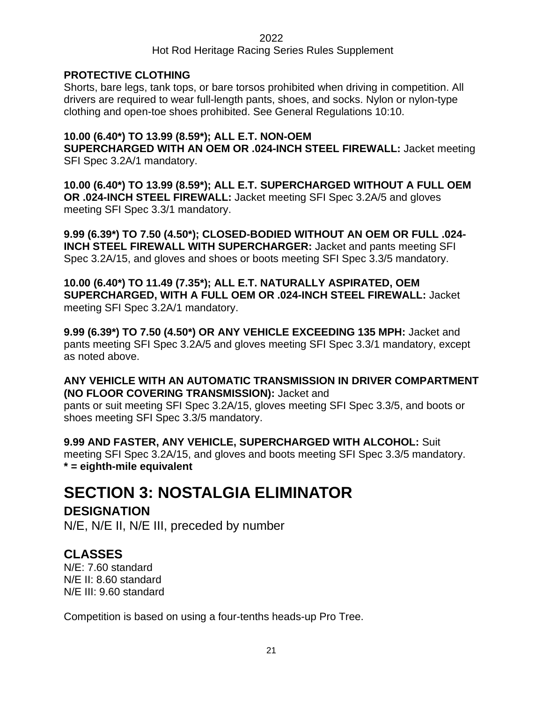### Hot Rod Heritage Racing Series Rules Supplement

### **PROTECTIVE CLOTHING**

Shorts, bare legs, tank tops, or bare torsos prohibited when driving in competition. All drivers are required to wear full-length pants, shoes, and socks. Nylon or nylon-type clothing and open-toe shoes prohibited. See General Regulations 10:10.

### **10.00 (6.40\*) TO 13.99 (8.59\*); ALL E.T. NON-OEM**

**SUPERCHARGED WITH AN OEM OR .024-INCH STEEL FIREWALL:** Jacket meeting SFI Spec 3.2A/1 mandatory.

**10.00 (6.40\*) TO 13.99 (8.59\*); ALL E.T. SUPERCHARGED WITHOUT A FULL OEM OR .024-INCH STEEL FIREWALL:** Jacket meeting SFI Spec 3.2A/5 and gloves meeting SFI Spec 3.3/1 mandatory.

**9.99 (6.39\*) TO 7.50 (4.50\*); CLOSED-BODIED WITHOUT AN OEM OR FULL .024- INCH STEEL FIREWALL WITH SUPERCHARGER:** Jacket and pants meeting SFI Spec 3.2A/15, and gloves and shoes or boots meeting SFI Spec 3.3/5 mandatory.

**10.00 (6.40\*) TO 11.49 (7.35\*); ALL E.T. NATURALLY ASPIRATED, OEM SUPERCHARGED, WITH A FULL OEM OR .024-INCH STEEL FIREWALL:** Jacket meeting SFI Spec 3.2A/1 mandatory.

**9.99 (6.39\*) TO 7.50 (4.50\*) OR ANY VEHICLE EXCEEDING 135 MPH:** Jacket and pants meeting SFI Spec 3.2A/5 and gloves meeting SFI Spec 3.3/1 mandatory, except as noted above.

**ANY VEHICLE WITH AN AUTOMATIC TRANSMISSION IN DRIVER COMPARTMENT (NO FLOOR COVERING TRANSMISSION):** Jacket and pants or suit meeting SFI Spec 3.2A/15, gloves meeting SFI Spec 3.3/5, and boots or shoes meeting SFI Spec 3.3/5 mandatory.

**9.99 AND FASTER, ANY VEHICLE, SUPERCHARGED WITH ALCOHOL:** Suit meeting SFI Spec 3.2A/15, and gloves and boots meeting SFI Spec 3.3/5 mandatory. **\* = eighth-mile equivalent**

# <span id="page-20-0"></span>**SECTION 3: NOSTALGIA ELIMINATOR**

**DESIGNATION** N/E, N/E II, N/E III, preceded by number

### **CLASSES**

N/E: 7.60 standard N/E II: 8.60 standard N/E III: 9.60 standard

Competition is based on using a four-tenths heads-up Pro Tree.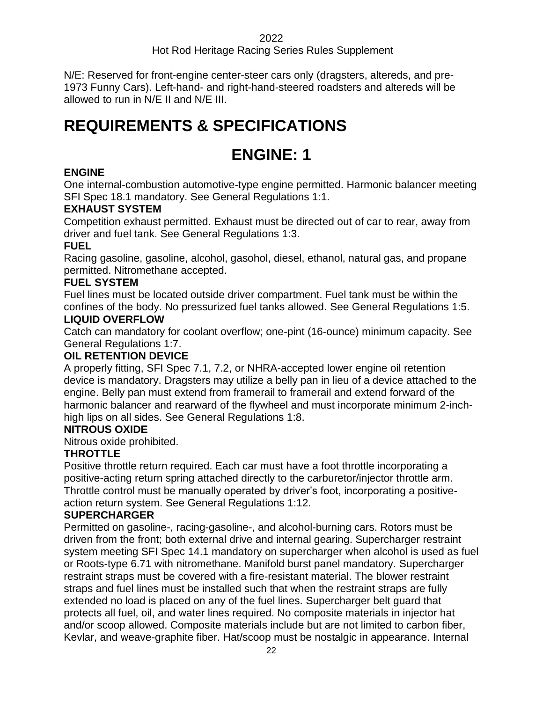### Hot Rod Heritage Racing Series Rules Supplement

N/E: Reserved for front-engine center-steer cars only (dragsters, altereds, and pre-1973 Funny Cars). Left-hand- and right-hand-steered roadsters and altereds will be allowed to run in N/E II and N/E III.

### <span id="page-21-1"></span><span id="page-21-0"></span>**REQUIREMENTS & SPECIFICATIONS**

### **ENGINE: 1**

### **ENGINE**

One internal-combustion automotive-type engine permitted. Harmonic balancer meeting SFI Spec 18.1 mandatory. See General Regulations 1:1.

### **EXHAUST SYSTEM**

Competition exhaust permitted. Exhaust must be directed out of car to rear, away from driver and fuel tank. See General Regulations 1:3.

### **FUEL**

Racing gasoline, gasoline, alcohol, gasohol, diesel, ethanol, natural gas, and propane permitted. Nitromethane accepted.

### **FUEL SYSTEM**

Fuel lines must be located outside driver compartment. Fuel tank must be within the confines of the body. No pressurized fuel tanks allowed. See General Regulations 1:5.

### **LIQUID OVERFLOW**

Catch can mandatory for coolant overflow; one-pint (16-ounce) minimum capacity. See General Regulations 1:7.

### **OIL RETENTION DEVICE**

A properly fitting, SFI Spec 7.1, 7.2, or NHRA-accepted lower engine oil retention device is mandatory. Dragsters may utilize a belly pan in lieu of a device attached to the engine. Belly pan must extend from framerail to framerail and extend forward of the harmonic balancer and rearward of the flywheel and must incorporate minimum 2-inchhigh lips on all sides. See General Regulations 1:8.

### **NITROUS OXIDE**

Nitrous oxide prohibited.

### **THROTTLE**

Positive throttle return required. Each car must have a foot throttle incorporating a positive-acting return spring attached directly to the carburetor/injector throttle arm. Throttle control must be manually operated by driver's foot, incorporating a positiveaction return system. See General Regulations 1:12.

### **SUPERCHARGER**

Permitted on gasoline-, racing-gasoline-, and alcohol-burning cars. Rotors must be driven from the front; both external drive and internal gearing. Supercharger restraint system meeting SFI Spec 14.1 mandatory on supercharger when alcohol is used as fuel or Roots-type 6.71 with nitromethane. Manifold burst panel mandatory. Supercharger restraint straps must be covered with a fire-resistant material. The blower restraint straps and fuel lines must be installed such that when the restraint straps are fully extended no load is placed on any of the fuel lines. Supercharger belt guard that protects all fuel, oil, and water lines required. No composite materials in injector hat and/or scoop allowed. Composite materials include but are not limited to carbon fiber, Kevlar, and weave-graphite fiber. Hat/scoop must be nostalgic in appearance. Internal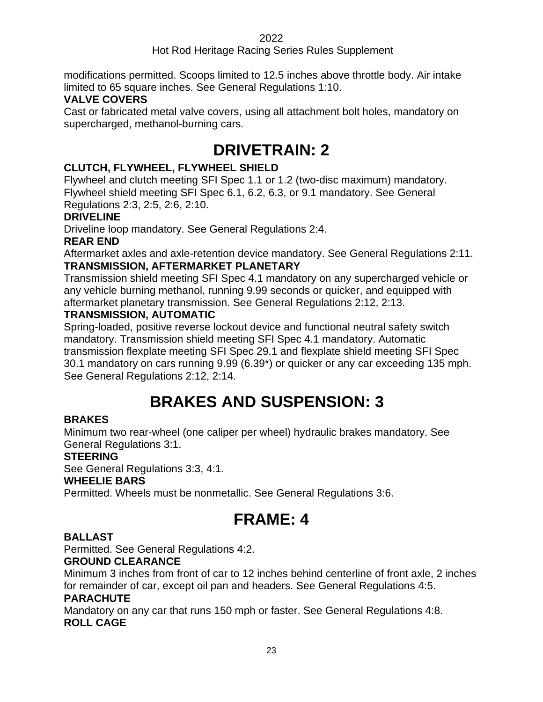### Hot Rod Heritage Racing Series Rules Supplement

modifications permitted. Scoops limited to 12.5 inches above throttle body. Air intake limited to 65 square inches. See General Regulations 1:10.

### **VALVE COVERS**

<span id="page-22-0"></span>Cast or fabricated metal valve covers, using all attachment bolt holes, mandatory on supercharged, methanol-burning cars.

### **DRIVETRAIN: 2**

### **CLUTCH, FLYWHEEL, FLYWHEEL SHIELD**

Flywheel and clutch meeting SFI Spec 1.1 or 1.2 (two-disc maximum) mandatory. Flywheel shield meeting SFI Spec 6.1, 6.2, 6.3, or 9.1 mandatory. See General Regulations 2:3, 2:5, 2:6, 2:10.

### **DRIVELINE**

Driveline loop mandatory. See General Regulations 2:4.

### **REAR END**

Aftermarket axles and axle-retention device mandatory. See General Regulations 2:11. **TRANSMISSION, AFTERMARKET PLANETARY**

Transmission shield meeting SFI Spec 4.1 mandatory on any supercharged vehicle or any vehicle burning methanol, running 9.99 seconds or quicker, and equipped with aftermarket planetary transmission. See General Regulations 2:12, 2:13.

### **TRANSMISSION, AUTOMATIC**

Spring-loaded, positive reverse lockout device and functional neutral safety switch mandatory. Transmission shield meeting SFI Spec 4.1 mandatory. Automatic transmission flexplate meeting SFI Spec 29.1 and flexplate shield meeting SFI Spec 30.1 mandatory on cars running 9.99 (6.39\*) or quicker or any car exceeding 135 mph. See General Regulations 2:12, 2:14.

# **BRAKES AND SUSPENSION: 33**

### <span id="page-22-1"></span>**BRAKES**

Minimum two rear-wheel (one caliper per wheel) hydraulic brakes mandatory. See General Regulations 3:1.

### **STEERING**

See General Regulations 3:3, 4:1.

### **WHEELIE BARS**

<span id="page-22-2"></span>Permitted. Wheels must be nonmetallic. See General Regulations 3:6.

# **FRAME: 4**

### **BALLAST**

Permitted. See General Regulations 4:2.

### **GROUND CLEARANCE**

Minimum 3 inches from front of car to 12 inches behind centerline of front axle, 2 inches for remainder of car, except oil pan and headers. See General Regulations 4:5.

### **PARACHUTE**

Mandatory on any car that runs 150 mph or faster. See General Regulations 4:8. **ROLL CAGE**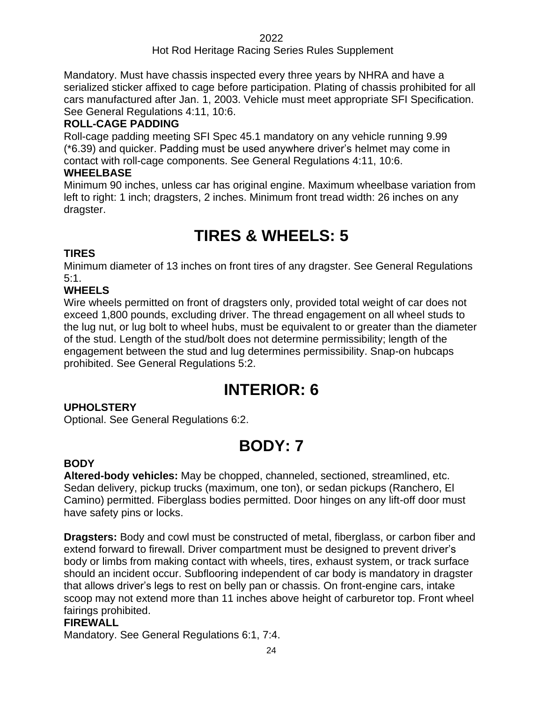Mandatory. Must have chassis inspected every three years by NHRA and have a serialized sticker affixed to cage before participation. Plating of chassis prohibited for all cars manufactured after Jan. 1, 2003. Vehicle must meet appropriate SFI Specification. See General Regulations 4:11, 10:6.

### **ROLL-CAGE PADDING**

Roll-cage padding meeting SFI Spec 45.1 mandatory on any vehicle running 9.99 (\*6.39) and quicker. Padding must be used anywhere driver's helmet may come in contact with roll-cage components. See General Regulations 4:11, 10:6.

### **WHEELBASE**

Minimum 90 inches, unless car has original engine. Maximum wheelbase variation from left to right: 1 inch; dragsters, 2 inches. Minimum front tread width: 26 inches on any dragster.

# **TIRES & WHEELS: 5**

### <span id="page-23-0"></span>**TIRES**

Minimum diameter of 13 inches on front tires of any dragster. See General Regulations 5:1.

### **WHEELS**

Wire wheels permitted on front of dragsters only, provided total weight of car does not exceed 1,800 pounds, excluding driver. The thread engagement on all wheel studs to the lug nut, or lug bolt to wheel hubs, must be equivalent to or greater than the diameter of the stud. Length of the stud/bolt does not determine permissibility; length of the engagement between the stud and lug determines permissibility. Snap-on hubcaps prohibited. See General Regulations 5:2.

### **INTERIOR: 6**

### <span id="page-23-1"></span>**UPHOLSTERY**

<span id="page-23-2"></span>Optional. See General Regulations 6:2.

# **BODY: 7**

### **BODY**

**Altered-body vehicles:** May be chopped, channeled, sectioned, streamlined, etc. Sedan delivery, pickup trucks (maximum, one ton), or sedan pickups (Ranchero, El Camino) permitted. Fiberglass bodies permitted. Door hinges on any lift-off door must have safety pins or locks.

**Dragsters:** Body and cowl must be constructed of metal, fiberglass, or carbon fiber and extend forward to firewall. Driver compartment must be designed to prevent driver's body or limbs from making contact with wheels, tires, exhaust system, or track surface should an incident occur. Subflooring independent of car body is mandatory in dragster that allows driver's legs to rest on belly pan or chassis. On front-engine cars, intake scoop may not extend more than 11 inches above height of carburetor top. Front wheel fairings prohibited.

### **FIREWALL**

Mandatory. See General Regulations 6:1, 7:4.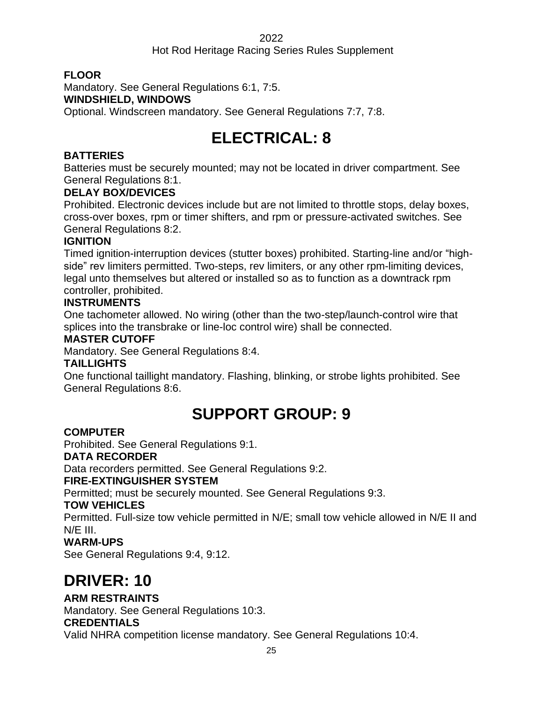### Hot Rod Heritage Racing Series Rules Supplement

### **FLOOR**

Mandatory. See General Regulations 6:1, 7:5.

### **WINDSHIELD, WINDOWS**

<span id="page-24-0"></span>Optional. Windscreen mandatory. See General Regulations 7:7, 7:8.

# **ELECTRICAL: 8**

### **BATTERIES**

Batteries must be securely mounted; may not be located in driver compartment. See General Regulations 8:1.

### **DELAY BOX/DEVICES**

Prohibited. Electronic devices include but are not limited to throttle stops, delay boxes, cross-over boxes, rpm or timer shifters, and rpm or pressure-activated switches. See General Regulations 8:2.

### **IGNITION**

Timed ignition-interruption devices (stutter boxes) prohibited. Starting-line and/or "highside" rev limiters permitted. Two-steps, rev limiters, or any other rpm-limiting devices, legal unto themselves but altered or installed so as to function as a downtrack rpm controller, prohibited.

### **INSTRUMENTS**

One tachometer allowed. No wiring (other than the two-step/launch-control wire that splices into the transbrake or line-loc control wire) shall be connected.

### **MASTER CUTOFF**

Mandatory. See General Regulations 8:4.

### **TAILLIGHTS**

<span id="page-24-1"></span>One functional taillight mandatory. Flashing, blinking, or strobe lights prohibited. See General Regulations 8:6.

# **SUPPORT GROUP: 9**

### **COMPUTER**

Prohibited. See General Regulations 9:1.

### **DATA RECORDER**

Data recorders permitted. See General Regulations 9:2.

### **FIRE-EXTINGUISHER SYSTEM**

Permitted; must be securely mounted. See General Regulations 9:3.

### **TOW VEHICLES**

Permitted. Full-size tow vehicle permitted in N/E; small tow vehicle allowed in N/E II and N/E III.

### **WARM-UPS**

See General Regulations 9:4, 9:12.

# <span id="page-24-2"></span>**DRIVER: 10**

### **ARM RESTRAINTS**

Mandatory. See General Regulations 10:3.

### **CREDENTIALS**

Valid NHRA competition license mandatory. See General Regulations 10:4.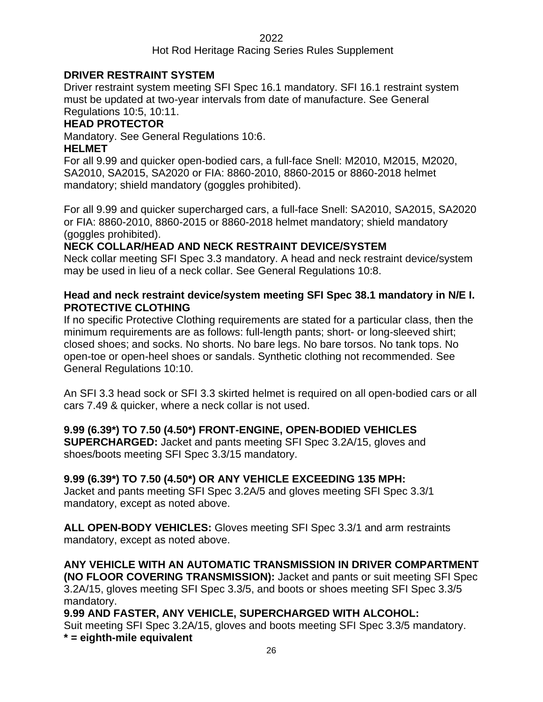### Hot Rod Heritage Racing Series Rules Supplement

### **DRIVER RESTRAINT SYSTEM**

Driver restraint system meeting SFI Spec 16.1 mandatory. SFI 16.1 restraint system must be updated at two-year intervals from date of manufacture. See General Regulations 10:5, 10:11.

### **HEAD PROTECTOR**

Mandatory. See General Regulations 10:6.

### **HELMET**

For all 9.99 and quicker open-bodied cars, a full-face Snell: M2010, M2015, M2020, SA2010, SA2015, SA2020 or FIA: 8860-2010, 8860-2015 or 8860-2018 helmet mandatory; shield mandatory (goggles prohibited).

For all 9.99 and quicker supercharged cars, a full-face Snell: SA2010, SA2015, SA2020 or FIA: 8860-2010, 8860-2015 or 8860-2018 helmet mandatory; shield mandatory (goggles prohibited).

### **NECK COLLAR/HEAD AND NECK RESTRAINT DEVICE/SYSTEM**

Neck collar meeting SFI Spec 3.3 mandatory. A head and neck restraint device/system may be used in lieu of a neck collar. See General Regulations 10:8.

### **Head and neck restraint device/system meeting SFI Spec 38.1 mandatory in N/E I. PROTECTIVE CLOTHING**

If no specific Protective Clothing requirements are stated for a particular class, then the minimum requirements are as follows: full-length pants; short- or long-sleeved shirt; closed shoes; and socks. No shorts. No bare legs. No bare torsos. No tank tops. No open-toe or open-heel shoes or sandals. Synthetic clothing not recommended. See General Regulations 10:10.

An SFI 3.3 head sock or SFI 3.3 skirted helmet is required on all open-bodied cars or all cars 7.49 & quicker, where a neck collar is not used.

### **9.99 (6.39\*) TO 7.50 (4.50\*) FRONT-ENGINE, OPEN-BODIED VEHICLES**

**SUPERCHARGED:** Jacket and pants meeting SFI Spec 3.2A/15, gloves and shoes/boots meeting SFI Spec 3.3/15 mandatory.

### **9.99 (6.39\*) TO 7.50 (4.50\*) OR ANY VEHICLE EXCEEDING 135 MPH:**

Jacket and pants meeting SFI Spec 3.2A/5 and gloves meeting SFI Spec 3.3/1 mandatory, except as noted above.

**ALL OPEN-BODY VEHICLES:** Gloves meeting SFI Spec 3.3/1 and arm restraints mandatory, except as noted above.

**ANY VEHICLE WITH AN AUTOMATIC TRANSMISSION IN DRIVER COMPARTMENT (NO FLOOR COVERING TRANSMISSION):** Jacket and pants or suit meeting SFI Spec 3.2A/15, gloves meeting SFI Spec 3.3/5, and boots or shoes meeting SFI Spec 3.3/5 mandatory.

**9.99 AND FASTER, ANY VEHICLE, SUPERCHARGED WITH ALCOHOL:** Suit meeting SFI Spec 3.2A/15, gloves and boots meeting SFI Spec 3.3/5 mandatory. **\* = eighth-mile equivalent**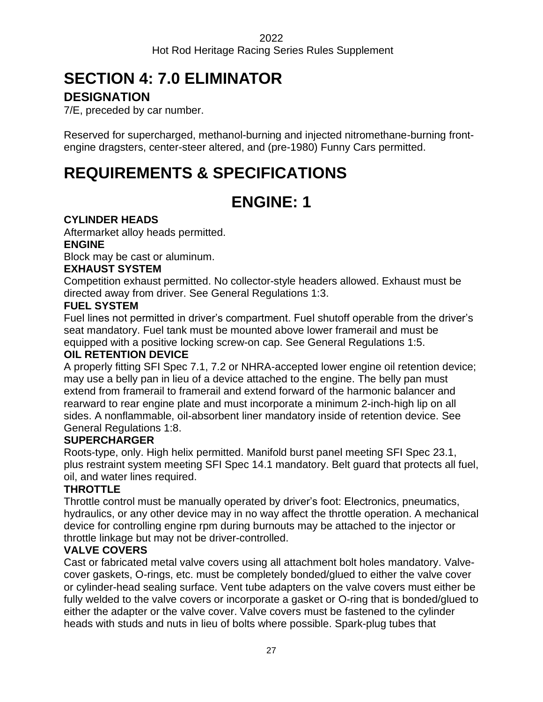# <span id="page-26-0"></span>**SECTION 4: 7.0 ELIMINATOR**

### **DESIGNATION**

7/E, preceded by car number.

Reserved for supercharged, methanol-burning and injected nitromethane-burning frontengine dragsters, center-steer altered, and (pre-1980) Funny Cars permitted.

# <span id="page-26-2"></span><span id="page-26-1"></span>**REQUIREMENTS & SPECIFICATIONS**

# **ENGINE: 1**

### **CYLINDER HEADS**

Aftermarket alloy heads permitted.

### **ENGINE**

Block may be cast or aluminum.

### **EXHAUST SYSTEM**

Competition exhaust permitted. No collector-style headers allowed. Exhaust must be directed away from driver. See General Regulations 1:3.

### **FUEL SYSTEM**

Fuel lines not permitted in driver's compartment. Fuel shutoff operable from the driver's seat mandatory. Fuel tank must be mounted above lower framerail and must be equipped with a positive locking screw-on cap. See General Regulations 1:5.

### **OIL RETENTION DEVICE**

A properly fitting SFI Spec 7.1, 7.2 or NHRA-accepted lower engine oil retention device; may use a belly pan in lieu of a device attached to the engine. The belly pan must extend from framerail to framerail and extend forward of the harmonic balancer and rearward to rear engine plate and must incorporate a minimum 2-inch-high lip on all sides. A nonflammable, oil-absorbent liner mandatory inside of retention device. See General Regulations 1:8.

### **SUPERCHARGER**

Roots-type, only. High helix permitted. Manifold burst panel meeting SFI Spec 23.1, plus restraint system meeting SFI Spec 14.1 mandatory. Belt guard that protects all fuel, oil, and water lines required.

### **THROTTLE**

Throttle control must be manually operated by driver's foot: Electronics, pneumatics, hydraulics, or any other device may in no way affect the throttle operation. A mechanical device for controlling engine rpm during burnouts may be attached to the injector or throttle linkage but may not be driver-controlled.

### **VALVE COVERS**

Cast or fabricated metal valve covers using all attachment bolt holes mandatory. Valvecover gaskets, O-rings, etc. must be completely bonded/glued to either the valve cover or cylinder-head sealing surface. Vent tube adapters on the valve covers must either be fully welded to the valve covers or incorporate a gasket or O-ring that is bonded/glued to either the adapter or the valve cover. Valve covers must be fastened to the cylinder heads with studs and nuts in lieu of bolts where possible. Spark-plug tubes that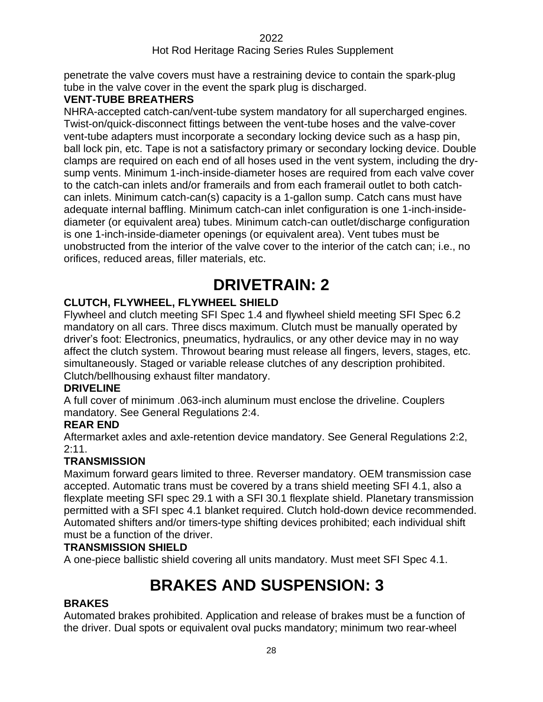penetrate the valve covers must have a restraining device to contain the spark-plug tube in the valve cover in the event the spark plug is discharged.

### **VENT-TUBE BREATHERS**

NHRA-accepted catch-can/vent-tube system mandatory for all supercharged engines. Twist-on/quick-disconnect fittings between the vent-tube hoses and the valve-cover vent-tube adapters must incorporate a secondary locking device such as a hasp pin, ball lock pin, etc. Tape is not a satisfactory primary or secondary locking device. Double clamps are required on each end of all hoses used in the vent system, including the drysump vents. Minimum 1-inch-inside-diameter hoses are required from each valve cover to the catch-can inlets and/or framerails and from each framerail outlet to both catchcan inlets. Minimum catch-can(s) capacity is a 1-gallon sump. Catch cans must have adequate internal baffling. Minimum catch-can inlet configuration is one 1-inch-insidediameter (or equivalent area) tubes. Minimum catch-can outlet/discharge configuration is one 1-inch-inside-diameter openings (or equivalent area). Vent tubes must be unobstructed from the interior of the valve cover to the interior of the catch can; i.e., no orifices, reduced areas, filler materials, etc.

## **DRIVETRAIN: 2**

### <span id="page-27-0"></span>**CLUTCH, FLYWHEEL, FLYWHEEL SHIELD**

Flywheel and clutch meeting SFI Spec 1.4 and flywheel shield meeting SFI Spec 6.2 mandatory on all cars. Three discs maximum. Clutch must be manually operated by driver's foot: Electronics, pneumatics, hydraulics, or any other device may in no way affect the clutch system. Throwout bearing must release all fingers, levers, stages, etc. simultaneously. Staged or variable release clutches of any description prohibited. Clutch/bellhousing exhaust filter mandatory.

### **DRIVELINE**

A full cover of minimum .063-inch aluminum must enclose the driveline. Couplers mandatory. See General Regulations 2:4.

### **REAR END**

Aftermarket axles and axle-retention device mandatory. See General Regulations 2:2, 2:11.

### **TRANSMISSION**

Maximum forward gears limited to three. Reverser mandatory. OEM transmission case accepted. Automatic trans must be covered by a trans shield meeting SFI 4.1, also a flexplate meeting SFI spec 29.1 with a SFI 30.1 flexplate shield. Planetary transmission permitted with a SFI spec 4.1 blanket required. Clutch hold-down device recommended. Automated shifters and/or timers-type shifting devices prohibited; each individual shift must be a function of the driver.

### **TRANSMISSION SHIELD**

<span id="page-27-1"></span>A one-piece ballistic shield covering all units mandatory. Must meet SFI Spec 4.1.

# **BRAKES AND SUSPENSION: 33**

### **BRAKES**

Automated brakes prohibited. Application and release of brakes must be a function of the driver. Dual spots or equivalent oval pucks mandatory; minimum two rear-wheel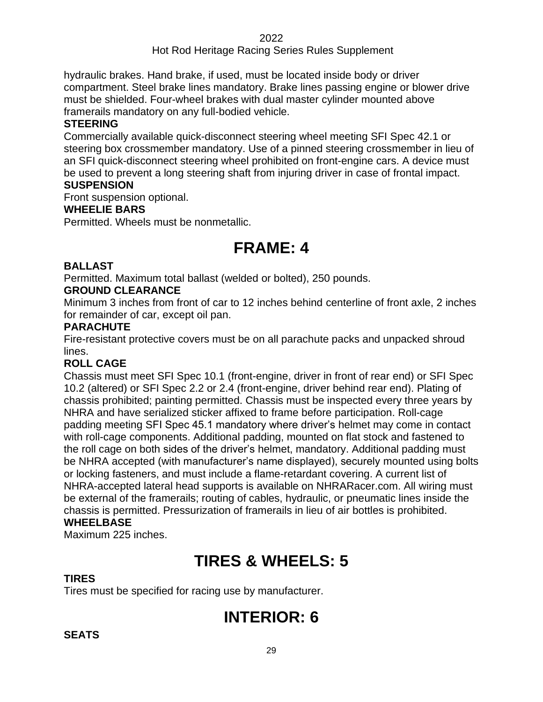### Hot Rod Heritage Racing Series Rules Supplement

hydraulic brakes. Hand brake, if used, must be located inside body or driver compartment. Steel brake lines mandatory. Brake lines passing engine or blower drive must be shielded. Four-wheel brakes with dual master cylinder mounted above framerails mandatory on any full-bodied vehicle.

#### **STEERING**

Commercially available quick-disconnect steering wheel meeting SFI Spec 42.1 or steering box crossmember mandatory. Use of a pinned steering crossmember in lieu of an SFI quick-disconnect steering wheel prohibited on front-engine cars. A device must be used to prevent a long steering shaft from injuring driver in case of frontal impact. **SUSPENSION**

Front suspension optional.

### **WHEELIE BARS**

<span id="page-28-0"></span>Permitted. Wheels must be nonmetallic.

### **FRAME: 4**

#### **BALLAST**

Permitted. Maximum total ballast (welded or bolted), 250 pounds.

#### **GROUND CLEARANCE**

Minimum 3 inches from front of car to 12 inches behind centerline of front axle, 2 inches for remainder of car, except oil pan.

#### **PARACHUTE**

Fire-resistant protective covers must be on all parachute packs and unpacked shroud lines.

#### **ROLL CAGE**

Chassis must meet SFI Spec 10.1 (front-engine, driver in front of rear end) or SFI Spec 10.2 (altered) or SFI Spec 2.2 or 2.4 (front-engine, driver behind rear end). Plating of chassis prohibited; painting permitted. Chassis must be inspected every three years by NHRA and have serialized sticker affixed to frame before participation. Roll-cage padding meeting SFI Spec 45.1 mandatory where driver's helmet may come in contact with roll-cage components. Additional padding, mounted on flat stock and fastened to the roll cage on both sides of the driver's helmet, mandatory. Additional padding must be NHRA accepted (with manufacturer's name displayed), securely mounted using bolts or locking fasteners, and must include a flame-retardant covering. A current list of NHRA-accepted lateral head supports is available on NHRARacer.com. All wiring must be external of the framerails; routing of cables, hydraulic, or pneumatic lines inside the chassis is permitted. Pressurization of framerails in lieu of air bottles is prohibited. **WHEELBASE**

<span id="page-28-1"></span>Maximum 225 inches.

### **TIRES & WHEELS: 5**

#### **TIRES**

<span id="page-28-2"></span>Tires must be specified for racing use by manufacturer.

### **INTERIOR: 6**

### **SEATS**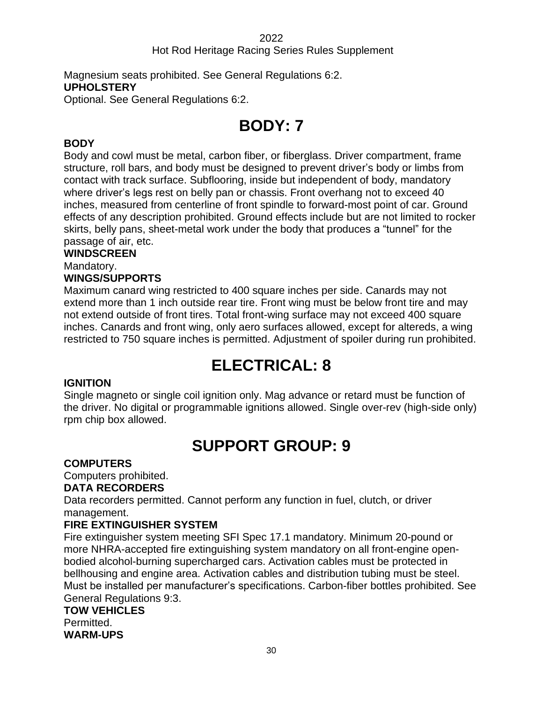Magnesium seats prohibited. See General Regulations 6:2. **UPHOLSTERY** Optional. See General Regulations 6:2.

# **BODY: 7**

### <span id="page-29-0"></span>**BODY**

Body and cowl must be metal, carbon fiber, or fiberglass. Driver compartment, frame structure, roll bars, and body must be designed to prevent driver's body or limbs from contact with track surface. Subflooring, inside but independent of body, mandatory where driver's legs rest on belly pan or chassis. Front overhang not to exceed 40 inches, measured from centerline of front spindle to forward-most point of car. Ground effects of any description prohibited. Ground effects include but are not limited to rocker skirts, belly pans, sheet-metal work under the body that produces a "tunnel" for the passage of air, etc.

### **WINDSCREEN**

Mandatory.

### **WINGS/SUPPORTS**

Maximum canard wing restricted to 400 square inches per side. Canards may not extend more than 1 inch outside rear tire. Front wing must be below front tire and may not extend outside of front tires. Total front-wing surface may not exceed 400 square inches. Canards and front wing, only aero surfaces allowed, except for altereds, a wing restricted to 750 square inches is permitted. Adjustment of spoiler during run prohibited.

### **ELECTRICAL: 8**

### <span id="page-29-1"></span>**IGNITION**

Single magneto or single coil ignition only. Mag advance or retard must be function of the driver. No digital or programmable ignitions allowed. Single over-rev (high-side only) rpm chip box allowed.

### **SUPPORT GROUP: 9**

### <span id="page-29-2"></span>**COMPUTERS**

Computers prohibited.

### **DATA RECORDERS**

Data recorders permitted. Cannot perform any function in fuel, clutch, or driver management.

### **FIRE EXTINGUISHER SYSTEM**

Fire extinguisher system meeting SFI Spec 17.1 mandatory. Minimum 20-pound or more NHRA-accepted fire extinguishing system mandatory on all front-engine openbodied alcohol-burning supercharged cars. Activation cables must be protected in bellhousing and engine area. Activation cables and distribution tubing must be steel. Must be installed per manufacturer's specifications. Carbon-fiber bottles prohibited. See General Regulations 9:3.

### **TOW VEHICLES**

Permitted. **WARM-UPS**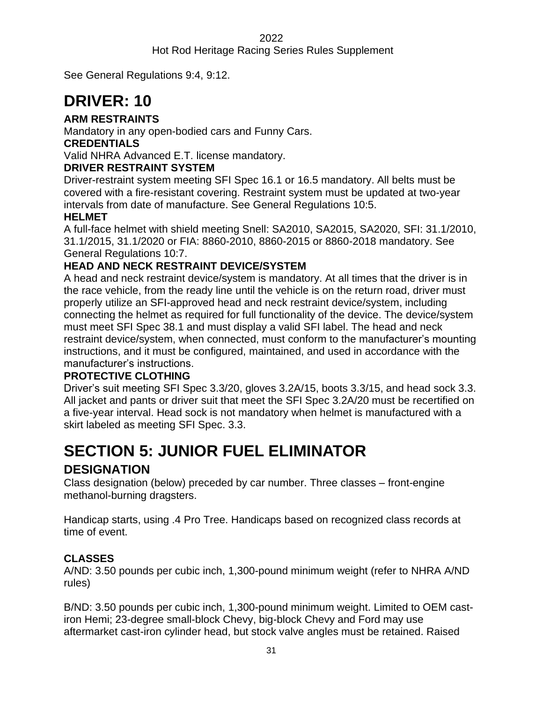### Hot Rod Heritage Racing Series Rules Supplement

See General Regulations 9:4, 9:12.

# <span id="page-30-0"></span>**DRIVER: 10**

### **ARM RESTRAINTS**

Mandatory in any open-bodied cars and Funny Cars.

### **CREDENTIALS**

Valid NHRA Advanced E.T. license mandatory.

### **DRIVER RESTRAINT SYSTEM**

Driver-restraint system meeting SFI Spec 16.1 or 16.5 mandatory. All belts must be covered with a fire-resistant covering. Restraint system must be updated at two-year intervals from date of manufacture. See General Regulations 10:5.

### **HELMET**

A full-face helmet with shield meeting Snell: SA2010, SA2015, SA2020, SFI: 31.1/2010, 31.1/2015, 31.1/2020 or FIA: 8860-2010, 8860-2015 or 8860-2018 mandatory. See General Regulations 10:7.

### **HEAD AND NECK RESTRAINT DEVICE/SYSTEM**

A head and neck restraint device/system is mandatory. At all times that the driver is in the race vehicle, from the ready line until the vehicle is on the return road, driver must properly utilize an SFI-approved head and neck restraint device/system, including connecting the helmet as required for full functionality of the device. The device/system must meet SFI Spec 38.1 and must display a valid SFI label. The head and neck restraint device/system, when connected, must conform to the manufacturer's mounting instructions, and it must be configured, maintained, and used in accordance with the manufacturer's instructions.

### **PROTECTIVE CLOTHING**

Driver's suit meeting SFI Spec 3.3/20, gloves 3.2A/15, boots 3.3/15, and head sock 3.3. All jacket and pants or driver suit that meet the SFI Spec 3.2A/20 must be recertified on a five-year interval. Head sock is not mandatory when helmet is manufactured with a skirt labeled as meeting SFI Spec. 3.3.

# <span id="page-30-1"></span>**SECTION 5: JUNIOR FUEL ELIMINATOR**

### **DESIGNATION**

Class designation (below) preceded by car number. Three classes – front-engine methanol-burning dragsters.

Handicap starts, using .4 Pro Tree. Handicaps based on recognized class records at time of event.

### **CLASSES**

A/ND: 3.50 pounds per cubic inch, 1,300-pound minimum weight (refer to NHRA A/ND rules)

B/ND: 3.50 pounds per cubic inch, 1,300-pound minimum weight. Limited to OEM castiron Hemi; 23-degree small-block Chevy, big-block Chevy and Ford may use aftermarket cast-iron cylinder head, but stock valve angles must be retained. Raised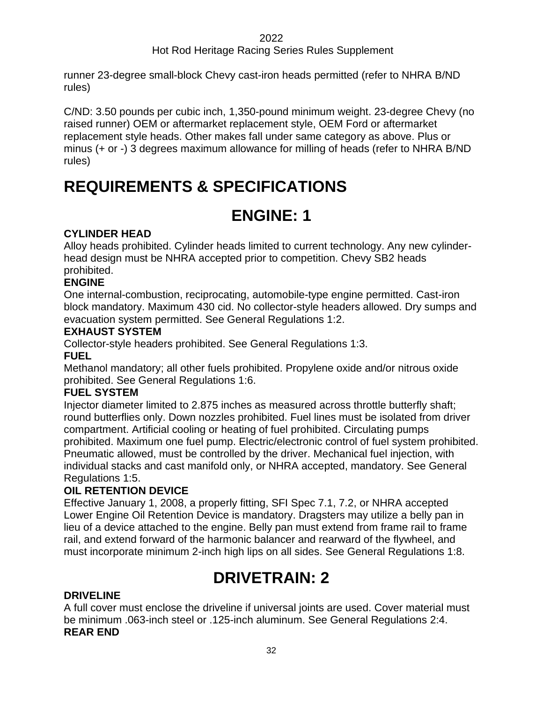### Hot Rod Heritage Racing Series Rules Supplement

runner 23-degree small-block Chevy cast-iron heads permitted (refer to NHRA B/ND rules)

C/ND: 3.50 pounds per cubic inch, 1,350-pound minimum weight. 23-degree Chevy (no raised runner) OEM or aftermarket replacement style, OEM Ford or aftermarket replacement style heads. Other makes fall under same category as above. Plus or minus (+ or -) 3 degrees maximum allowance for milling of heads (refer to NHRA B/ND rules)

# <span id="page-31-1"></span><span id="page-31-0"></span>**REQUIREMENTS & SPECIFICATIONS**

## **ENGINE: 1**

### **CYLINDER HEAD**

Alloy heads prohibited. Cylinder heads limited to current technology. Any new cylinderhead design must be NHRA accepted prior to competition. Chevy SB2 heads prohibited.

### **ENGINE**

One internal-combustion, reciprocating, automobile-type engine permitted. Cast-iron block mandatory. Maximum 430 cid. No collector-style headers allowed. Dry sumps and evacuation system permitted. See General Regulations 1:2.

### **EXHAUST SYSTEM**

Collector-style headers prohibited. See General Regulations 1:3.

### **FUEL**

Methanol mandatory; all other fuels prohibited. Propylene oxide and/or nitrous oxide prohibited. See General Regulations 1:6.

### **FUEL SYSTEM**

Injector diameter limited to 2.875 inches as measured across throttle butterfly shaft; round butterflies only. Down nozzles prohibited. Fuel lines must be isolated from driver compartment. Artificial cooling or heating of fuel prohibited. Circulating pumps prohibited. Maximum one fuel pump. Electric/electronic control of fuel system prohibited. Pneumatic allowed, must be controlled by the driver. Mechanical fuel injection, with individual stacks and cast manifold only, or NHRA accepted, mandatory. See General Regulations 1:5.

### **OIL RETENTION DEVICE**

Effective January 1, 2008, a properly fitting, SFI Spec 7.1, 7.2, or NHRA accepted Lower Engine Oil Retention Device is mandatory. Dragsters may utilize a belly pan in lieu of a device attached to the engine. Belly pan must extend from frame rail to frame rail, and extend forward of the harmonic balancer and rearward of the flywheel, and must incorporate minimum 2-inch high lips on all sides. See General Regulations 1:8.

# **DRIVETRAIN: 2**

### <span id="page-31-2"></span>**DRIVELINE**

A full cover must enclose the driveline if universal joints are used. Cover material must be minimum .063-inch steel or .125-inch aluminum. See General Regulations 2:4. **REAR END**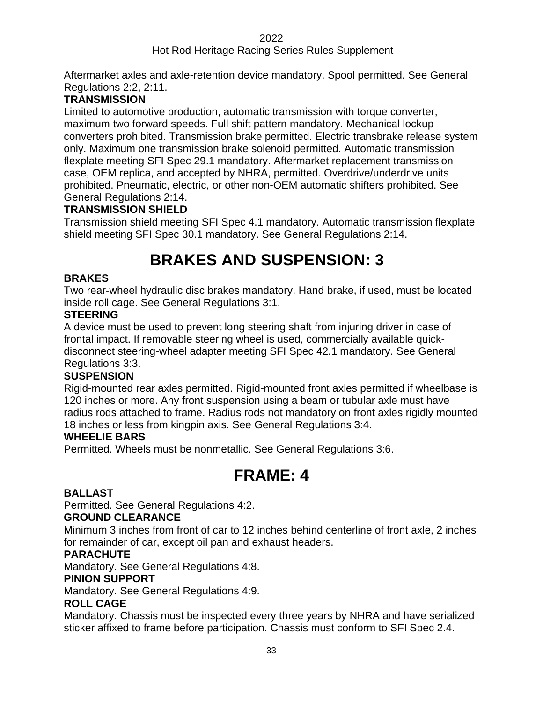### Hot Rod Heritage Racing Series Rules Supplement

Aftermarket axles and axle-retention device mandatory. Spool permitted. See General Regulations 2:2, 2:11.

### **TRANSMISSION**

Limited to automotive production, automatic transmission with torque converter, maximum two forward speeds. Full shift pattern mandatory. Mechanical lockup converters prohibited. Transmission brake permitted. Electric transbrake release system only. Maximum one transmission brake solenoid permitted. Automatic transmission flexplate meeting SFI Spec 29.1 mandatory. Aftermarket replacement transmission case, OEM replica, and accepted by NHRA, permitted. Overdrive/underdrive units prohibited. Pneumatic, electric, or other non-OEM automatic shifters prohibited. See General Regulations 2:14.

### **TRANSMISSION SHIELD**

<span id="page-32-0"></span>Transmission shield meeting SFI Spec 4.1 mandatory. Automatic transmission flexplate shield meeting SFI Spec 30.1 mandatory. See General Regulations 2:14.

# **BRAKES AND SUSPENSION: 33**

### **BRAKES**

Two rear-wheel hydraulic disc brakes mandatory. Hand brake, if used, must be located inside roll cage. See General Regulations 3:1.

### **STEERING**

A device must be used to prevent long steering shaft from injuring driver in case of frontal impact. If removable steering wheel is used, commercially available quickdisconnect steering-wheel adapter meeting SFI Spec 42.1 mandatory. See General Regulations 3:3.

### **SUSPENSION**

Rigid-mounted rear axles permitted. Rigid-mounted front axles permitted if wheelbase is 120 inches or more. Any front suspension using a beam or tubular axle must have radius rods attached to frame. Radius rods not mandatory on front axles rigidly mounted 18 inches or less from kingpin axis. See General Regulations 3:4.

### **WHEELIE BARS**

<span id="page-32-1"></span>Permitted. Wheels must be nonmetallic. See General Regulations 3:6.

### **FRAME: 4**

### **BALLAST**

Permitted. See General Regulations 4:2.

### **GROUND CLEARANCE**

Minimum 3 inches from front of car to 12 inches behind centerline of front axle, 2 inches for remainder of car, except oil pan and exhaust headers.

### **PARACHUTE**

Mandatory. See General Regulations 4:8.

### **PINION SUPPORT**

Mandatory. See General Regulations 4:9.

### **ROLL CAGE**

Mandatory. Chassis must be inspected every three years by NHRA and have serialized sticker affixed to frame before participation. Chassis must conform to SFI Spec 2.4.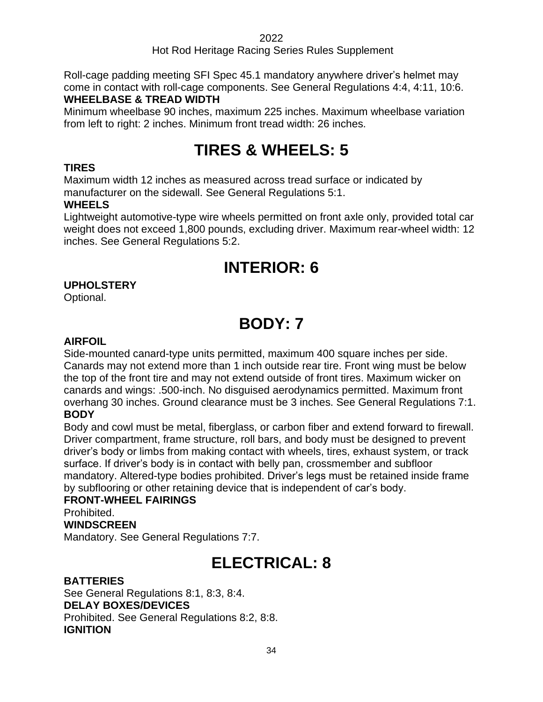### Hot Rod Heritage Racing Series Rules Supplement

Roll-cage padding meeting SFI Spec 45.1 mandatory anywhere driver's helmet may come in contact with roll-cage components. See General Regulations 4:4, 4:11, 10:6. **WHEELBASE & TREAD WIDTH**

<span id="page-33-0"></span>Minimum wheelbase 90 inches, maximum 225 inches. Maximum wheelbase variation from left to right: 2 inches. Minimum front tread width: 26 inches.

# **TIRES & WHEELS: 5**

### **TIRES**

Maximum width 12 inches as measured across tread surface or indicated by manufacturer on the sidewall. See General Regulations 5:1.

### **WHEELS**

Lightweight automotive-type wire wheels permitted on front axle only, provided total car weight does not exceed 1,800 pounds, excluding driver. Maximum rear-wheel width: 12 inches. See General Regulations 5:2.

### **INTERIOR: 6**

### <span id="page-33-1"></span>**UPHOLSTERY**

<span id="page-33-2"></span>Optional.

# **BODY: 7**

### **AIRFOIL**

Side-mounted canard-type units permitted, maximum 400 square inches per side. Canards may not extend more than 1 inch outside rear tire. Front wing must be below the top of the front tire and may not extend outside of front tires. Maximum wicker on canards and wings: .500-inch. No disguised aerodynamics permitted. Maximum front overhang 30 inches. Ground clearance must be 3 inches. See General Regulations 7:1. **BODY**

Body and cowl must be metal, fiberglass, or carbon fiber and extend forward to firewall. Driver compartment, frame structure, roll bars, and body must be designed to prevent driver's body or limbs from making contact with wheels, tires, exhaust system, or track surface. If driver's body is in contact with belly pan, crossmember and subfloor mandatory. Altered-type bodies prohibited. Driver's legs must be retained inside frame by subflooring or other retaining device that is independent of car's body.

### **FRONT-WHEEL FAIRINGS**

Prohibited.

### **WINDSCREEN**

<span id="page-33-3"></span>Mandatory. See General Regulations 7:7.

### **ELECTRICAL: 8**

### **BATTERIES**

See General Regulations 8:1, 8:3, 8:4. **DELAY BOXES/DEVICES** Prohibited. See General Regulations 8:2, 8:8. **IGNITION**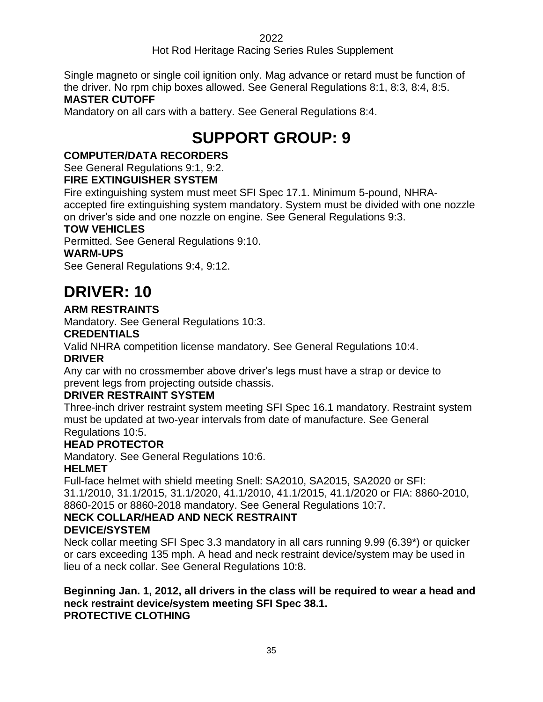### Hot Rod Heritage Racing Series Rules Supplement

Single magneto or single coil ignition only. Mag advance or retard must be function of the driver. No rpm chip boxes allowed. See General Regulations 8:1, 8:3, 8:4, 8:5.

### **MASTER CUTOFF**

<span id="page-34-0"></span>Mandatory on all cars with a battery. See General Regulations 8:4.

# **SUPPORT GROUP: 9**

### **COMPUTER/DATA RECORDERS**

See General Regulations 9:1, 9:2.

### **FIRE EXTINGUISHER SYSTEM**

Fire extinguishing system must meet SFI Spec 17.1. Minimum 5-pound, NHRAaccepted fire extinguishing system mandatory. System must be divided with one nozzle on driver's side and one nozzle on engine. See General Regulations 9:3.

### **TOW VEHICLES**

Permitted. See General Regulations 9:10.

### **WARM-UPS**

See General Regulations 9:4, 9:12.

# <span id="page-34-1"></span>**DRIVER: 10**

### **ARM RESTRAINTS**

Mandatory. See General Regulations 10:3.

### **CREDENTIALS**

Valid NHRA competition license mandatory. See General Regulations 10:4.

### **DRIVER**

Any car with no crossmember above driver's legs must have a strap or device to prevent legs from projecting outside chassis.

### **DRIVER RESTRAINT SYSTEM**

Three-inch driver restraint system meeting SFI Spec 16.1 mandatory. Restraint system must be updated at two-year intervals from date of manufacture. See General Regulations 10:5.

### **HEAD PROTECTOR**

Mandatory. See General Regulations 10:6.

### **HELMET**

Full-face helmet with shield meeting Snell: SA2010, SA2015, SA2020 or SFI: 31.1/2010, 31.1/2015, 31.1/2020, 41.1/2010, 41.1/2015, 41.1/2020 or FIA: 8860-2010, 8860-2015 or 8860-2018 mandatory. See General Regulations 10:7.

### **NECK COLLAR/HEAD AND NECK RESTRAINT**

### **DEVICE/SYSTEM**

Neck collar meeting SFI Spec 3.3 mandatory in all cars running 9.99 (6.39\*) or quicker or cars exceeding 135 mph. A head and neck restraint device/system may be used in lieu of a neck collar. See General Regulations 10:8.

#### **Beginning Jan. 1, 2012, all drivers in the class will be required to wear a head and neck restraint device/system meeting SFI Spec 38.1. PROTECTIVE CLOTHING**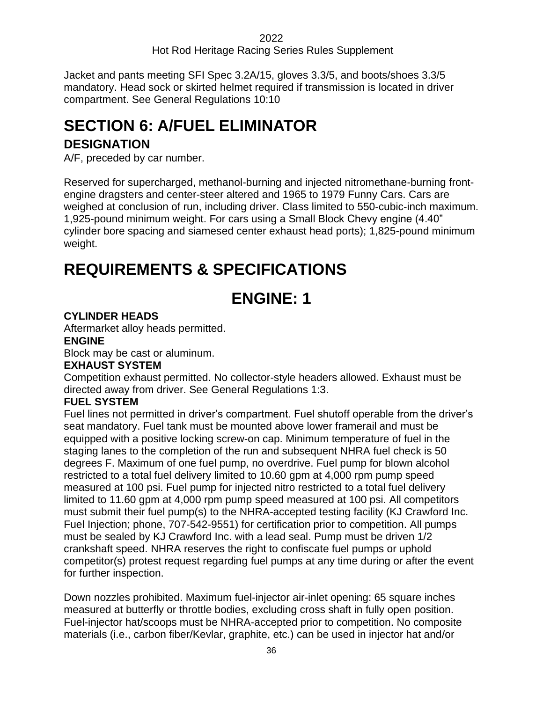Jacket and pants meeting SFI Spec 3.2A/15, gloves 3.3/5, and boots/shoes 3.3/5 mandatory. Head sock or skirted helmet required if transmission is located in driver compartment. See General Regulations 10:10

### <span id="page-35-0"></span>**SECTION 6: A/FUEL ELIMINATOR**

### **DESIGNATION**

A/F, preceded by car number.

Reserved for supercharged, methanol-burning and injected nitromethane-burning frontengine dragsters and center-steer altered and 1965 to 1979 Funny Cars. Cars are weighed at conclusion of run, including driver. Class limited to 550-cubic-inch maximum. 1,925-pound minimum weight. For cars using a Small Block Chevy engine (4.40" cylinder bore spacing and siamesed center exhaust head ports); 1,825-pound minimum weight.

### <span id="page-35-2"></span><span id="page-35-1"></span>**REQUIREMENTS & SPECIFICATIONS**

# **ENGINE: 1**

### **CYLINDER HEADS**

Aftermarket alloy heads permitted.

### **ENGINE**

Block may be cast or aluminum.

### **EXHAUST SYSTEM**

Competition exhaust permitted. No collector-style headers allowed. Exhaust must be directed away from driver. See General Regulations 1:3.

### **FUEL SYSTEM**

Fuel lines not permitted in driver's compartment. Fuel shutoff operable from the driver's seat mandatory. Fuel tank must be mounted above lower framerail and must be equipped with a positive locking screw-on cap. Minimum temperature of fuel in the staging lanes to the completion of the run and subsequent NHRA fuel check is 50 degrees F. Maximum of one fuel pump, no overdrive. Fuel pump for blown alcohol restricted to a total fuel delivery limited to 10.60 gpm at 4,000 rpm pump speed measured at 100 psi. Fuel pump for injected nitro restricted to a total fuel delivery limited to 11.60 gpm at 4,000 rpm pump speed measured at 100 psi. All competitors must submit their fuel pump(s) to the NHRA-accepted testing facility (KJ Crawford Inc. Fuel Injection; phone, 707-542-9551) for certification prior to competition. All pumps must be sealed by KJ Crawford Inc. with a lead seal. Pump must be driven 1/2 crankshaft speed. NHRA reserves the right to confiscate fuel pumps or uphold competitor(s) protest request regarding fuel pumps at any time during or after the event for further inspection.

Down nozzles prohibited. Maximum fuel-injector air-inlet opening: 65 square inches measured at butterfly or throttle bodies, excluding cross shaft in fully open position. Fuel-injector hat/scoops must be NHRA-accepted prior to competition. No composite materials (i.e., carbon fiber/Kevlar, graphite, etc.) can be used in injector hat and/or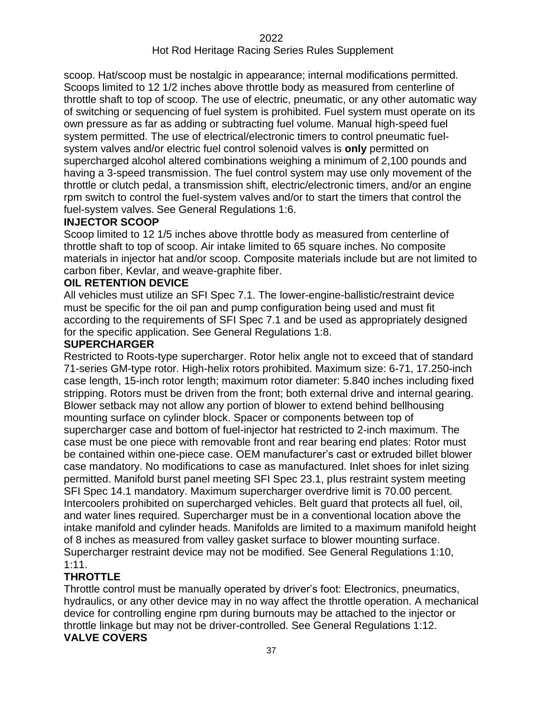scoop. Hat/scoop must be nostalgic in appearance; internal modifications permitted. Scoops limited to 12 1/2 inches above throttle body as measured from centerline of throttle shaft to top of scoop. The use of electric, pneumatic, or any other automatic way of switching or sequencing of fuel system is prohibited. Fuel system must operate on its own pressure as far as adding or subtracting fuel volume. Manual high-speed fuel system permitted. The use of electrical/electronic timers to control pneumatic fuelsystem valves and/or electric fuel control solenoid valves is **only** permitted on supercharged alcohol altered combinations weighing a minimum of 2,100 pounds and having a 3-speed transmission. The fuel control system may use only movement of the throttle or clutch pedal, a transmission shift, electric/electronic timers, and/or an engine rpm switch to control the fuel-system valves and/or to start the timers that control the fuel-system valves. See General Regulations 1:6.

## **INJECTOR SCOOP**

Scoop limited to 12 1/5 inches above throttle body as measured from centerline of throttle shaft to top of scoop. Air intake limited to 65 square inches. No composite materials in injector hat and/or scoop. Composite materials include but are not limited to carbon fiber, Kevlar, and weave-graphite fiber.

#### **OIL RETENTION DEVICE**

All vehicles must utilize an SFI Spec 7.1. The lower-engine-ballistic/restraint device must be specific for the oil pan and pump configuration being used and must fit according to the requirements of SFI Spec 7.1 and be used as appropriately designed for the specific application. See General Regulations 1:8.

#### **SUPERCHARGER**

Restricted to Roots-type supercharger. Rotor helix angle not to exceed that of standard 71-series GM-type rotor. High-helix rotors prohibited. Maximum size: 6-71, 17.250-inch case length, 15-inch rotor length; maximum rotor diameter: 5.840 inches including fixed stripping. Rotors must be driven from the front; both external drive and internal gearing. Blower setback may not allow any portion of blower to extend behind bellhousing mounting surface on cylinder block. Spacer or components between top of supercharger case and bottom of fuel-injector hat restricted to 2-inch maximum. The case must be one piece with removable front and rear bearing end plates: Rotor must be contained within one-piece case. OEM manufacturer's cast or extruded billet blower case mandatory. No modifications to case as manufactured. Inlet shoes for inlet sizing permitted. Manifold burst panel meeting SFI Spec 23.1, plus restraint system meeting SFI Spec 14.1 mandatory. Maximum supercharger overdrive limit is 70.00 percent. Intercoolers prohibited on supercharged vehicles. Belt guard that protects all fuel, oil, and water lines required. Supercharger must be in a conventional location above the intake manifold and cylinder heads. Manifolds are limited to a maximum manifold height of 8 inches as measured from valley gasket surface to blower mounting surface. Supercharger restraint device may not be modified. See General Regulations 1:10, 1:11.

## **THROTTLE**

Throttle control must be manually operated by driver's foot: Electronics, pneumatics, hydraulics, or any other device may in no way affect the throttle operation. A mechanical device for controlling engine rpm during burnouts may be attached to the injector or throttle linkage but may not be driver-controlled. See General Regulations 1:12. **VALVE COVERS**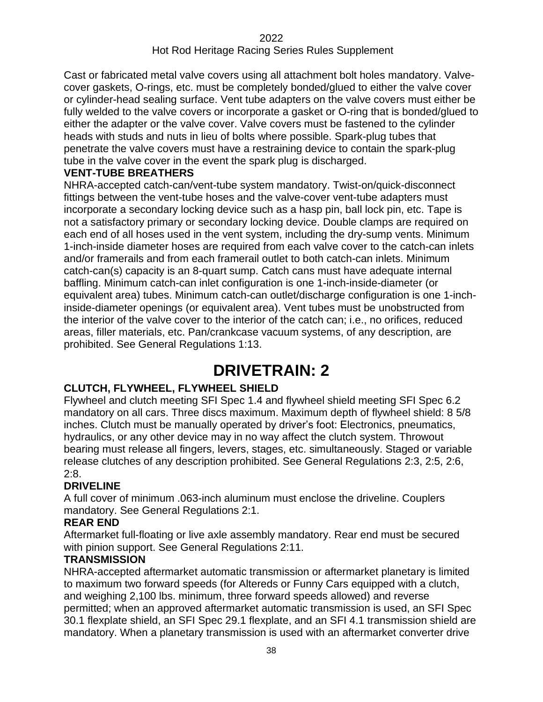Cast or fabricated metal valve covers using all attachment bolt holes mandatory. Valvecover gaskets, O-rings, etc. must be completely bonded/glued to either the valve cover or cylinder-head sealing surface. Vent tube adapters on the valve covers must either be fully welded to the valve covers or incorporate a gasket or O-ring that is bonded/glued to either the adapter or the valve cover. Valve covers must be fastened to the cylinder heads with studs and nuts in lieu of bolts where possible. Spark-plug tubes that penetrate the valve covers must have a restraining device to contain the spark-plug tube in the valve cover in the event the spark plug is discharged.

#### **VENT-TUBE BREATHERS**

NHRA-accepted catch-can/vent-tube system mandatory. Twist-on/quick-disconnect fittings between the vent-tube hoses and the valve-cover vent-tube adapters must incorporate a secondary locking device such as a hasp pin, ball lock pin, etc. Tape is not a satisfactory primary or secondary locking device. Double clamps are required on each end of all hoses used in the vent system, including the dry-sump vents. Minimum 1-inch-inside diameter hoses are required from each valve cover to the catch-can inlets and/or framerails and from each framerail outlet to both catch-can inlets. Minimum catch-can(s) capacity is an 8-quart sump. Catch cans must have adequate internal baffling. Minimum catch-can inlet configuration is one 1-inch-inside-diameter (or equivalent area) tubes. Minimum catch-can outlet/discharge configuration is one 1-inchinside-diameter openings (or equivalent area). Vent tubes must be unobstructed from the interior of the valve cover to the interior of the catch can; i.e., no orifices, reduced areas, filler materials, etc. Pan/crankcase vacuum systems, of any description, are prohibited. See General Regulations 1:13.

# **DRIVETRAIN: 2**

## **CLUTCH, FLYWHEEL, FLYWHEEL SHIELD**

Flywheel and clutch meeting SFI Spec 1.4 and flywheel shield meeting SFI Spec 6.2 mandatory on all cars. Three discs maximum. Maximum depth of flywheel shield: 8 5/8 inches. Clutch must be manually operated by driver's foot: Electronics, pneumatics, hydraulics, or any other device may in no way affect the clutch system. Throwout bearing must release all fingers, levers, stages, etc. simultaneously. Staged or variable release clutches of any description prohibited. See General Regulations 2:3, 2:5, 2:6, 2:8.

## **DRIVELINE**

A full cover of minimum .063-inch aluminum must enclose the driveline. Couplers mandatory. See General Regulations 2:1.

#### **REAR END**

Aftermarket full-floating or live axle assembly mandatory. Rear end must be secured with pinion support. See General Regulations 2:11.

#### **TRANSMISSION**

NHRA-accepted aftermarket automatic transmission or aftermarket planetary is limited to maximum two forward speeds (for Altereds or Funny Cars equipped with a clutch, and weighing 2,100 lbs. minimum, three forward speeds allowed) and reverse permitted; when an approved aftermarket automatic transmission is used, an SFI Spec 30.1 flexplate shield, an SFI Spec 29.1 flexplate, and an SFI 4.1 transmission shield are mandatory. When a planetary transmission is used with an aftermarket converter drive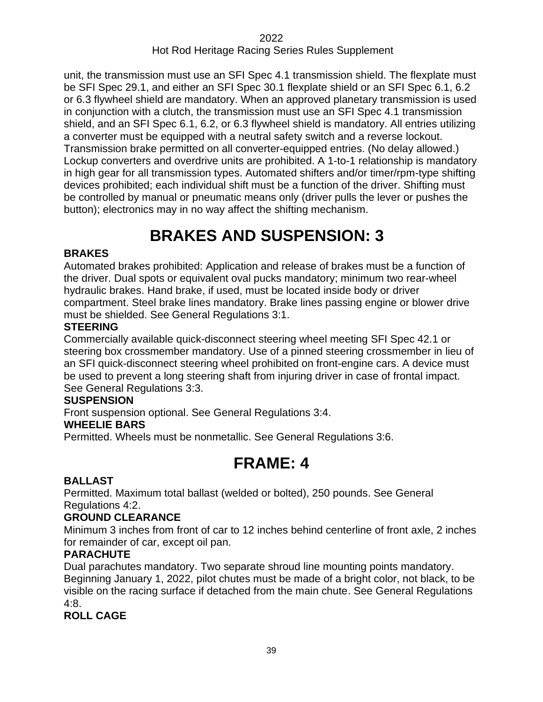unit, the transmission must use an SFI Spec 4.1 transmission shield. The flexplate must be SFI Spec 29.1, and either an SFI Spec 30.1 flexplate shield or an SFI Spec 6.1, 6.2 or 6.3 flywheel shield are mandatory. When an approved planetary transmission is used in conjunction with a clutch, the transmission must use an SFI Spec 4.1 transmission shield, and an SFI Spec 6.1, 6.2, or 6.3 flywheel shield is mandatory. All entries utilizing a converter must be equipped with a neutral safety switch and a reverse lockout. Transmission brake permitted on all converter-equipped entries. (No delay allowed.) Lockup converters and overdrive units are prohibited. A 1-to-1 relationship is mandatory in high gear for all transmission types. Automated shifters and/or timer/rpm-type shifting devices prohibited; each individual shift must be a function of the driver. Shifting must be controlled by manual or pneumatic means only (driver pulls the lever or pushes the button); electronics may in no way affect the shifting mechanism.

# **BRAKES AND SUSPENSION: 33**

## **BRAKES**

Automated brakes prohibited: Application and release of brakes must be a function of the driver. Dual spots or equivalent oval pucks mandatory; minimum two rear-wheel hydraulic brakes. Hand brake, if used, must be located inside body or driver compartment. Steel brake lines mandatory. Brake lines passing engine or blower drive must be shielded. See General Regulations 3:1.

#### **STEERING**

Commercially available quick-disconnect steering wheel meeting SFI Spec 42.1 or steering box crossmember mandatory. Use of a pinned steering crossmember in lieu of an SFI quick-disconnect steering wheel prohibited on front-engine cars. A device must be used to prevent a long steering shaft from injuring driver in case of frontal impact. See General Regulations 3:3.

#### **SUSPENSION**

Front suspension optional. See General Regulations 3:4.

#### **WHEELIE BARS**

Permitted. Wheels must be nonmetallic. See General Regulations 3:6.

# **FRAME: 4**

## **BALLAST**

Permitted. Maximum total ballast (welded or bolted), 250 pounds. See General Regulations 4:2.

## **GROUND CLEARANCE**

Minimum 3 inches from front of car to 12 inches behind centerline of front axle, 2 inches for remainder of car, except oil pan.

## **PARACHUTE**

Dual parachutes mandatory. Two separate shroud line mounting points mandatory. Beginning January 1, 2022, pilot chutes must be made of a bright color, not black, to be visible on the racing surface if detached from the main chute. See General Regulations 4:8.

## **ROLL CAGE**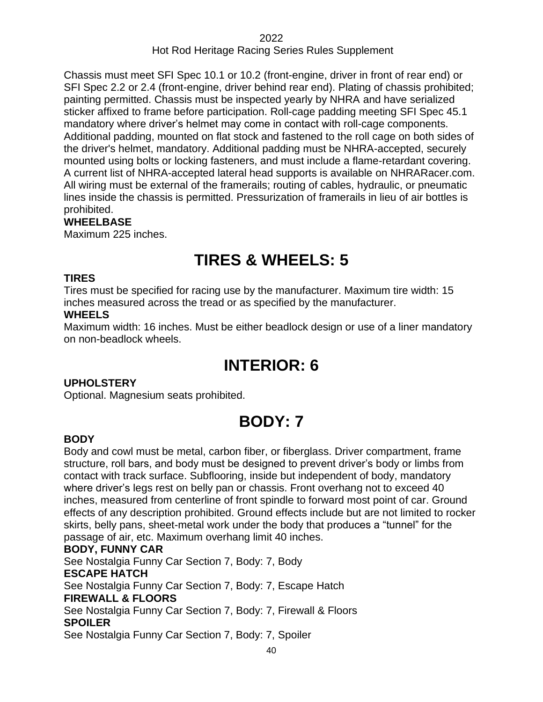Chassis must meet SFI Spec 10.1 or 10.2 (front-engine, driver in front of rear end) or SFI Spec 2.2 or 2.4 (front-engine, driver behind rear end). Plating of chassis prohibited; painting permitted. Chassis must be inspected yearly by NHRA and have serialized sticker affixed to frame before participation. Roll-cage padding meeting SFI Spec 45.1 mandatory where driver's helmet may come in contact with roll-cage components. Additional padding, mounted on flat stock and fastened to the roll cage on both sides of the driver's helmet, mandatory. Additional padding must be NHRA-accepted, securely mounted using bolts or locking fasteners, and must include a flame-retardant covering. A current list of NHRA-accepted lateral head supports is available on NHRARacer.com. All wiring must be external of the framerails; routing of cables, hydraulic, or pneumatic lines inside the chassis is permitted. Pressurization of framerails in lieu of air bottles is prohibited.

#### **WHEELBASE**

Maximum 225 inches.

# **TIRES & WHEELS: 5**

#### **TIRES**

Tires must be specified for racing use by the manufacturer. Maximum tire width: 15 inches measured across the tread or as specified by the manufacturer.

#### **WHEELS**

Maximum width: 16 inches. Must be either beadlock design or use of a liner mandatory on non-beadlock wheels.

# **INTERIOR: 6**

## **UPHOLSTERY**

Optional. Magnesium seats prohibited.

# **BODY: 7**

## **BODY**

Body and cowl must be metal, carbon fiber, or fiberglass. Driver compartment, frame structure, roll bars, and body must be designed to prevent driver's body or limbs from contact with track surface. Subflooring, inside but independent of body, mandatory where driver's legs rest on belly pan or chassis. Front overhang not to exceed 40 inches, measured from centerline of front spindle to forward most point of car. Ground effects of any description prohibited. Ground effects include but are not limited to rocker skirts, belly pans, sheet-metal work under the body that produces a "tunnel" for the passage of air, etc. Maximum overhang limit 40 inches.

## **BODY, FUNNY CAR**

See Nostalgia Funny Car Section 7, Body: 7, Body **ESCAPE HATCH** See Nostalgia Funny Car Section 7, Body: 7, Escape Hatch **FIREWALL & FLOORS** See Nostalgia Funny Car Section 7, Body: 7, Firewall & Floors **SPOILER** See Nostalgia Funny Car Section 7, Body: 7, Spoiler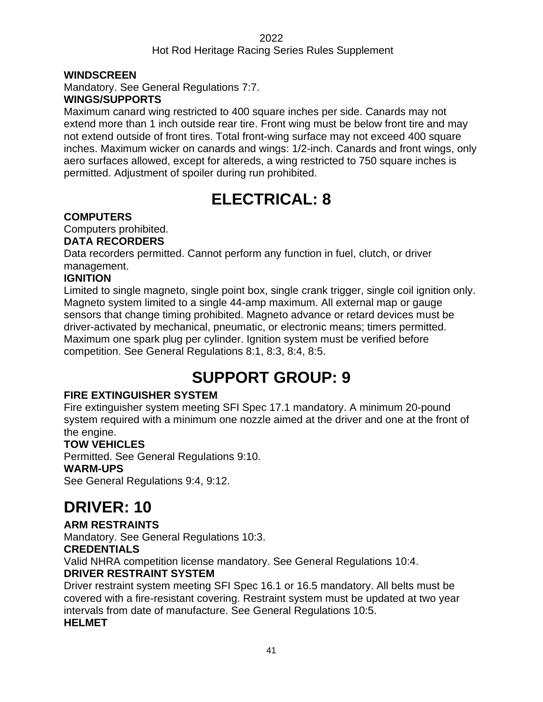#### **WINDSCREEN**

Mandatory. See General Regulations 7:7.

#### **WINGS/SUPPORTS**

Maximum canard wing restricted to 400 square inches per side. Canards may not extend more than 1 inch outside rear tire. Front wing must be below front tire and may not extend outside of front tires. Total front-wing surface may not exceed 400 square inches. Maximum wicker on canards and wings: 1/2-inch. Canards and front wings, only aero surfaces allowed, except for altereds, a wing restricted to 750 square inches is permitted. Adjustment of spoiler during run prohibited.

# **ELECTRICAL: 8**

## **COMPUTERS**

Computers prohibited.

#### **DATA RECORDERS**

Data recorders permitted. Cannot perform any function in fuel, clutch, or driver management.

## **IGNITION**

Limited to single magneto, single point box, single crank trigger, single coil ignition only. Magneto system limited to a single 44-amp maximum. All external map or gauge sensors that change timing prohibited. Magneto advance or retard devices must be driver-activated by mechanical, pneumatic, or electronic means; timers permitted. Maximum one spark plug per cylinder. Ignition system must be verified before competition. See General Regulations 8:1, 8:3, 8:4, 8:5.

# **SUPPORT GROUP: 9**

## **FIRE EXTINGUISHER SYSTEM**

Fire extinguisher system meeting SFI Spec 17.1 mandatory. A minimum 20-pound system required with a minimum one nozzle aimed at the driver and one at the front of the engine.

## **TOW VEHICLES**

Permitted. See General Regulations 9:10.

#### **WARM-UPS**

See General Regulations 9:4, 9:12.

# **DRIVER: 10**

## **ARM RESTRAINTS**

Mandatory. See General Regulations 10:3.

## **CREDENTIALS**

Valid NHRA competition license mandatory. See General Regulations 10:4.

## **DRIVER RESTRAINT SYSTEM**

Driver restraint system meeting SFI Spec 16.1 or 16.5 mandatory. All belts must be covered with a fire-resistant covering. Restraint system must be updated at two year intervals from date of manufacture. See General Regulations 10:5. **HELMET**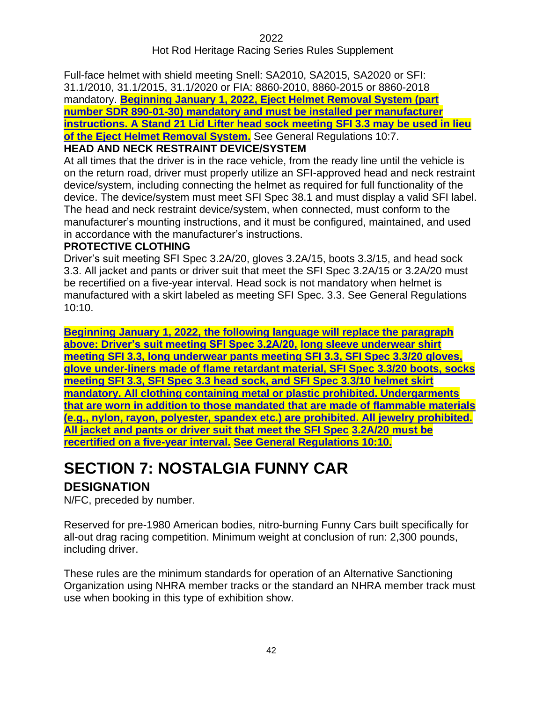## Hot Rod Heritage Racing Series Rules Supplement

Full-face helmet with shield meeting Snell: SA2010, SA2015, SA2020 or SFI: 31.1/2010, 31.1/2015, 31.1/2020 or FIA: 8860-2010, 8860-2015 or 8860-2018 mandatory. **Beginning January 1, 2022, Eject Helmet Removal System (part number SDR 890-01-30) mandatory and must be installed per manufacturer instructions. A Stand 21 Lid Lifter head sock meeting SFI 3.3 may be used in lieu of the Eject Helmet Removal System.** See General Regulations 10:7.

## **HEAD AND NECK RESTRAINT DEVICE/SYSTEM**

At all times that the driver is in the race vehicle, from the ready line until the vehicle is on the return road, driver must properly utilize an SFI-approved head and neck restraint device/system, including connecting the helmet as required for full functionality of the device. The device/system must meet SFI Spec 38.1 and must display a valid SFI label. The head and neck restraint device/system, when connected, must conform to the manufacturer's mounting instructions, and it must be configured, maintained, and used in accordance with the manufacturer's instructions.

#### **PROTECTIVE CLOTHING**

Driver's suit meeting SFI Spec 3.2A/20, gloves 3.2A/15, boots 3.3/15, and head sock 3.3. All jacket and pants or driver suit that meet the SFI Spec 3.2A/15 or 3.2A/20 must be recertified on a five-year interval. Head sock is not mandatory when helmet is manufactured with a skirt labeled as meeting SFI Spec. 3.3. See General Regulations 10:10.

**Beginning January 1, 2022, the following language will replace the paragraph above: Driver's suit meeting SFI Spec 3.2A/20, long sleeve underwear shirt meeting SFI 3.3, long underwear pants meeting SFI 3.3, SFI Spec 3.3/20 gloves, glove under-liners made of flame retardant material, SFI Spec 3.3/20 boots, socks meeting SFI 3.3, SFI Spec 3.3 head sock, and SFI Spec 3.3/10 helmet skirt mandatory. All clothing containing metal or plastic prohibited. Undergarments that are worn in addition to those mandated that are made of flammable materials (e.g., nylon, rayon, polyester, spandex etc.) are prohibited. All jewelry prohibited. All jacket and pants or driver suit that meet the SFI Spec 3.2A/20 must be recertified on a five-year interval. See General Regulations 10:10.**

# **SECTION 7: NOSTALGIA FUNNY CAR**

## **DESIGNATION**

N/FC, preceded by number.

Reserved for pre-1980 American bodies, nitro-burning Funny Cars built specifically for all-out drag racing competition. Minimum weight at conclusion of run: 2,300 pounds, including driver.

These rules are the minimum standards for operation of an Alternative Sanctioning Organization using NHRA member tracks or the standard an NHRA member track must use when booking in this type of exhibition show.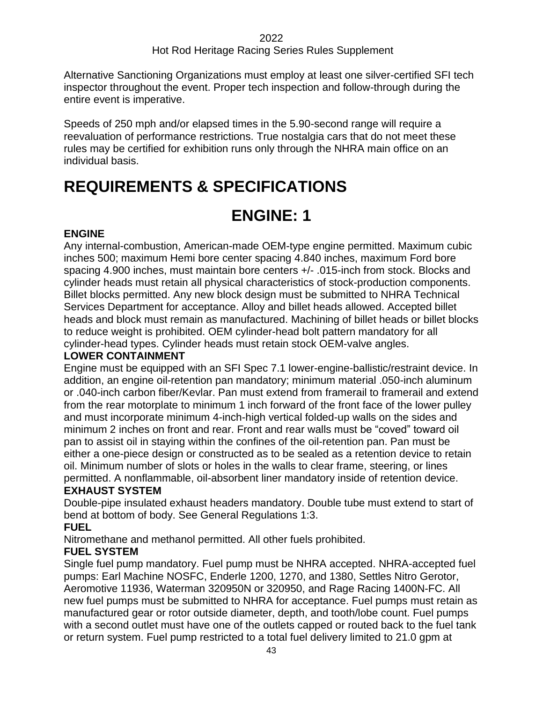Alternative Sanctioning Organizations must employ at least one silver-certified SFI tech inspector throughout the event. Proper tech inspection and follow-through during the entire event is imperative.

Speeds of 250 mph and/or elapsed times in the 5.90-second range will require a reevaluation of performance restrictions. True nostalgia cars that do not meet these rules may be certified for exhibition runs only through the NHRA main office on an individual basis.

# **REQUIREMENTS & SPECIFICATIONS**

# **ENGINE: 1**

## **ENGINE**

Any internal-combustion, American-made OEM-type engine permitted. Maximum cubic inches 500; maximum Hemi bore center spacing 4.840 inches, maximum Ford bore spacing 4.900 inches, must maintain bore centers +/- .015-inch from stock. Blocks and cylinder heads must retain all physical characteristics of stock-production components. Billet blocks permitted. Any new block design must be submitted to NHRA Technical Services Department for acceptance. Alloy and billet heads allowed. Accepted billet heads and block must remain as manufactured. Machining of billet heads or billet blocks to reduce weight is prohibited. OEM cylinder-head bolt pattern mandatory for all cylinder-head types. Cylinder heads must retain stock OEM-valve angles.

## **LOWER CONTAINMENT**

Engine must be equipped with an SFI Spec 7.1 lower-engine-ballistic/restraint device. In addition, an engine oil-retention pan mandatory; minimum material .050-inch aluminum or .040-inch carbon fiber/Kevlar. Pan must extend from framerail to framerail and extend from the rear motorplate to minimum 1 inch forward of the front face of the lower pulley and must incorporate minimum 4-inch-high vertical folded-up walls on the sides and minimum 2 inches on front and rear. Front and rear walls must be "coved" toward oil pan to assist oil in staying within the confines of the oil-retention pan. Pan must be either a one-piece design or constructed as to be sealed as a retention device to retain oil. Minimum number of slots or holes in the walls to clear frame, steering, or lines permitted. A nonflammable, oil-absorbent liner mandatory inside of retention device.

## **EXHAUST SYSTEM**

Double-pipe insulated exhaust headers mandatory. Double tube must extend to start of bend at bottom of body. See General Regulations 1:3.

## **FUEL**

Nitromethane and methanol permitted. All other fuels prohibited.

## **FUEL SYSTEM**

Single fuel pump mandatory. Fuel pump must be NHRA accepted. NHRA-accepted fuel pumps: Earl Machine NOSFC, Enderle 1200, 1270, and 1380, Settles Nitro Gerotor, Aeromotive 11936, Waterman 320950N or 320950, and Rage Racing 1400N-FC. All new fuel pumps must be submitted to NHRA for acceptance. Fuel pumps must retain as manufactured gear or rotor outside diameter, depth, and tooth/lobe count. Fuel pumps with a second outlet must have one of the outlets capped or routed back to the fuel tank or return system. Fuel pump restricted to a total fuel delivery limited to 21.0 gpm at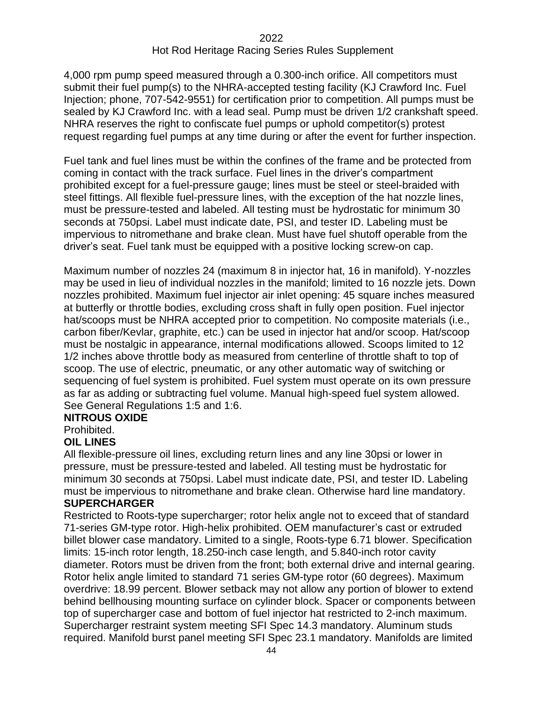4,000 rpm pump speed measured through a 0.300-inch orifice. All competitors must submit their fuel pump(s) to the NHRA-accepted testing facility (KJ Crawford Inc. Fuel Injection; phone, 707-542-9551) for certification prior to competition. All pumps must be sealed by KJ Crawford Inc. with a lead seal. Pump must be driven 1/2 crankshaft speed. NHRA reserves the right to confiscate fuel pumps or uphold competitor(s) protest request regarding fuel pumps at any time during or after the event for further inspection.

Fuel tank and fuel lines must be within the confines of the frame and be protected from coming in contact with the track surface. Fuel lines in the driver's compartment prohibited except for a fuel-pressure gauge; lines must be steel or steel-braided with steel fittings. All flexible fuel-pressure lines, with the exception of the hat nozzle lines, must be pressure-tested and labeled. All testing must be hydrostatic for minimum 30 seconds at 750psi. Label must indicate date, PSI, and tester ID. Labeling must be impervious to nitromethane and brake clean. Must have fuel shutoff operable from the driver's seat. Fuel tank must be equipped with a positive locking screw-on cap.

Maximum number of nozzles 24 (maximum 8 in injector hat, 16 in manifold). Y-nozzles may be used in lieu of individual nozzles in the manifold; limited to 16 nozzle jets. Down nozzles prohibited. Maximum fuel injector air inlet opening: 45 square inches measured at butterfly or throttle bodies, excluding cross shaft in fully open position. Fuel injector hat/scoops must be NHRA accepted prior to competition. No composite materials (i.e., carbon fiber/Kevlar, graphite, etc.) can be used in injector hat and/or scoop. Hat/scoop must be nostalgic in appearance, internal modifications allowed. Scoops limited to 12 1/2 inches above throttle body as measured from centerline of throttle shaft to top of scoop. The use of electric, pneumatic, or any other automatic way of switching or sequencing of fuel system is prohibited. Fuel system must operate on its own pressure as far as adding or subtracting fuel volume. Manual high-speed fuel system allowed. See General Regulations 1:5 and 1:6.

#### **NITROUS OXIDE**

Prohibited.

## **OIL LINES**

All flexible-pressure oil lines, excluding return lines and any line 30psi or lower in pressure, must be pressure-tested and labeled. All testing must be hydrostatic for minimum 30 seconds at 750psi. Label must indicate date, PSI, and tester ID. Labeling must be impervious to nitromethane and brake clean. Otherwise hard line mandatory. **SUPERCHARGER**

Restricted to Roots-type supercharger; rotor helix angle not to exceed that of standard 71-series GM-type rotor. High-helix prohibited. OEM manufacturer's cast or extruded billet blower case mandatory. Limited to a single, Roots-type 6.71 blower. Specification limits: 15-inch rotor length, 18.250-inch case length, and 5.840-inch rotor cavity diameter. Rotors must be driven from the front; both external drive and internal gearing. Rotor helix angle limited to standard 71 series GM-type rotor (60 degrees). Maximum overdrive: 18.99 percent. Blower setback may not allow any portion of blower to extend behind bellhousing mounting surface on cylinder block. Spacer or components between top of supercharger case and bottom of fuel injector hat restricted to 2-inch maximum. Supercharger restraint system meeting SFI Spec 14.3 mandatory. Aluminum studs required. Manifold burst panel meeting SFI Spec 23.1 mandatory. Manifolds are limited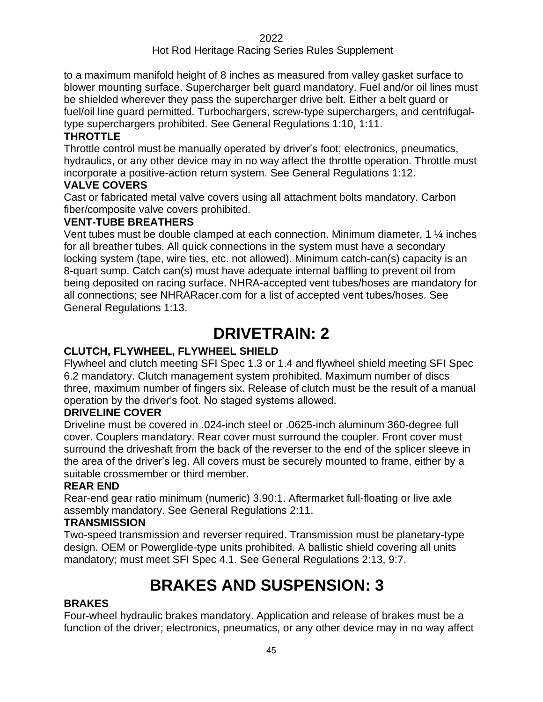to a maximum manifold height of 8 inches as measured from valley gasket surface to blower mounting surface. Supercharger belt guard mandatory. Fuel and/or oil lines must be shielded wherever they pass the supercharger drive belt. Either a belt guard or fuel/oil line guard permitted. Turbochargers, screw-type superchargers, and centrifugaltype superchargers prohibited. See General Regulations 1:10, 1:11.

## **THROTTLE**

Throttle control must be manually operated by driver's foot; electronics, pneumatics, hydraulics, or any other device may in no way affect the throttle operation. Throttle must incorporate a positive-action return system. See General Regulations 1:12.

#### **VALVE COVERS**

Cast or fabricated metal valve covers using all attachment bolts mandatory. Carbon fiber/composite valve covers prohibited.

#### **VENT-TUBE BREATHERS**

Vent tubes must be double clamped at each connection. Minimum diameter, 1 ¼ inches for all breather tubes. All quick connections in the system must have a secondary locking system (tape, wire ties, etc. not allowed). Minimum catch-can(s) capacity is an 8-quart sump. Catch can(s) must have adequate internal baffling to prevent oil from being deposited on racing surface. NHRA-accepted vent tubes/hoses are mandatory for all connections; see NHRARacer.com for a list of accepted vent tubes/hoses. See General Regulations 1:13.

# **DRIVETRAIN: 2**

## **CLUTCH, FLYWHEEL, FLYWHEEL SHIELD**

Flywheel and clutch meeting SFI Spec 1.3 or 1.4 and flywheel shield meeting SFI Spec 6.2 mandatory. Clutch management system prohibited. Maximum number of discs three, maximum number of fingers six. Release of clutch must be the result of a manual operation by the driver's foot. No staged systems allowed.

## **DRIVELINE COVER**

Driveline must be covered in .024-inch steel or .0625-inch aluminum 360-degree full cover. Couplers mandatory. Rear cover must surround the coupler. Front cover must surround the driveshaft from the back of the reverser to the end of the splicer sleeve in the area of the driver's leg. All covers must be securely mounted to frame, either by a suitable crossmember or third member.

#### **REAR END**

Rear-end gear ratio minimum (numeric) 3.90:1. Aftermarket full-floating or live axle assembly mandatory. See General Regulations 2:11.

#### **TRANSMISSION**

Two-speed transmission and reverser required. Transmission must be planetary-type design. OEM or Powerglide-type units prohibited. A ballistic shield covering all units mandatory; must meet SFI Spec 4.1. See General Regulations 2:13, 9:7.

# **BRAKES AND SUSPENSION: 33**

## **BRAKES**

Four-wheel hydraulic brakes mandatory. Application and release of brakes must be a function of the driver; electronics, pneumatics, or any other device may in no way affect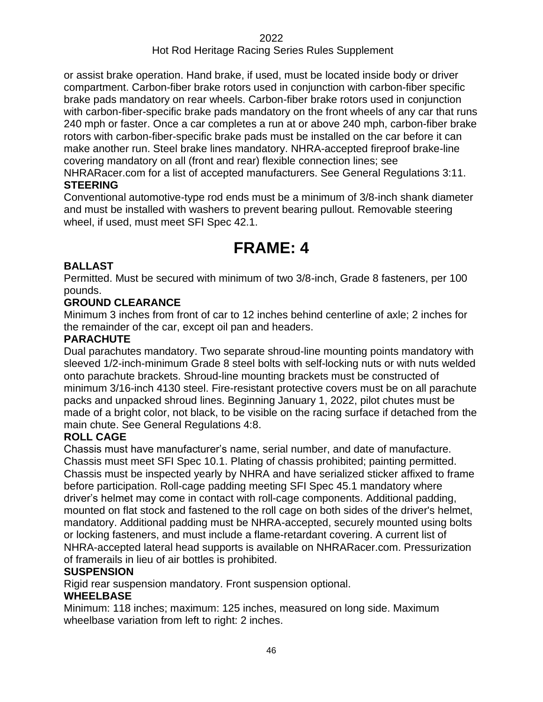or assist brake operation. Hand brake, if used, must be located inside body or driver compartment. Carbon-fiber brake rotors used in conjunction with carbon-fiber specific brake pads mandatory on rear wheels. Carbon-fiber brake rotors used in conjunction with carbon-fiber-specific brake pads mandatory on the front wheels of any car that runs 240 mph or faster. Once a car completes a run at or above 240 mph, carbon-fiber brake rotors with carbon-fiber-specific brake pads must be installed on the car before it can make another run. Steel brake lines mandatory. NHRA-accepted fireproof brake-line covering mandatory on all (front and rear) flexible connection lines; see

NHRARacer.com for a list of accepted manufacturers. See General Regulations 3:11. **STEERING**

Conventional automotive-type rod ends must be a minimum of 3/8-inch shank diameter and must be installed with washers to prevent bearing pullout. Removable steering wheel, if used, must meet SFI Spec 42.1.

# **FRAME: 4**

## **BALLAST**

Permitted. Must be secured with minimum of two 3/8-inch, Grade 8 fasteners, per 100 pounds.

## **GROUND CLEARANCE**

Minimum 3 inches from front of car to 12 inches behind centerline of axle; 2 inches for the remainder of the car, except oil pan and headers.

## **PARACHUTE**

Dual parachutes mandatory. Two separate shroud-line mounting points mandatory with sleeved 1/2-inch-minimum Grade 8 steel bolts with self-locking nuts or with nuts welded onto parachute brackets. Shroud-line mounting brackets must be constructed of minimum 3/16-inch 4130 steel. Fire-resistant protective covers must be on all parachute packs and unpacked shroud lines. Beginning January 1, 2022, pilot chutes must be made of a bright color, not black, to be visible on the racing surface if detached from the main chute. See General Regulations 4:8.

## **ROLL CAGE**

Chassis must have manufacturer's name, serial number, and date of manufacture. Chassis must meet SFI Spec 10.1. Plating of chassis prohibited; painting permitted. Chassis must be inspected yearly by NHRA and have serialized sticker affixed to frame before participation. Roll-cage padding meeting SFI Spec 45.1 mandatory where driver's helmet may come in contact with roll-cage components. Additional padding, mounted on flat stock and fastened to the roll cage on both sides of the driver's helmet, mandatory. Additional padding must be NHRA-accepted, securely mounted using bolts or locking fasteners, and must include a flame-retardant covering. A current list of NHRA-accepted lateral head supports is available on NHRARacer.com. Pressurization of framerails in lieu of air bottles is prohibited.

## **SUSPENSION**

Rigid rear suspension mandatory. Front suspension optional.

## **WHEELBASE**

Minimum: 118 inches; maximum: 125 inches, measured on long side. Maximum wheelbase variation from left to right: 2 inches.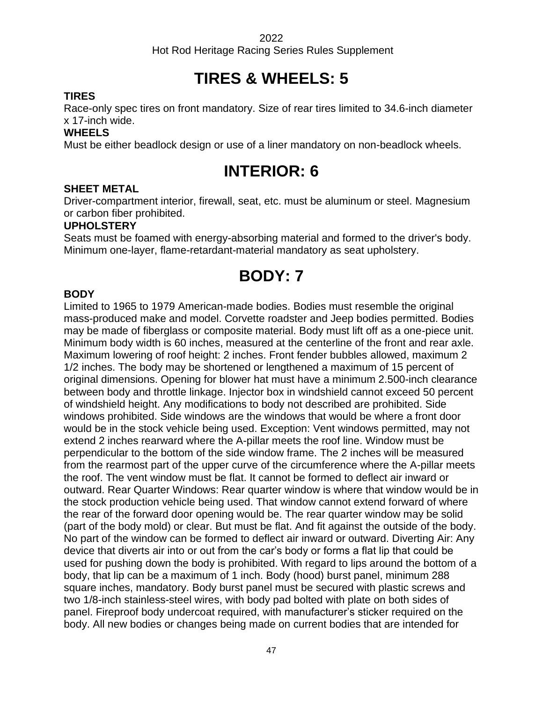Hot Rod Heritage Racing Series Rules Supplement

# **TIRES & WHEELS: 5**

## **TIRES**

Race-only spec tires on front mandatory. Size of rear tires limited to 34.6-inch diameter x 17-inch wide.

#### **WHEELS**

Must be either beadlock design or use of a liner mandatory on non-beadlock wheels.

# **INTERIOR: 6**

#### **SHEET METAL**

Driver-compartment interior, firewall, seat, etc. must be aluminum or steel. Magnesium or carbon fiber prohibited.

#### **UPHOLSTERY**

Seats must be foamed with energy-absorbing material and formed to the driver's body. Minimum one-layer, flame-retardant-material mandatory as seat upholstery.

# **BODY: 7**

#### **BODY**

Limited to 1965 to 1979 American-made bodies. Bodies must resemble the original mass-produced make and model. Corvette roadster and Jeep bodies permitted. Bodies may be made of fiberglass or composite material. Body must lift off as a one-piece unit. Minimum body width is 60 inches, measured at the centerline of the front and rear axle. Maximum lowering of roof height: 2 inches. Front fender bubbles allowed, maximum 2 1/2 inches. The body may be shortened or lengthened a maximum of 15 percent of original dimensions. Opening for blower hat must have a minimum 2.500-inch clearance between body and throttle linkage. Injector box in windshield cannot exceed 50 percent of windshield height. Any modifications to body not described are prohibited. Side windows prohibited. Side windows are the windows that would be where a front door would be in the stock vehicle being used. Exception: Vent windows permitted, may not extend 2 inches rearward where the A-pillar meets the roof line. Window must be perpendicular to the bottom of the side window frame. The 2 inches will be measured from the rearmost part of the upper curve of the circumference where the A-pillar meets the roof. The vent window must be flat. It cannot be formed to deflect air inward or outward. Rear Quarter Windows: Rear quarter window is where that window would be in the stock production vehicle being used. That window cannot extend forward of where the rear of the forward door opening would be. The rear quarter window may be solid (part of the body mold) or clear. But must be flat. And fit against the outside of the body. No part of the window can be formed to deflect air inward or outward. Diverting Air: Any device that diverts air into or out from the car's body or forms a flat lip that could be used for pushing down the body is prohibited. With regard to lips around the bottom of a body, that lip can be a maximum of 1 inch. Body (hood) burst panel, minimum 288 square inches, mandatory. Body burst panel must be secured with plastic screws and two 1/8-inch stainless-steel wires, with body pad bolted with plate on both sides of panel. Fireproof body undercoat required, with manufacturer's sticker required on the body. All new bodies or changes being made on current bodies that are intended for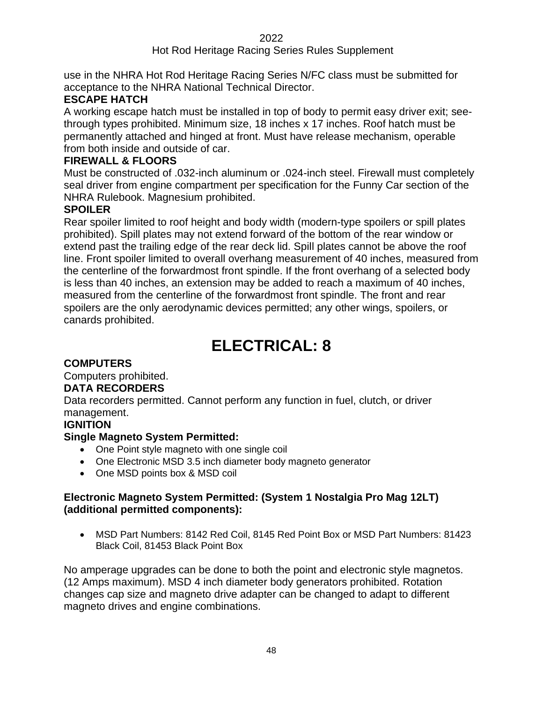## Hot Rod Heritage Racing Series Rules Supplement

use in the NHRA Hot Rod Heritage Racing Series N/FC class must be submitted for acceptance to the NHRA National Technical Director.

## **ESCAPE HATCH**

A working escape hatch must be installed in top of body to permit easy driver exit; seethrough types prohibited. Minimum size, 18 inches x 17 inches. Roof hatch must be permanently attached and hinged at front. Must have release mechanism, operable from both inside and outside of car.

#### **FIREWALL & FLOORS**

Must be constructed of .032-inch aluminum or .024-inch steel. Firewall must completely seal driver from engine compartment per specification for the Funny Car section of the NHRA Rulebook. Magnesium prohibited.

## **SPOILER**

Rear spoiler limited to roof height and body width (modern-type spoilers or spill plates prohibited). Spill plates may not extend forward of the bottom of the rear window or extend past the trailing edge of the rear deck lid. Spill plates cannot be above the roof line. Front spoiler limited to overall overhang measurement of 40 inches, measured from the centerline of the forwardmost front spindle. If the front overhang of a selected body is less than 40 inches, an extension may be added to reach a maximum of 40 inches, measured from the centerline of the forwardmost front spindle. The front and rear spoilers are the only aerodynamic devices permitted; any other wings, spoilers, or canards prohibited.

# **ELECTRICAL: 8**

## **COMPUTERS**

Computers prohibited. **DATA RECORDERS**

Data recorders permitted. Cannot perform any function in fuel, clutch, or driver management.

## **IGNITION**

## **Single Magneto System Permitted:**

- One Point style magneto with one single coil
- One Electronic MSD 3.5 inch diameter body magneto generator
- One MSD points box & MSD coil

## **Electronic Magneto System Permitted: (System 1 Nostalgia Pro Mag 12LT) (additional permitted components):**

• MSD Part Numbers: 8142 Red Coil, 8145 Red Point Box or MSD Part Numbers: 81423 Black Coil, 81453 Black Point Box

No amperage upgrades can be done to both the point and electronic style magnetos. (12 Amps maximum). MSD 4 inch diameter body generators prohibited. Rotation changes cap size and magneto drive adapter can be changed to adapt to different magneto drives and engine combinations.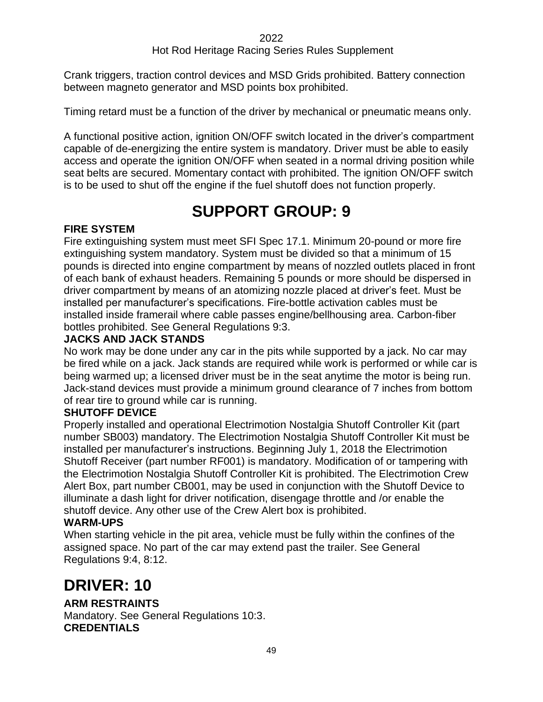Crank triggers, traction control devices and MSD Grids prohibited. Battery connection between magneto generator and MSD points box prohibited.

Timing retard must be a function of the driver by mechanical or pneumatic means only.

A functional positive action, ignition ON/OFF switch located in the driver's compartment capable of de-energizing the entire system is mandatory. Driver must be able to easily access and operate the ignition ON/OFF when seated in a normal driving position while seat belts are secured. Momentary contact with prohibited. The ignition ON/OFF switch is to be used to shut off the engine if the fuel shutoff does not function properly.

# **SUPPORT GROUP: 9**

## **FIRE SYSTEM**

Fire extinguishing system must meet SFI Spec 17.1. Minimum 20-pound or more fire extinguishing system mandatory. System must be divided so that a minimum of 15 pounds is directed into engine compartment by means of nozzled outlets placed in front of each bank of exhaust headers. Remaining 5 pounds or more should be dispersed in driver compartment by means of an atomizing nozzle placed at driver's feet. Must be installed per manufacturer's specifications. Fire-bottle activation cables must be installed inside framerail where cable passes engine/bellhousing area. Carbon-fiber bottles prohibited. See General Regulations 9:3.

## **JACKS AND JACK STANDS**

No work may be done under any car in the pits while supported by a jack. No car may be fired while on a jack. Jack stands are required while work is performed or while car is being warmed up; a licensed driver must be in the seat anytime the motor is being run. Jack-stand devices must provide a minimum ground clearance of 7 inches from bottom of rear tire to ground while car is running.

## **SHUTOFF DEVICE**

Properly installed and operational Electrimotion Nostalgia Shutoff Controller Kit (part number SB003) mandatory. The Electrimotion Nostalgia Shutoff Controller Kit must be installed per manufacturer's instructions. Beginning July 1, 2018 the Electrimotion Shutoff Receiver (part number RF001) is mandatory. Modification of or tampering with the Electrimotion Nostalgia Shutoff Controller Kit is prohibited. The Electrimotion Crew Alert Box, part number CB001, may be used in conjunction with the Shutoff Device to illuminate a dash light for driver notification, disengage throttle and /or enable the shutoff device. Any other use of the Crew Alert box is prohibited.

## **WARM-UPS**

When starting vehicle in the pit area, vehicle must be fully within the confines of the assigned space. No part of the car may extend past the trailer. See General Regulations 9:4, 8:12.

# **DRIVER: 10**

## **ARM RESTRAINTS**

Mandatory. See General Regulations 10:3. **CREDENTIALS**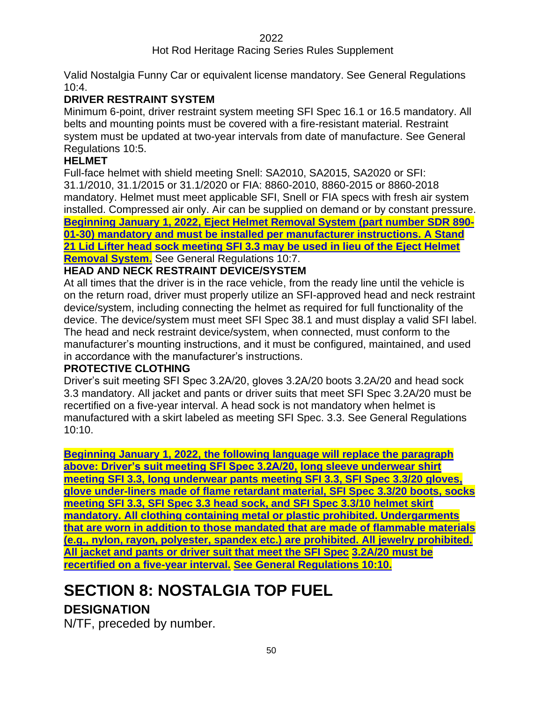## Hot Rod Heritage Racing Series Rules Supplement

Valid Nostalgia Funny Car or equivalent license mandatory. See General Regulations 10:4.

## **DRIVER RESTRAINT SYSTEM**

Minimum 6-point, driver restraint system meeting SFI Spec 16.1 or 16.5 mandatory. All belts and mounting points must be covered with a fire-resistant material. Restraint system must be updated at two-year intervals from date of manufacture. See General Regulations 10:5.

#### **HELMET**

Full-face helmet with shield meeting Snell: SA2010, SA2015, SA2020 or SFI: 31.1/2010, 31.1/2015 or 31.1/2020 or FIA: 8860-2010, 8860-2015 or 8860-2018 mandatory. Helmet must meet applicable SFI, Snell or FIA specs with fresh air system installed. Compressed air only. Air can be supplied on demand or by constant pressure. **Beginning January 1, 2022, Eject Helmet Removal System (part number SDR 890- 01-30) mandatory and must be installed per manufacturer instructions. A Stand 21 Lid Lifter head sock meeting SFI 3.3 may be used in lieu of the Eject Helmet Removal System.** See General Regulations 10:7.

## **HEAD AND NECK RESTRAINT DEVICE/SYSTEM**

At all times that the driver is in the race vehicle, from the ready line until the vehicle is on the return road, driver must properly utilize an SFI-approved head and neck restraint device/system, including connecting the helmet as required for full functionality of the device. The device/system must meet SFI Spec 38.1 and must display a valid SFI label. The head and neck restraint device/system, when connected, must conform to the manufacturer's mounting instructions, and it must be configured, maintained, and used in accordance with the manufacturer's instructions.

#### **PROTECTIVE CLOTHING**

Driver's suit meeting SFI Spec 3.2A/20, gloves 3.2A/20 boots 3.2A/20 and head sock 3.3 mandatory. All jacket and pants or driver suits that meet SFI Spec 3.2A/20 must be recertified on a five-year interval. A head sock is not mandatory when helmet is manufactured with a skirt labeled as meeting SFI Spec. 3.3. See General Regulations 10:10.

**Beginning January 1, 2022, the following language will replace the paragraph above: Driver's suit meeting SFI Spec 3.2A/20, long sleeve underwear shirt meeting SFI 3.3, long underwear pants meeting SFI 3.3, SFI Spec 3.3/20 gloves, glove under-liners made of flame retardant material, SFI Spec 3.3/20 boots, socks meeting SFI 3.3, SFI Spec 3.3 head sock, and SFI Spec 3.3/10 helmet skirt mandatory. All clothing containing metal or plastic prohibited. Undergarments that are worn in addition to those mandated that are made of flammable materials (e.g., nylon, rayon, polyester, spandex etc.) are prohibited. All jewelry prohibited. All jacket and pants or driver suit that meet the SFI Spec 3.2A/20 must be recertified on a five-year interval. See General Regulations 10:10.**

# **SECTION 8: NOSTALGIA TOP FUEL**

## **DESIGNATION**

N/TF, preceded by number.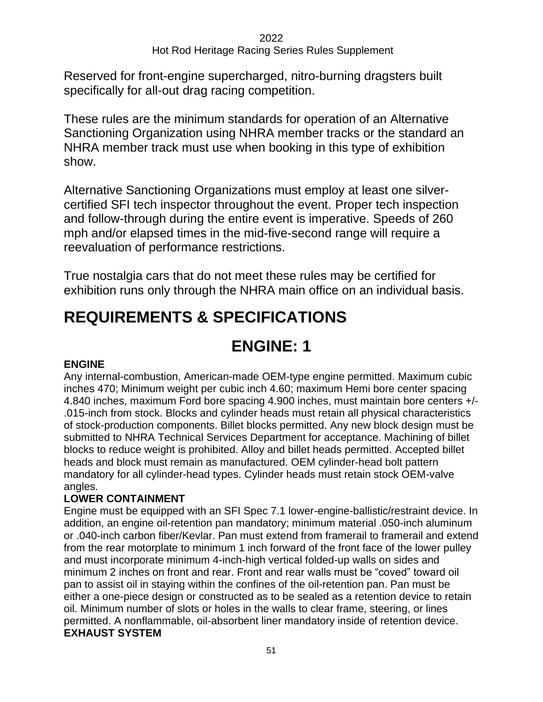Reserved for front-engine supercharged, nitro-burning dragsters built specifically for all-out drag racing competition.

These rules are the minimum standards for operation of an Alternative Sanctioning Organization using NHRA member tracks or the standard an NHRA member track must use when booking in this type of exhibition show.

Alternative Sanctioning Organizations must employ at least one silvercertified SFI tech inspector throughout the event. Proper tech inspection and follow-through during the entire event is imperative. Speeds of 260 mph and/or elapsed times in the mid-five-second range will require a reevaluation of performance restrictions.

True nostalgia cars that do not meet these rules may be certified for exhibition runs only through the NHRA main office on an individual basis.

# **REQUIREMENTS & SPECIFICATIONS**

# **ENGINE: 1**

## **ENGINE**

Any internal-combustion, American-made OEM-type engine permitted. Maximum cubic inches 470; Minimum weight per cubic inch 4.60; maximum Hemi bore center spacing 4.840 inches, maximum Ford bore spacing 4.900 inches, must maintain bore centers +/- .015-inch from stock. Blocks and cylinder heads must retain all physical characteristics of stock-production components. Billet blocks permitted. Any new block design must be submitted to NHRA Technical Services Department for acceptance. Machining of billet blocks to reduce weight is prohibited. Alloy and billet heads permitted. Accepted billet heads and block must remain as manufactured. OEM cylinder-head bolt pattern mandatory for all cylinder-head types. Cylinder heads must retain stock OEM-valve angles.

## **LOWER CONTAINMENT**

Engine must be equipped with an SFI Spec 7.1 lower-engine-ballistic/restraint device. In addition, an engine oil-retention pan mandatory; minimum material .050-inch aluminum or .040-inch carbon fiber/Kevlar. Pan must extend from framerail to framerail and extend from the rear motorplate to minimum 1 inch forward of the front face of the lower pulley and must incorporate minimum 4-inch-high vertical folded-up walls on sides and minimum 2 inches on front and rear. Front and rear walls must be "coved" toward oil pan to assist oil in staying within the confines of the oil-retention pan. Pan must be either a one-piece design or constructed as to be sealed as a retention device to retain oil. Minimum number of slots or holes in the walls to clear frame, steering, or lines permitted. A nonflammable, oil-absorbent liner mandatory inside of retention device. **EXHAUST SYSTEM**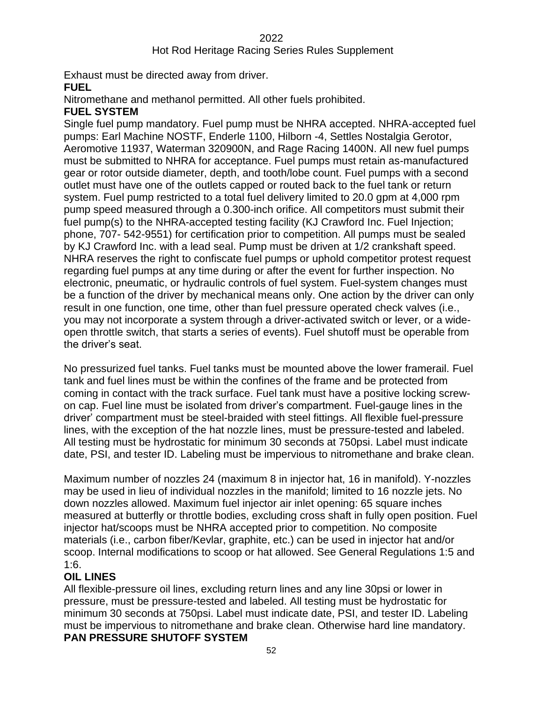## Hot Rod Heritage Racing Series Rules Supplement

Exhaust must be directed away from driver.

#### **FUEL**

Nitromethane and methanol permitted. All other fuels prohibited.

#### **FUEL SYSTEM**

Single fuel pump mandatory. Fuel pump must be NHRA accepted. NHRA-accepted fuel pumps: Earl Machine NOSTF, Enderle 1100, Hilborn -4, Settles Nostalgia Gerotor, Aeromotive 11937, Waterman 320900N, and Rage Racing 1400N. All new fuel pumps must be submitted to NHRA for acceptance. Fuel pumps must retain as-manufactured gear or rotor outside diameter, depth, and tooth/lobe count. Fuel pumps with a second outlet must have one of the outlets capped or routed back to the fuel tank or return system. Fuel pump restricted to a total fuel delivery limited to 20.0 gpm at 4,000 rpm pump speed measured through a 0.300-inch orifice. All competitors must submit their fuel pump(s) to the NHRA-accepted testing facility (KJ Crawford Inc. Fuel Injection; phone, 707- 542-9551) for certification prior to competition. All pumps must be sealed by KJ Crawford Inc. with a lead seal. Pump must be driven at 1/2 crankshaft speed. NHRA reserves the right to confiscate fuel pumps or uphold competitor protest request regarding fuel pumps at any time during or after the event for further inspection. No electronic, pneumatic, or hydraulic controls of fuel system. Fuel-system changes must be a function of the driver by mechanical means only. One action by the driver can only result in one function, one time, other than fuel pressure operated check valves (i.e., you may not incorporate a system through a driver-activated switch or lever, or a wideopen throttle switch, that starts a series of events). Fuel shutoff must be operable from the driver's seat.

No pressurized fuel tanks. Fuel tanks must be mounted above the lower framerail. Fuel tank and fuel lines must be within the confines of the frame and be protected from coming in contact with the track surface. Fuel tank must have a positive locking screwon cap. Fuel line must be isolated from driver's compartment. Fuel-gauge lines in the driver' compartment must be steel-braided with steel fittings. All flexible fuel-pressure lines, with the exception of the hat nozzle lines, must be pressure-tested and labeled. All testing must be hydrostatic for minimum 30 seconds at 750psi. Label must indicate date, PSI, and tester ID. Labeling must be impervious to nitromethane and brake clean.

Maximum number of nozzles 24 (maximum 8 in injector hat, 16 in manifold). Y-nozzles may be used in lieu of individual nozzles in the manifold; limited to 16 nozzle jets. No down nozzles allowed. Maximum fuel injector air inlet opening: 65 square inches measured at butterfly or throttle bodies, excluding cross shaft in fully open position. Fuel injector hat/scoops must be NHRA accepted prior to competition. No composite materials (i.e., carbon fiber/Kevlar, graphite, etc.) can be used in injector hat and/or scoop. Internal modifications to scoop or hat allowed. See General Regulations 1:5 and 1:6.

## **OIL LINES**

All flexible-pressure oil lines, excluding return lines and any line 30psi or lower in pressure, must be pressure-tested and labeled. All testing must be hydrostatic for minimum 30 seconds at 750psi. Label must indicate date, PSI, and tester ID. Labeling must be impervious to nitromethane and brake clean. Otherwise hard line mandatory. **PAN PRESSURE SHUTOFF SYSTEM**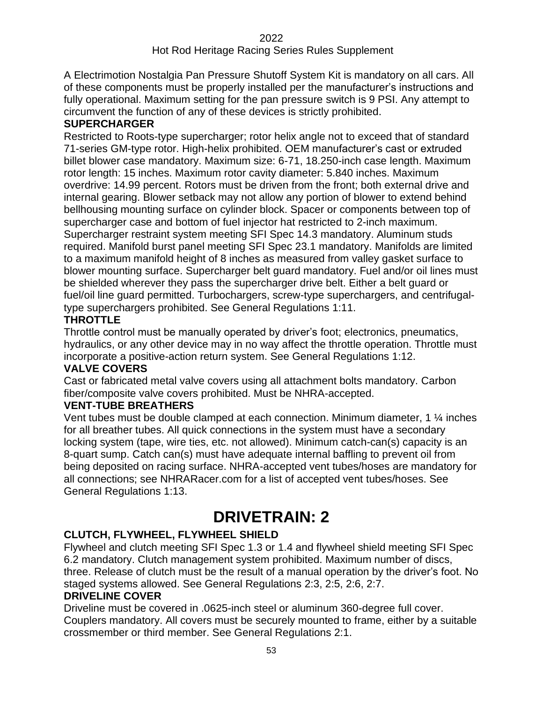A Electrimotion Nostalgia Pan Pressure Shutoff System Kit is mandatory on all cars. All of these components must be properly installed per the manufacturer's instructions and fully operational. Maximum setting for the pan pressure switch is 9 PSI. Any attempt to circumvent the function of any of these devices is strictly prohibited.

#### **SUPERCHARGER**

Restricted to Roots-type supercharger; rotor helix angle not to exceed that of standard 71-series GM-type rotor. High-helix prohibited. OEM manufacturer's cast or extruded billet blower case mandatory. Maximum size: 6-71, 18.250-inch case length. Maximum rotor length: 15 inches. Maximum rotor cavity diameter: 5.840 inches. Maximum overdrive: 14.99 percent. Rotors must be driven from the front; both external drive and internal gearing. Blower setback may not allow any portion of blower to extend behind bellhousing mounting surface on cylinder block. Spacer or components between top of supercharger case and bottom of fuel injector hat restricted to 2-inch maximum. Supercharger restraint system meeting SFI Spec 14.3 mandatory. Aluminum studs required. Manifold burst panel meeting SFI Spec 23.1 mandatory. Manifolds are limited to a maximum manifold height of 8 inches as measured from valley gasket surface to blower mounting surface. Supercharger belt guard mandatory. Fuel and/or oil lines must be shielded wherever they pass the supercharger drive belt. Either a belt guard or fuel/oil line guard permitted. Turbochargers, screw-type superchargers, and centrifugaltype superchargers prohibited. See General Regulations 1:11.

#### **THROTTLE**

Throttle control must be manually operated by driver's foot; electronics, pneumatics, hydraulics, or any other device may in no way affect the throttle operation. Throttle must incorporate a positive-action return system. See General Regulations 1:12.

#### **VALVE COVERS**

Cast or fabricated metal valve covers using all attachment bolts mandatory. Carbon fiber/composite valve covers prohibited. Must be NHRA-accepted.

## **VENT-TUBE BREATHERS**

Vent tubes must be double clamped at each connection. Minimum diameter, 1 ¼ inches for all breather tubes. All quick connections in the system must have a secondary locking system (tape, wire ties, etc. not allowed). Minimum catch-can(s) capacity is an 8-quart sump. Catch can(s) must have adequate internal baffling to prevent oil from being deposited on racing surface. NHRA-accepted vent tubes/hoses are mandatory for all connections; see NHRARacer.com for a list of accepted vent tubes/hoses. See General Regulations 1:13.

# **DRIVETRAIN: 2**

## **CLUTCH, FLYWHEEL, FLYWHEEL SHIELD**

Flywheel and clutch meeting SFI Spec 1.3 or 1.4 and flywheel shield meeting SFI Spec 6.2 mandatory. Clutch management system prohibited. Maximum number of discs, three. Release of clutch must be the result of a manual operation by the driver's foot. No staged systems allowed. See General Regulations 2:3, 2:5, 2:6, 2:7.

## **DRIVELINE COVER**

Driveline must be covered in .0625-inch steel or aluminum 360-degree full cover. Couplers mandatory. All covers must be securely mounted to frame, either by a suitable crossmember or third member. See General Regulations 2:1.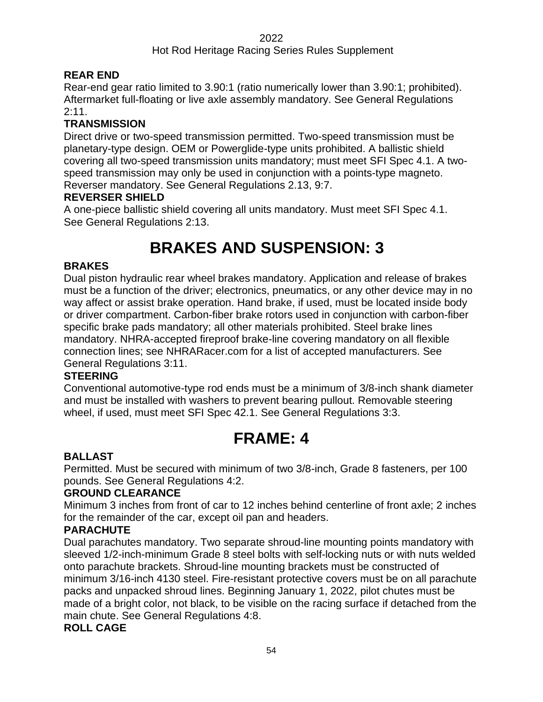## Hot Rod Heritage Racing Series Rules Supplement

## **REAR END**

Rear-end gear ratio limited to 3.90:1 (ratio numerically lower than 3.90:1; prohibited). Aftermarket full-floating or live axle assembly mandatory. See General Regulations 2:11.

## **TRANSMISSION**

Direct drive or two-speed transmission permitted. Two-speed transmission must be planetary-type design. OEM or Powerglide-type units prohibited. A ballistic shield covering all two-speed transmission units mandatory; must meet SFI Spec 4.1. A twospeed transmission may only be used in conjunction with a points-type magneto. Reverser mandatory. See General Regulations 2.13, 9:7.

#### **REVERSER SHIELD**

A one-piece ballistic shield covering all units mandatory. Must meet SFI Spec 4.1. See General Regulations 2:13.

# **BRAKES AND SUSPENSION: 33**

## **BRAKES**

Dual piston hydraulic rear wheel brakes mandatory. Application and release of brakes must be a function of the driver; electronics, pneumatics, or any other device may in no way affect or assist brake operation. Hand brake, if used, must be located inside body or driver compartment. Carbon-fiber brake rotors used in conjunction with carbon-fiber specific brake pads mandatory; all other materials prohibited. Steel brake lines mandatory. NHRA-accepted fireproof brake-line covering mandatory on all flexible connection lines; see NHRARacer.com for a list of accepted manufacturers. See General Regulations 3:11.

## **STEERING**

Conventional automotive-type rod ends must be a minimum of 3/8-inch shank diameter and must be installed with washers to prevent bearing pullout. Removable steering wheel, if used, must meet SFI Spec 42.1. See General Regulations 3:3.

# **FRAME: 4**

## **BALLAST**

Permitted. Must be secured with minimum of two 3/8-inch, Grade 8 fasteners, per 100 pounds. See General Regulations 4:2.

#### **GROUND CLEARANCE**

Minimum 3 inches from front of car to 12 inches behind centerline of front axle; 2 inches for the remainder of the car, except oil pan and headers.

## **PARACHUTE**

Dual parachutes mandatory. Two separate shroud-line mounting points mandatory with sleeved 1/2-inch-minimum Grade 8 steel bolts with self-locking nuts or with nuts welded onto parachute brackets. Shroud-line mounting brackets must be constructed of minimum 3/16-inch 4130 steel. Fire-resistant protective covers must be on all parachute packs and unpacked shroud lines. Beginning January 1, 2022, pilot chutes must be made of a bright color, not black, to be visible on the racing surface if detached from the main chute. See General Regulations 4:8.

## **ROLL CAGE**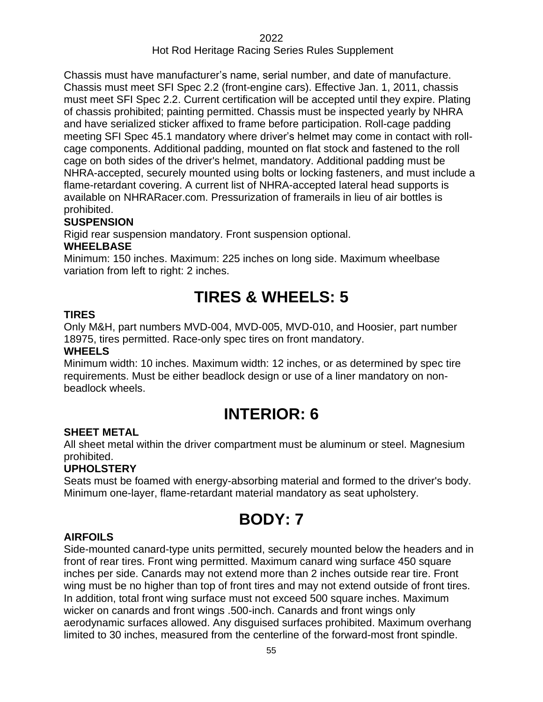## Hot Rod Heritage Racing Series Rules Supplement

Chassis must have manufacturer's name, serial number, and date of manufacture. Chassis must meet SFI Spec 2.2 (front-engine cars). Effective Jan. 1, 2011, chassis must meet SFI Spec 2.2. Current certification will be accepted until they expire. Plating of chassis prohibited; painting permitted. Chassis must be inspected yearly by NHRA and have serialized sticker affixed to frame before participation. Roll-cage padding meeting SFI Spec 45.1 mandatory where driver's helmet may come in contact with rollcage components. Additional padding, mounted on flat stock and fastened to the roll cage on both sides of the driver's helmet, mandatory. Additional padding must be NHRA-accepted, securely mounted using bolts or locking fasteners, and must include a flame-retardant covering. A current list of NHRA-accepted lateral head supports is available on NHRARacer.com. Pressurization of framerails in lieu of air bottles is prohibited.

#### **SUSPENSION**

Rigid rear suspension mandatory. Front suspension optional.

#### **WHEELBASE**

Minimum: 150 inches. Maximum: 225 inches on long side. Maximum wheelbase variation from left to right: 2 inches.

# **TIRES & WHEELS: 5**

#### **TIRES**

Only M&H, part numbers MVD-004, MVD-005, MVD-010, and Hoosier, part number 18975, tires permitted. Race-only spec tires on front mandatory.

#### **WHEELS**

Minimum width: 10 inches. Maximum width: 12 inches, or as determined by spec tire requirements. Must be either beadlock design or use of a liner mandatory on nonbeadlock wheels.

# **INTERIOR: 6**

#### **SHEET METAL**

All sheet metal within the driver compartment must be aluminum or steel. Magnesium prohibited.

## **UPHOLSTERY**

Seats must be foamed with energy-absorbing material and formed to the driver's body. Minimum one-layer, flame-retardant material mandatory as seat upholstery.

# **BODY: 7**

#### **AIRFOILS**

Side-mounted canard-type units permitted, securely mounted below the headers and in front of rear tires. Front wing permitted. Maximum canard wing surface 450 square inches per side. Canards may not extend more than 2 inches outside rear tire. Front wing must be no higher than top of front tires and may not extend outside of front tires. In addition, total front wing surface must not exceed 500 square inches. Maximum wicker on canards and front wings .500-inch. Canards and front wings only aerodynamic surfaces allowed. Any disguised surfaces prohibited. Maximum overhang limited to 30 inches, measured from the centerline of the forward-most front spindle.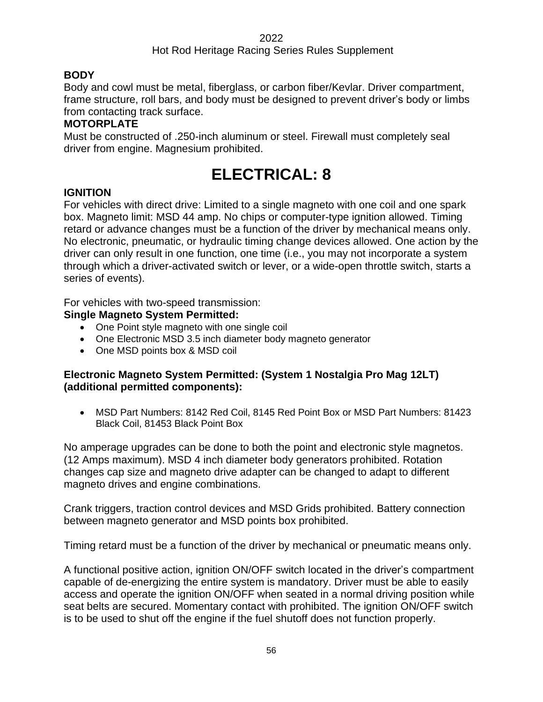## **BODY**

Body and cowl must be metal, fiberglass, or carbon fiber/Kevlar. Driver compartment, frame structure, roll bars, and body must be designed to prevent driver's body or limbs from contacting track surface.

## **MOTORPLATE**

Must be constructed of .250-inch aluminum or steel. Firewall must completely seal driver from engine. Magnesium prohibited.

# **ELECTRICAL: 8**

## **IGNITION**

For vehicles with direct drive: Limited to a single magneto with one coil and one spark box. Magneto limit: MSD 44 amp. No chips or computer-type ignition allowed. Timing retard or advance changes must be a function of the driver by mechanical means only. No electronic, pneumatic, or hydraulic timing change devices allowed. One action by the driver can only result in one function, one time (i.e., you may not incorporate a system through which a driver-activated switch or lever, or a wide-open throttle switch, starts a series of events).

For vehicles with two-speed transmission:

## **Single Magneto System Permitted:**

- One Point style magneto with one single coil
- One Electronic MSD 3.5 inch diameter body magneto generator
- One MSD points box & MSD coil

#### **Electronic Magneto System Permitted: (System 1 Nostalgia Pro Mag 12LT) (additional permitted components):**

• MSD Part Numbers: 8142 Red Coil, 8145 Red Point Box or MSD Part Numbers: 81423 Black Coil, 81453 Black Point Box

No amperage upgrades can be done to both the point and electronic style magnetos. (12 Amps maximum). MSD 4 inch diameter body generators prohibited. Rotation changes cap size and magneto drive adapter can be changed to adapt to different magneto drives and engine combinations.

Crank triggers, traction control devices and MSD Grids prohibited. Battery connection between magneto generator and MSD points box prohibited.

Timing retard must be a function of the driver by mechanical or pneumatic means only.

A functional positive action, ignition ON/OFF switch located in the driver's compartment capable of de-energizing the entire system is mandatory. Driver must be able to easily access and operate the ignition ON/OFF when seated in a normal driving position while seat belts are secured. Momentary contact with prohibited. The ignition ON/OFF switch is to be used to shut off the engine if the fuel shutoff does not function properly.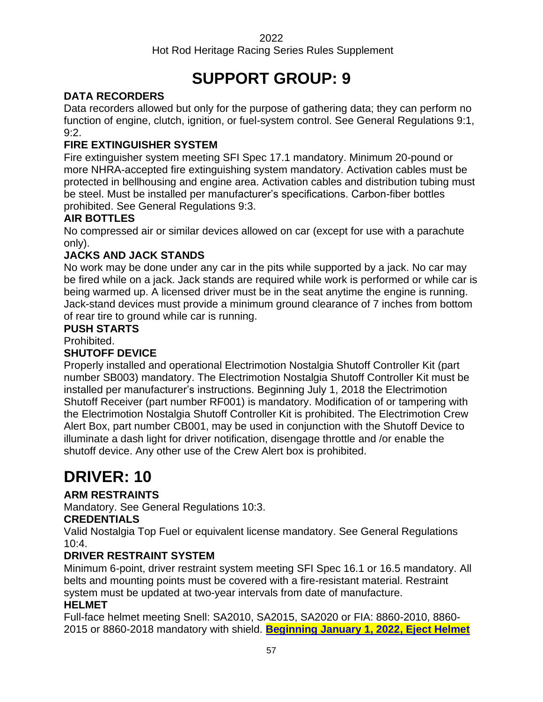Hot Rod Heritage Racing Series Rules Supplement

# **SUPPORT GROUP: 9**

## **DATA RECORDERS**

Data recorders allowed but only for the purpose of gathering data; they can perform no function of engine, clutch, ignition, or fuel-system control. See General Regulations 9:1, 9:2.

## **FIRE EXTINGUISHER SYSTEM**

Fire extinguisher system meeting SFI Spec 17.1 mandatory. Minimum 20-pound or more NHRA-accepted fire extinguishing system mandatory. Activation cables must be protected in bellhousing and engine area. Activation cables and distribution tubing must be steel. Must be installed per manufacturer's specifications. Carbon-fiber bottles prohibited. See General Regulations 9:3.

## **AIR BOTTLES**

No compressed air or similar devices allowed on car (except for use with a parachute only).

## **JACKS AND JACK STANDS**

No work may be done under any car in the pits while supported by a jack. No car may be fired while on a jack. Jack stands are required while work is performed or while car is being warmed up. A licensed driver must be in the seat anytime the engine is running. Jack-stand devices must provide a minimum ground clearance of 7 inches from bottom of rear tire to ground while car is running.

#### **PUSH STARTS**

Prohibited.

## **SHUTOFF DEVICE**

Properly installed and operational Electrimotion Nostalgia Shutoff Controller Kit (part number SB003) mandatory. The Electrimotion Nostalgia Shutoff Controller Kit must be installed per manufacturer's instructions. Beginning July 1, 2018 the Electrimotion Shutoff Receiver (part number RF001) is mandatory. Modification of or tampering with the Electrimotion Nostalgia Shutoff Controller Kit is prohibited. The Electrimotion Crew Alert Box, part number CB001, may be used in conjunction with the Shutoff Device to illuminate a dash light for driver notification, disengage throttle and /or enable the shutoff device. Any other use of the Crew Alert box is prohibited.

# **DRIVER: 10**

## **ARM RESTRAINTS**

Mandatory. See General Regulations 10:3.

## **CREDENTIALS**

Valid Nostalgia Top Fuel or equivalent license mandatory. See General Regulations 10:4.

## **DRIVER RESTRAINT SYSTEM**

Minimum 6-point, driver restraint system meeting SFI Spec 16.1 or 16.5 mandatory. All belts and mounting points must be covered with a fire-resistant material. Restraint system must be updated at two-year intervals from date of manufacture.

## **HELMET**

Full-face helmet meeting Snell: SA2010, SA2015, SA2020 or FIA: 8860-2010, 8860- 2015 or 8860-2018 mandatory with shield. **Beginning January 1, 2022, Eject Helmet**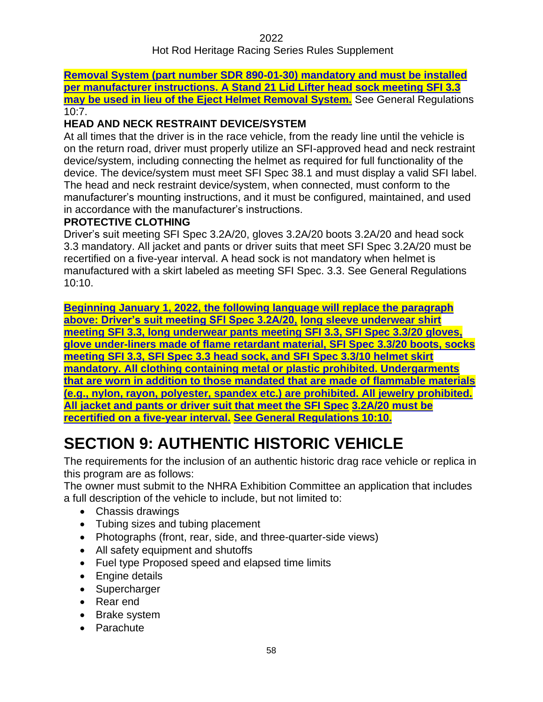**Removal System (part number SDR 890-01-30) mandatory and must be installed per manufacturer instructions. A Stand 21 Lid Lifter head sock meeting SFI 3.3 may be used in lieu of the Eject Helmet Removal System.** See General Regulations  $10:7.$ 

#### **HEAD AND NECK RESTRAINT DEVICE/SYSTEM**

At all times that the driver is in the race vehicle, from the ready line until the vehicle is on the return road, driver must properly utilize an SFI-approved head and neck restraint device/system, including connecting the helmet as required for full functionality of the device. The device/system must meet SFI Spec 38.1 and must display a valid SFI label. The head and neck restraint device/system, when connected, must conform to the manufacturer's mounting instructions, and it must be configured, maintained, and used in accordance with the manufacturer's instructions.

#### **PROTECTIVE CLOTHING**

Driver's suit meeting SFI Spec 3.2A/20, gloves 3.2A/20 boots 3.2A/20 and head sock 3.3 mandatory. All jacket and pants or driver suits that meet SFI Spec 3.2A/20 must be recertified on a five-year interval. A head sock is not mandatory when helmet is manufactured with a skirt labeled as meeting SFI Spec. 3.3. See General Regulations 10:10.

**Beginning January 1, 2022, the following language will replace the paragraph above: Driver's suit meeting SFI Spec 3.2A/20, long sleeve underwear shirt meeting SFI 3.3, long underwear pants meeting SFI 3.3, SFI Spec 3.3/20 gloves, glove under-liners made of flame retardant material, SFI Spec 3.3/20 boots, socks meeting SFI 3.3, SFI Spec 3.3 head sock, and SFI Spec 3.3/10 helmet skirt mandatory. All clothing containing metal or plastic prohibited. Undergarments that are worn in addition to those mandated that are made of flammable materials (e.g., nylon, rayon, polyester, spandex etc.) are prohibited. All jewelry prohibited. All jacket and pants or driver suit that meet the SFI Spec 3.2A/20 must be recertified on a five-year interval. See General Regulations 10:10.**

# **SECTION 9: AUTHENTIC HISTORIC VEHICLE**

The requirements for the inclusion of an authentic historic drag race vehicle or replica in this program are as follows:

The owner must submit to the NHRA Exhibition Committee an application that includes a full description of the vehicle to include, but not limited to:

- Chassis drawings
- Tubing sizes and tubing placement
- Photographs (front, rear, side, and three-quarter-side views)
- All safety equipment and shutoffs
- Fuel type Proposed speed and elapsed time limits
- Engine details
- Supercharger
- Rear end
- Brake system
- Parachute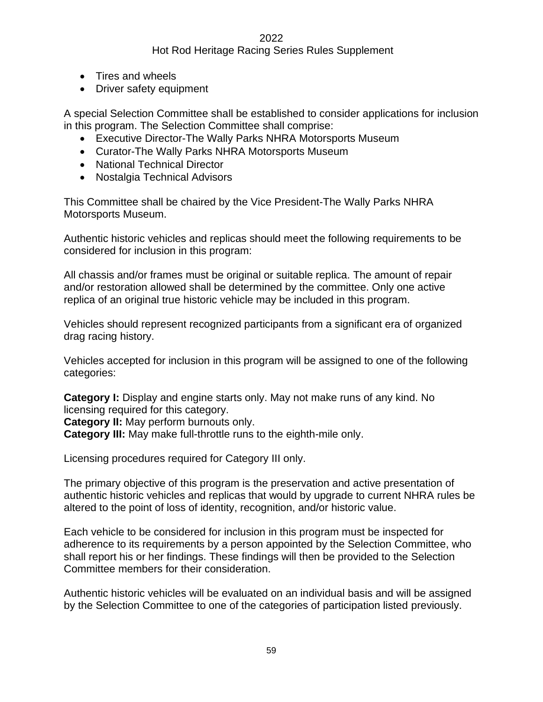#### Hot Rod Heritage Racing Series Rules Supplement

- Tires and wheels
- Driver safety equipment

A special Selection Committee shall be established to consider applications for inclusion in this program. The Selection Committee shall comprise:

- Executive Director-The Wally Parks NHRA Motorsports Museum
- Curator-The Wally Parks NHRA Motorsports Museum
- National Technical Director
- Nostalgia Technical Advisors

This Committee shall be chaired by the Vice President-The Wally Parks NHRA Motorsports Museum.

Authentic historic vehicles and replicas should meet the following requirements to be considered for inclusion in this program:

All chassis and/or frames must be original or suitable replica. The amount of repair and/or restoration allowed shall be determined by the committee. Only one active replica of an original true historic vehicle may be included in this program.

Vehicles should represent recognized participants from a significant era of organized drag racing history.

Vehicles accepted for inclusion in this program will be assigned to one of the following categories:

**Category I:** Display and engine starts only. May not make runs of any kind. No licensing required for this category.

**Category II:** May perform burnouts only.

**Category III:** May make full-throttle runs to the eighth-mile only.

Licensing procedures required for Category III only.

The primary objective of this program is the preservation and active presentation of authentic historic vehicles and replicas that would by upgrade to current NHRA rules be altered to the point of loss of identity, recognition, and/or historic value.

Each vehicle to be considered for inclusion in this program must be inspected for adherence to its requirements by a person appointed by the Selection Committee, who shall report his or her findings. These findings will then be provided to the Selection Committee members for their consideration.

Authentic historic vehicles will be evaluated on an individual basis and will be assigned by the Selection Committee to one of the categories of participation listed previously.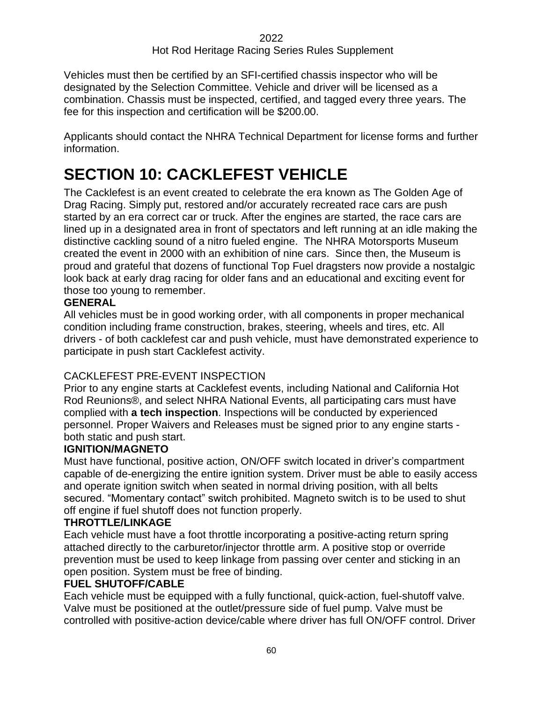Vehicles must then be certified by an SFI-certified chassis inspector who will be designated by the Selection Committee. Vehicle and driver will be licensed as a combination. Chassis must be inspected, certified, and tagged every three years. The fee for this inspection and certification will be \$200.00.

Applicants should contact the NHRA Technical Department for license forms and further information.

# **SECTION 10: CACKLEFEST VEHICLE**

The Cacklefest is an event created to celebrate the era known as The Golden Age of Drag Racing. Simply put, restored and/or accurately recreated race cars are push started by an era correct car or truck. After the engines are started, the race cars are lined up in a designated area in front of spectators and left running at an idle making the distinctive cackling sound of a nitro fueled engine. The NHRA Motorsports Museum created the event in 2000 with an exhibition of nine cars. Since then, the Museum is proud and grateful that dozens of functional Top Fuel dragsters now provide a nostalgic look back at early drag racing for older fans and an educational and exciting event for those too young to remember.

## **GENERAL**

All vehicles must be in good working order, with all components in proper mechanical condition including frame construction, brakes, steering, wheels and tires, etc. All drivers - of both cacklefest car and push vehicle, must have demonstrated experience to participate in push start Cacklefest activity.

## CACKLEFEST PRE-EVENT INSPECTION

Prior to any engine starts at Cacklefest events, including National and California Hot Rod Reunions®, and select NHRA National Events, all participating cars must have complied with **a tech inspection**. Inspections will be conducted by experienced personnel. Proper Waivers and Releases must be signed prior to any engine starts both static and push start.

## **IGNITION/MAGNETO**

Must have functional, positive action, ON/OFF switch located in driver's compartment capable of de-energizing the entire ignition system. Driver must be able to easily access and operate ignition switch when seated in normal driving position, with all belts secured. "Momentary contact" switch prohibited. Magneto switch is to be used to shut off engine if fuel shutoff does not function properly.

## **THROTTLE/LINKAGE**

Each vehicle must have a foot throttle incorporating a positive-acting return spring attached directly to the carburetor/injector throttle arm. A positive stop or override prevention must be used to keep linkage from passing over center and sticking in an open position. System must be free of binding.

## **FUEL SHUTOFF/CABLE**

Each vehicle must be equipped with a fully functional, quick-action, fuel-shutoff valve. Valve must be positioned at the outlet/pressure side of fuel pump. Valve must be controlled with positive-action device/cable where driver has full ON/OFF control. Driver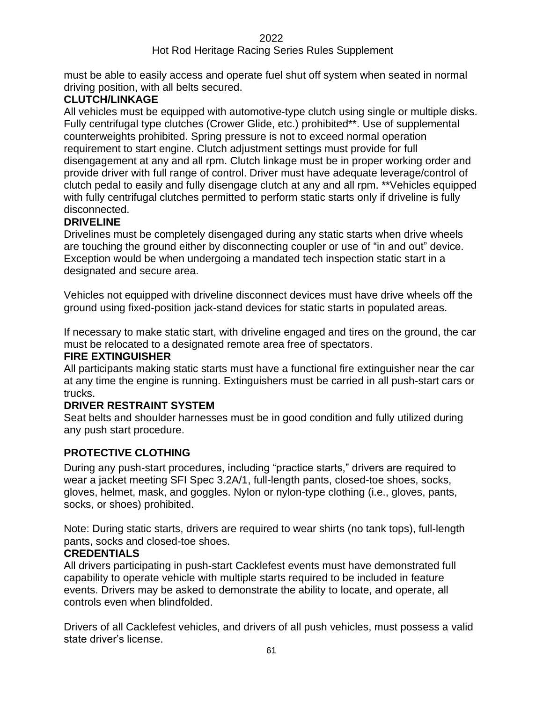#### Hot Rod Heritage Racing Series Rules Supplement

must be able to easily access and operate fuel shut off system when seated in normal driving position, with all belts secured.

## **CLUTCH/LINKAGE**

All vehicles must be equipped with automotive-type clutch using single or multiple disks. Fully centrifugal type clutches (Crower Glide, etc.) prohibited\*\*. Use of supplemental counterweights prohibited. Spring pressure is not to exceed normal operation requirement to start engine. Clutch adjustment settings must provide for full disengagement at any and all rpm. Clutch linkage must be in proper working order and provide driver with full range of control. Driver must have adequate leverage/control of clutch pedal to easily and fully disengage clutch at any and all rpm. \*\*Vehicles equipped with fully centrifugal clutches permitted to perform static starts only if driveline is fully disconnected.

## **DRIVELINE**

Drivelines must be completely disengaged during any static starts when drive wheels are touching the ground either by disconnecting coupler or use of "in and out" device. Exception would be when undergoing a mandated tech inspection static start in a designated and secure area.

Vehicles not equipped with driveline disconnect devices must have drive wheels off the ground using fixed-position jack-stand devices for static starts in populated areas.

If necessary to make static start, with driveline engaged and tires on the ground, the car must be relocated to a designated remote area free of spectators.

#### **FIRE EXTINGUISHER**

All participants making static starts must have a functional fire extinguisher near the car at any time the engine is running. Extinguishers must be carried in all push-start cars or trucks.

#### **DRIVER RESTRAINT SYSTEM**

Seat belts and shoulder harnesses must be in good condition and fully utilized during any push start procedure.

## **PROTECTIVE CLOTHING**

During any push-start procedures, including "practice starts," drivers are required to wear a jacket meeting SFI Spec 3.2A/1, full-length pants, closed-toe shoes, socks, gloves, helmet, mask, and goggles. Nylon or nylon-type clothing (i.e., gloves, pants, socks, or shoes) prohibited.

Note: During static starts, drivers are required to wear shirts (no tank tops), full-length pants, socks and closed-toe shoes.

#### **CREDENTIALS**

All drivers participating in push-start Cacklefest events must have demonstrated full capability to operate vehicle with multiple starts required to be included in feature events. Drivers may be asked to demonstrate the ability to locate, and operate, all controls even when blindfolded.

Drivers of all Cacklefest vehicles, and drivers of all push vehicles, must possess a valid state driver's license.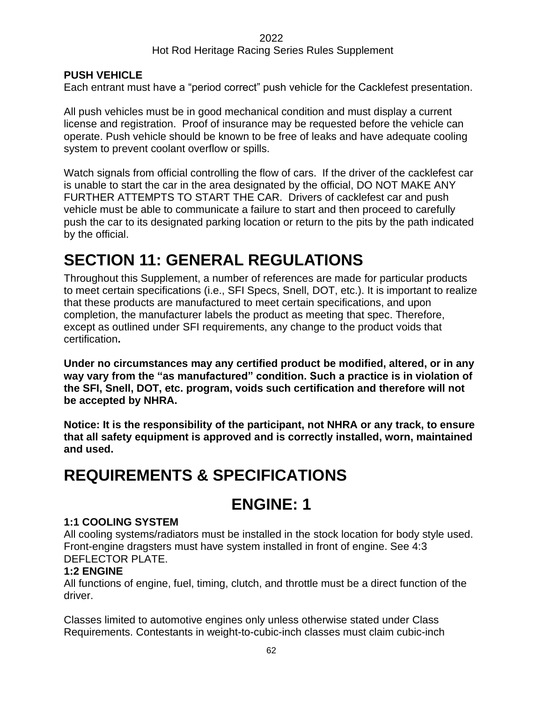## Hot Rod Heritage Racing Series Rules Supplement

## **PUSH VEHICLE**

Each entrant must have a "period correct" push vehicle for the Cacklefest presentation.

All push vehicles must be in good mechanical condition and must display a current license and registration. Proof of insurance may be requested before the vehicle can operate. Push vehicle should be known to be free of leaks and have adequate cooling system to prevent coolant overflow or spills.

Watch signals from official controlling the flow of cars. If the driver of the cacklefest car is unable to start the car in the area designated by the official, DO NOT MAKE ANY FURTHER ATTEMPTS TO START THE CAR. Drivers of cacklefest car and push vehicle must be able to communicate a failure to start and then proceed to carefully push the car to its designated parking location or return to the pits by the path indicated by the official.

# **SECTION 11: GENERAL REGULATIONS**

Throughout this Supplement, a number of references are made for particular products to meet certain specifications (i.e., SFI Specs, Snell, DOT, etc.). It is important to realize that these products are manufactured to meet certain specifications, and upon completion, the manufacturer labels the product as meeting that spec. Therefore, except as outlined under SFI requirements, any change to the product voids that certification**.**

**Under no circumstances may any certified product be modified, altered, or in any way vary from the "as manufactured" condition. Such a practice is in violation of the SFI, Snell, DOT, etc. program, voids such certification and therefore will not be accepted by NHRA.**

**Notice: It is the responsibility of the participant, not NHRA or any track, to ensure that all safety equipment is approved and is correctly installed, worn, maintained and used.**

# **REQUIREMENTS & SPECIFICATIONS**

# **ENGINE: 1**

## **1:1 COOLING SYSTEM**

All cooling systems/radiators must be installed in the stock location for body style used. Front-engine dragsters must have system installed in front of engine. See 4:3 DEFLECTOR PLATE.

## **1:2 ENGINE**

All functions of engine, fuel, timing, clutch, and throttle must be a direct function of the driver.

Classes limited to automotive engines only unless otherwise stated under Class Requirements. Contestants in weight-to-cubic-inch classes must claim cubic-inch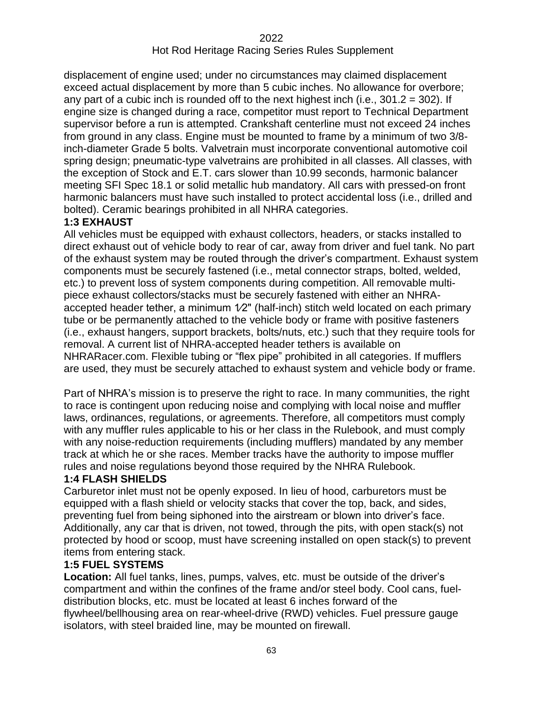displacement of engine used; under no circumstances may claimed displacement exceed actual displacement by more than 5 cubic inches. No allowance for overbore; any part of a cubic inch is rounded off to the next highest inch (i.e.,  $301.2 = 302$ ). If engine size is changed during a race, competitor must report to Technical Department supervisor before a run is attempted. Crankshaft centerline must not exceed 24 inches from ground in any class. Engine must be mounted to frame by a minimum of two 3/8 inch-diameter Grade 5 bolts. Valvetrain must incorporate conventional automotive coil spring design; pneumatic-type valvetrains are prohibited in all classes. All classes, with the exception of Stock and E.T. cars slower than 10.99 seconds, harmonic balancer meeting SFI Spec 18.1 or solid metallic hub mandatory. All cars with pressed-on front harmonic balancers must have such installed to protect accidental loss (i.e., drilled and bolted). Ceramic bearings prohibited in all NHRA categories.

#### **1:3 EXHAUST**

All vehicles must be equipped with exhaust collectors, headers, or stacks installed to direct exhaust out of vehicle body to rear of car, away from driver and fuel tank. No part of the exhaust system may be routed through the driver's compartment. Exhaust system components must be securely fastened (i.e., metal connector straps, bolted, welded, etc.) to prevent loss of system components during competition. All removable multipiece exhaust collectors/stacks must be securely fastened with either an NHRAaccepted header tether, a minimum 1⁄2" (half-inch) stitch weld located on each primary tube or be permanently attached to the vehicle body or frame with positive fasteners (i.e., exhaust hangers, support brackets, bolts/nuts, etc.) such that they require tools for removal. A current list of NHRA-accepted header tethers is available on NHRARacer.com. Flexible tubing or "flex pipe" prohibited in all categories. If mufflers are used, they must be securely attached to exhaust system and vehicle body or frame.

Part of NHRA's mission is to preserve the right to race. In many communities, the right to race is contingent upon reducing noise and complying with local noise and muffler laws, ordinances, regulations, or agreements. Therefore, all competitors must comply with any muffler rules applicable to his or her class in the Rulebook, and must comply with any noise-reduction requirements (including mufflers) mandated by any member track at which he or she races. Member tracks have the authority to impose muffler rules and noise regulations beyond those required by the NHRA Rulebook.

## **1:4 FLASH SHIELDS**

Carburetor inlet must not be openly exposed. In lieu of hood, carburetors must be equipped with a flash shield or velocity stacks that cover the top, back, and sides, preventing fuel from being siphoned into the airstream or blown into driver's face. Additionally, any car that is driven, not towed, through the pits, with open stack(s) not protected by hood or scoop, must have screening installed on open stack(s) to prevent items from entering stack.

#### **1:5 FUEL SYSTEMS**

**Location:** All fuel tanks, lines, pumps, valves, etc. must be outside of the driver's compartment and within the confines of the frame and/or steel body. Cool cans, fueldistribution blocks, etc. must be located at least 6 inches forward of the flywheel/bellhousing area on rear-wheel-drive (RWD) vehicles. Fuel pressure gauge isolators, with steel braided line, may be mounted on firewall.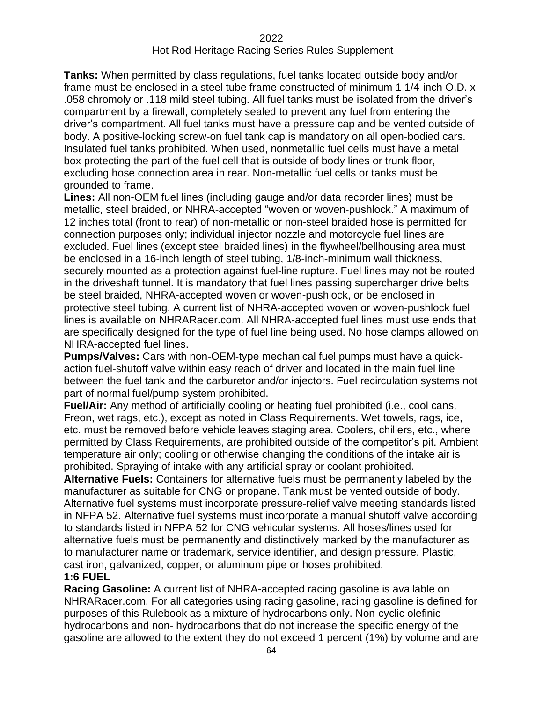**Tanks:** When permitted by class regulations, fuel tanks located outside body and/or frame must be enclosed in a steel tube frame constructed of minimum 1 1/4-inch O.D. x .058 chromoly or .118 mild steel tubing. All fuel tanks must be isolated from the driver's compartment by a firewall, completely sealed to prevent any fuel from entering the driver's compartment. All fuel tanks must have a pressure cap and be vented outside of body. A positive-locking screw-on fuel tank cap is mandatory on all open-bodied cars. Insulated fuel tanks prohibited. When used, nonmetallic fuel cells must have a metal box protecting the part of the fuel cell that is outside of body lines or trunk floor, excluding hose connection area in rear. Non-metallic fuel cells or tanks must be grounded to frame.

**Lines:** All non-OEM fuel lines (including gauge and/or data recorder lines) must be metallic, steel braided, or NHRA-accepted "woven or woven-pushlock." A maximum of 12 inches total (front to rear) of non-metallic or non-steel braided hose is permitted for connection purposes only; individual injector nozzle and motorcycle fuel lines are excluded. Fuel lines (except steel braided lines) in the flywheel/bellhousing area must be enclosed in a 16-inch length of steel tubing, 1/8-inch-minimum wall thickness, securely mounted as a protection against fuel-line rupture. Fuel lines may not be routed in the driveshaft tunnel. It is mandatory that fuel lines passing supercharger drive belts be steel braided, NHRA-accepted woven or woven-pushlock, or be enclosed in protective steel tubing. A current list of NHRA-accepted woven or woven-pushlock fuel lines is available on NHRARacer.com. All NHRA-accepted fuel lines must use ends that are specifically designed for the type of fuel line being used. No hose clamps allowed on NHRA-accepted fuel lines.

**Pumps/Valves:** Cars with non-OEM-type mechanical fuel pumps must have a quickaction fuel-shutoff valve within easy reach of driver and located in the main fuel line between the fuel tank and the carburetor and/or injectors. Fuel recirculation systems not part of normal fuel/pump system prohibited.

**Fuel/Air:** Any method of artificially cooling or heating fuel prohibited (i.e., cool cans, Freon, wet rags, etc.), except as noted in Class Requirements. Wet towels, rags, ice, etc. must be removed before vehicle leaves staging area. Coolers, chillers, etc., where permitted by Class Requirements, are prohibited outside of the competitor's pit. Ambient temperature air only; cooling or otherwise changing the conditions of the intake air is prohibited. Spraying of intake with any artificial spray or coolant prohibited.

**Alternative Fuels:** Containers for alternative fuels must be permanently labeled by the manufacturer as suitable for CNG or propane. Tank must be vented outside of body. Alternative fuel systems must incorporate pressure-relief valve meeting standards listed in NFPA 52. Alternative fuel systems must incorporate a manual shutoff valve according to standards listed in NFPA 52 for CNG vehicular systems. All hoses/lines used for alternative fuels must be permanently and distinctively marked by the manufacturer as to manufacturer name or trademark, service identifier, and design pressure. Plastic, cast iron, galvanized, copper, or aluminum pipe or hoses prohibited.

#### **1:6 FUEL**

**Racing Gasoline:** A current list of NHRA-accepted racing gasoline is available on NHRARacer.com. For all categories using racing gasoline, racing gasoline is defined for purposes of this Rulebook as a mixture of hydrocarbons only. Non-cyclic olefinic hydrocarbons and non- hydrocarbons that do not increase the specific energy of the gasoline are allowed to the extent they do not exceed 1 percent (1%) by volume and are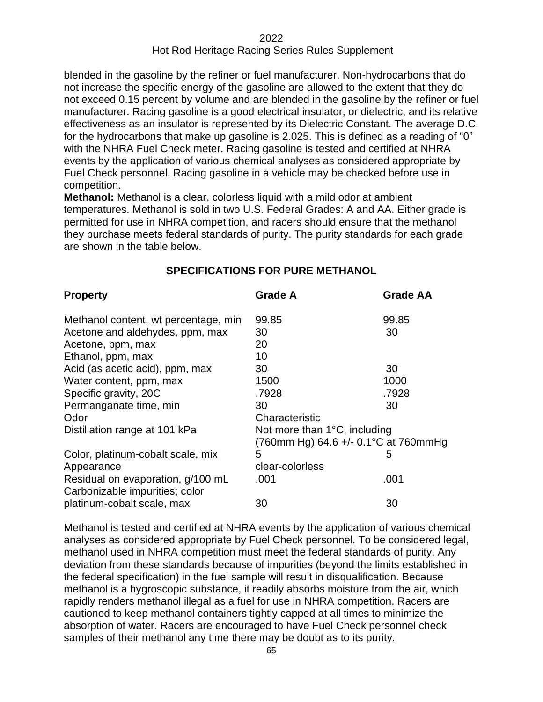blended in the gasoline by the refiner or fuel manufacturer. Non-hydrocarbons that do not increase the specific energy of the gasoline are allowed to the extent that they do not exceed 0.15 percent by volume and are blended in the gasoline by the refiner or fuel manufacturer. Racing gasoline is a good electrical insulator, or dielectric, and its relative effectiveness as an insulator is represented by its Dielectric Constant. The average D.C. for the hydrocarbons that make up gasoline is 2.025. This is defined as a reading of "0" with the NHRA Fuel Check meter. Racing gasoline is tested and certified at NHRA events by the application of various chemical analyses as considered appropriate by Fuel Check personnel. Racing gasoline in a vehicle may be checked before use in competition.

**Methanol:** Methanol is a clear, colorless liquid with a mild odor at ambient temperatures. Methanol is sold in two U.S. Federal Grades: A and AA. Either grade is permitted for use in NHRA competition, and racers should ensure that the methanol they purchase meets federal standards of purity. The purity standards for each grade are shown in the table below.

| <b>Property</b>                                                     | <b>Grade A</b>                       | <b>Grade AA</b> |
|---------------------------------------------------------------------|--------------------------------------|-----------------|
| Methanol content, wt percentage, min                                | 99.85                                | 99.85           |
| Acetone and aldehydes, ppm, max                                     | 30                                   | 30              |
| Acetone, ppm, max                                                   | 20                                   |                 |
| Ethanol, ppm, max                                                   | 10                                   |                 |
| Acid (as acetic acid), ppm, max                                     | 30                                   | 30              |
| Water content, ppm, max                                             | 1500                                 | 1000            |
| Specific gravity, 20C                                               | .7928                                | .7928           |
| Permanganate time, min                                              | 30                                   | 30              |
| Odor                                                                | Characteristic                       |                 |
| Distillation range at 101 kPa                                       | Not more than 1°C, including         |                 |
|                                                                     | (760mm Hg) 64.6 +/- 0.1°C at 760mmHg |                 |
| Color, platinum-cobalt scale, mix                                   | 5                                    | 5               |
| Appearance                                                          | clear-colorless                      |                 |
| Residual on evaporation, g/100 mL<br>Carbonizable impurities; color | .001                                 | .001            |
| platinum-cobalt scale, max                                          | 30                                   | 30              |

## **SPECIFICATIONS FOR PURE METHANOL**

Methanol is tested and certified at NHRA events by the application of various chemical analyses as considered appropriate by Fuel Check personnel. To be considered legal, methanol used in NHRA competition must meet the federal standards of purity. Any deviation from these standards because of impurities (beyond the limits established in the federal specification) in the fuel sample will result in disqualification. Because methanol is a hygroscopic substance, it readily absorbs moisture from the air, which rapidly renders methanol illegal as a fuel for use in NHRA competition. Racers are cautioned to keep methanol containers tightly capped at all times to minimize the absorption of water. Racers are encouraged to have Fuel Check personnel check samples of their methanol any time there may be doubt as to its purity.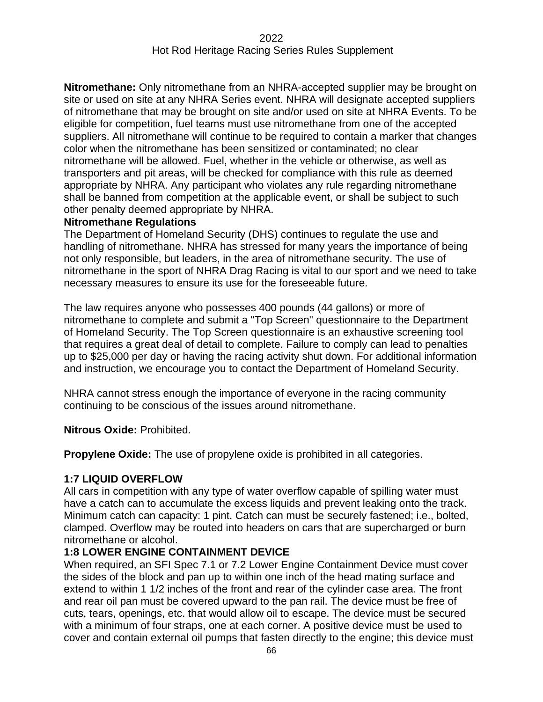**Nitromethane:** Only nitromethane from an NHRA-accepted supplier may be brought on site or used on site at any NHRA Series event. NHRA will designate accepted suppliers of nitromethane that may be brought on site and/or used on site at NHRA Events. To be eligible for competition, fuel teams must use nitromethane from one of the accepted suppliers. All nitromethane will continue to be required to contain a marker that changes color when the nitromethane has been sensitized or contaminated; no clear nitromethane will be allowed. Fuel, whether in the vehicle or otherwise, as well as transporters and pit areas, will be checked for compliance with this rule as deemed appropriate by NHRA. Any participant who violates any rule regarding nitromethane shall be banned from competition at the applicable event, or shall be subject to such other penalty deemed appropriate by NHRA.

#### **Nitromethane Regulations**

The Department of Homeland Security (DHS) continues to regulate the use and handling of nitromethane. NHRA has stressed for many years the importance of being not only responsible, but leaders, in the area of nitromethane security. The use of nitromethane in the sport of NHRA Drag Racing is vital to our sport and we need to take necessary measures to ensure its use for the foreseeable future.

The law requires anyone who possesses 400 pounds (44 gallons) or more of nitromethane to complete and submit a "Top Screen" questionnaire to the Department of Homeland Security. The Top Screen questionnaire is an exhaustive screening tool that requires a great deal of detail to complete. Failure to comply can lead to penalties up to \$25,000 per day or having the racing activity shut down. For additional information and instruction, we encourage you to contact the Department of Homeland Security.

NHRA cannot stress enough the importance of everyone in the racing community continuing to be conscious of the issues around nitromethane.

#### **Nitrous Oxide:** Prohibited.

**Propylene Oxide:** The use of propylene oxide is prohibited in all categories.

#### **1:7 LIQUID OVERFLOW**

All cars in competition with any type of water overflow capable of spilling water must have a catch can to accumulate the excess liquids and prevent leaking onto the track. Minimum catch can capacity: 1 pint. Catch can must be securely fastened; i.e., bolted, clamped. Overflow may be routed into headers on cars that are supercharged or burn nitromethane or alcohol.

#### **1:8 LOWER ENGINE CONTAINMENT DEVICE**

When required, an SFI Spec 7.1 or 7.2 Lower Engine Containment Device must cover the sides of the block and pan up to within one inch of the head mating surface and extend to within 1 1/2 inches of the front and rear of the cylinder case area. The front and rear oil pan must be covered upward to the pan rail. The device must be free of cuts, tears, openings, etc. that would allow oil to escape. The device must be secured with a minimum of four straps, one at each corner. A positive device must be used to cover and contain external oil pumps that fasten directly to the engine; this device must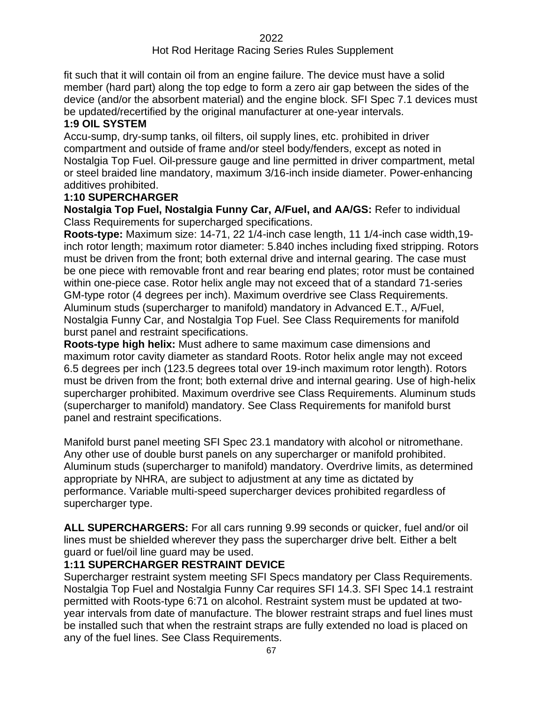#### Hot Rod Heritage Racing Series Rules Supplement

fit such that it will contain oil from an engine failure. The device must have a solid member (hard part) along the top edge to form a zero air gap between the sides of the device (and/or the absorbent material) and the engine block. SFI Spec 7.1 devices must be updated/recertified by the original manufacturer at one-year intervals.

#### **1:9 OIL SYSTEM**

Accu-sump, dry-sump tanks, oil filters, oil supply lines, etc. prohibited in driver compartment and outside of frame and/or steel body/fenders, except as noted in Nostalgia Top Fuel. Oil-pressure gauge and line permitted in driver compartment, metal or steel braided line mandatory, maximum 3/16-inch inside diameter. Power-enhancing additives prohibited.

#### **1:10 SUPERCHARGER**

**Nostalgia Top Fuel, Nostalgia Funny Car, A/Fuel, and AA/GS:** Refer to individual Class Requirements for supercharged specifications.

**Roots-type:** Maximum size: 14-71, 22 1/4-inch case length, 11 1/4-inch case width,19 inch rotor length; maximum rotor diameter: 5.840 inches including fixed stripping. Rotors must be driven from the front; both external drive and internal gearing. The case must be one piece with removable front and rear bearing end plates; rotor must be contained within one-piece case. Rotor helix angle may not exceed that of a standard 71-series GM-type rotor (4 degrees per inch). Maximum overdrive see Class Requirements. Aluminum studs (supercharger to manifold) mandatory in Advanced E.T., A/Fuel, Nostalgia Funny Car, and Nostalgia Top Fuel. See Class Requirements for manifold burst panel and restraint specifications.

**Roots-type high helix:** Must adhere to same maximum case dimensions and maximum rotor cavity diameter as standard Roots. Rotor helix angle may not exceed 6.5 degrees per inch (123.5 degrees total over 19-inch maximum rotor length). Rotors must be driven from the front; both external drive and internal gearing. Use of high-helix supercharger prohibited. Maximum overdrive see Class Requirements. Aluminum studs (supercharger to manifold) mandatory. See Class Requirements for manifold burst panel and restraint specifications.

Manifold burst panel meeting SFI Spec 23.1 mandatory with alcohol or nitromethane. Any other use of double burst panels on any supercharger or manifold prohibited. Aluminum studs (supercharger to manifold) mandatory. Overdrive limits, as determined appropriate by NHRA, are subject to adjustment at any time as dictated by performance. Variable multi-speed supercharger devices prohibited regardless of supercharger type.

**ALL SUPERCHARGERS:** For all cars running 9.99 seconds or quicker, fuel and/or oil lines must be shielded wherever they pass the supercharger drive belt. Either a belt guard or fuel/oil line guard may be used.

## **1:11 SUPERCHARGER RESTRAINT DEVICE**

Supercharger restraint system meeting SFI Specs mandatory per Class Requirements. Nostalgia Top Fuel and Nostalgia Funny Car requires SFI 14.3. SFI Spec 14.1 restraint permitted with Roots-type 6:71 on alcohol. Restraint system must be updated at twoyear intervals from date of manufacture. The blower restraint straps and fuel lines must be installed such that when the restraint straps are fully extended no load is placed on any of the fuel lines. See Class Requirements.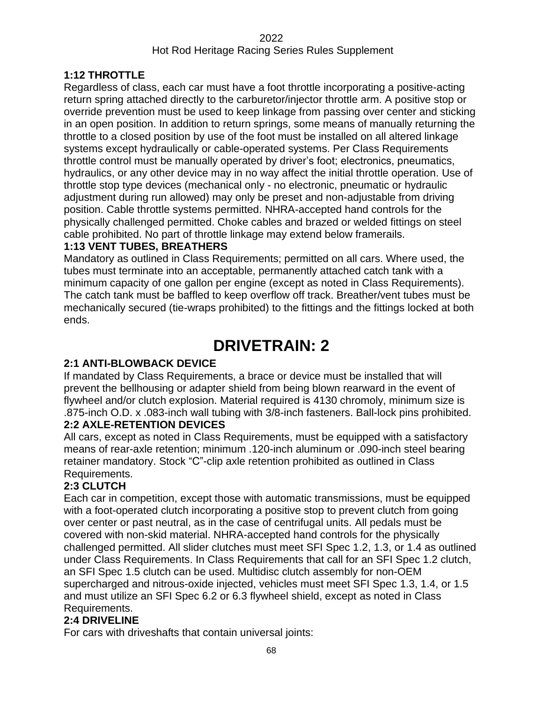## **1:12 THROTTLE**

Regardless of class, each car must have a foot throttle incorporating a positive-acting return spring attached directly to the carburetor/injector throttle arm. A positive stop or override prevention must be used to keep linkage from passing over center and sticking in an open position. In addition to return springs, some means of manually returning the throttle to a closed position by use of the foot must be installed on all altered linkage systems except hydraulically or cable-operated systems. Per Class Requirements throttle control must be manually operated by driver's foot; electronics, pneumatics, hydraulics, or any other device may in no way affect the initial throttle operation. Use of throttle stop type devices (mechanical only - no electronic, pneumatic or hydraulic adjustment during run allowed) may only be preset and non-adjustable from driving position. Cable throttle systems permitted. NHRA-accepted hand controls for the physically challenged permitted. Choke cables and brazed or welded fittings on steel cable prohibited. No part of throttle linkage may extend below framerails.

## **1:13 VENT TUBES, BREATHERS**

Mandatory as outlined in Class Requirements; permitted on all cars. Where used, the tubes must terminate into an acceptable, permanently attached catch tank with a minimum capacity of one gallon per engine (except as noted in Class Requirements). The catch tank must be baffled to keep overflow off track. Breather/vent tubes must be mechanically secured (tie-wraps prohibited) to the fittings and the fittings locked at both ends.

# **DRIVETRAIN: 2**

## **2:1 ANTI-BLOWBACK DEVICE**

If mandated by Class Requirements, a brace or device must be installed that will prevent the bellhousing or adapter shield from being blown rearward in the event of flywheel and/or clutch explosion. Material required is 4130 chromoly, minimum size is .875-inch O.D. x .083-inch wall tubing with 3/8-inch fasteners. Ball-lock pins prohibited.

## **2:2 AXLE-RETENTION DEVICES**

All cars, except as noted in Class Requirements, must be equipped with a satisfactory means of rear-axle retention; minimum .120-inch aluminum or .090-inch steel bearing retainer mandatory. Stock "C"-clip axle retention prohibited as outlined in Class Requirements.

## **2:3 CLUTCH**

Each car in competition, except those with automatic transmissions, must be equipped with a foot-operated clutch incorporating a positive stop to prevent clutch from going over center or past neutral, as in the case of centrifugal units. All pedals must be covered with non-skid material. NHRA-accepted hand controls for the physically challenged permitted. All slider clutches must meet SFI Spec 1.2, 1.3, or 1.4 as outlined under Class Requirements. In Class Requirements that call for an SFI Spec 1.2 clutch, an SFI Spec 1.5 clutch can be used. Multidisc clutch assembly for non-OEM supercharged and nitrous-oxide injected, vehicles must meet SFI Spec 1.3, 1.4, or 1.5 and must utilize an SFI Spec 6.2 or 6.3 flywheel shield, except as noted in Class Requirements.

## **2:4 DRIVELINE**

For cars with driveshafts that contain universal joints: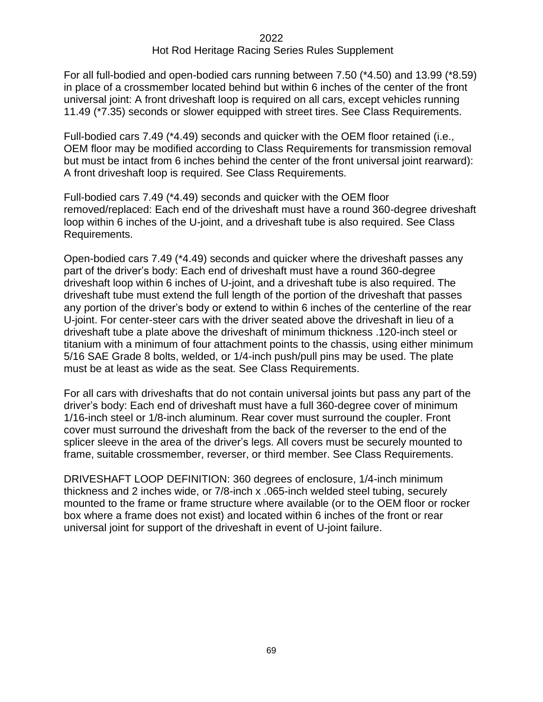For all full-bodied and open-bodied cars running between 7.50 (\*4.50) and 13.99 (\*8.59) in place of a crossmember located behind but within 6 inches of the center of the front universal joint: A front driveshaft loop is required on all cars, except vehicles running 11.49 (\*7.35) seconds or slower equipped with street tires. See Class Requirements.

Full-bodied cars 7.49 (\*4.49) seconds and quicker with the OEM floor retained (i.e., OEM floor may be modified according to Class Requirements for transmission removal but must be intact from 6 inches behind the center of the front universal joint rearward): A front driveshaft loop is required. See Class Requirements.

Full-bodied cars 7.49 (\*4.49) seconds and quicker with the OEM floor removed/replaced: Each end of the driveshaft must have a round 360-degree driveshaft loop within 6 inches of the U-joint, and a driveshaft tube is also required. See Class Requirements.

Open-bodied cars 7.49 (\*4.49) seconds and quicker where the driveshaft passes any part of the driver's body: Each end of driveshaft must have a round 360-degree driveshaft loop within 6 inches of U-joint, and a driveshaft tube is also required. The driveshaft tube must extend the full length of the portion of the driveshaft that passes any portion of the driver's body or extend to within 6 inches of the centerline of the rear U-joint. For center-steer cars with the driver seated above the driveshaft in lieu of a driveshaft tube a plate above the driveshaft of minimum thickness .120-inch steel or titanium with a minimum of four attachment points to the chassis, using either minimum 5/16 SAE Grade 8 bolts, welded, or 1/4-inch push/pull pins may be used. The plate must be at least as wide as the seat. See Class Requirements.

For all cars with driveshafts that do not contain universal joints but pass any part of the driver's body: Each end of driveshaft must have a full 360-degree cover of minimum 1/16-inch steel or 1/8-inch aluminum. Rear cover must surround the coupler. Front cover must surround the driveshaft from the back of the reverser to the end of the splicer sleeve in the area of the driver's legs. All covers must be securely mounted to frame, suitable crossmember, reverser, or third member. See Class Requirements.

DRIVESHAFT LOOP DEFINITION: 360 degrees of enclosure, 1/4-inch minimum thickness and 2 inches wide, or 7/8-inch x .065-inch welded steel tubing, securely mounted to the frame or frame structure where available (or to the OEM floor or rocker box where a frame does not exist) and located within 6 inches of the front or rear universal joint for support of the driveshaft in event of U-joint failure.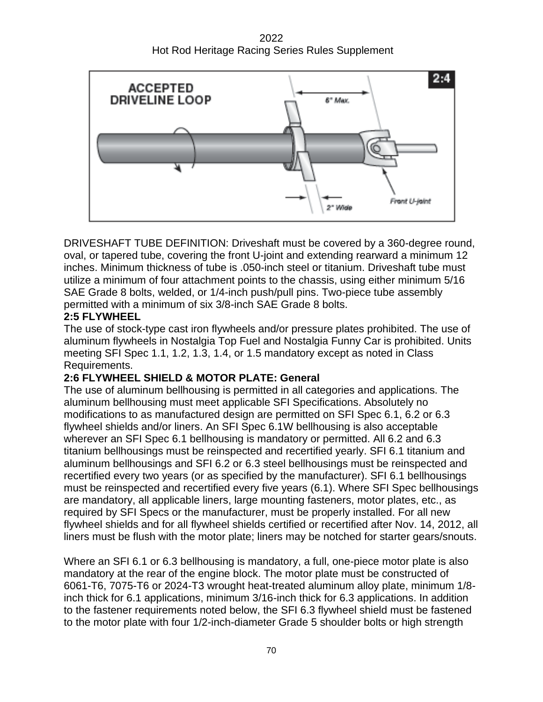2022 Hot Rod Heritage Racing Series Rules Supplement



DRIVESHAFT TUBE DEFINITION: Driveshaft must be covered by a 360-degree round, oval, or tapered tube, covering the front U-joint and extending rearward a minimum 12 inches. Minimum thickness of tube is .050-inch steel or titanium. Driveshaft tube must utilize a minimum of four attachment points to the chassis, using either minimum 5/16 SAE Grade 8 bolts, welded, or 1/4-inch push/pull pins. Two-piece tube assembly permitted with a minimum of six 3/8-inch SAE Grade 8 bolts.

#### **2:5 FLYWHEEL**

The use of stock-type cast iron flywheels and/or pressure plates prohibited. The use of aluminum flywheels in Nostalgia Top Fuel and Nostalgia Funny Car is prohibited. Units meeting SFI Spec 1.1, 1.2, 1.3, 1.4, or 1.5 mandatory except as noted in Class Requirements.

#### **2:6 FLYWHEEL SHIELD & MOTOR PLATE: General**

The use of aluminum bellhousing is permitted in all categories and applications. The aluminum bellhousing must meet applicable SFI Specifications. Absolutely no modifications to as manufactured design are permitted on SFI Spec 6.1, 6.2 or 6.3 flywheel shields and/or liners. An SFI Spec 6.1W bellhousing is also acceptable wherever an SFI Spec 6.1 bellhousing is mandatory or permitted. All 6.2 and 6.3 titanium bellhousings must be reinspected and recertified yearly. SFI 6.1 titanium and aluminum bellhousings and SFI 6.2 or 6.3 steel bellhousings must be reinspected and recertified every two years (or as specified by the manufacturer). SFI 6.1 bellhousings must be reinspected and recertified every five years (6.1). Where SFI Spec bellhousings are mandatory, all applicable liners, large mounting fasteners, motor plates, etc., as required by SFI Specs or the manufacturer, must be properly installed. For all new flywheel shields and for all flywheel shields certified or recertified after Nov. 14, 2012, all liners must be flush with the motor plate; liners may be notched for starter gears/snouts.

Where an SFI 6.1 or 6.3 bellhousing is mandatory, a full, one-piece motor plate is also mandatory at the rear of the engine block. The motor plate must be constructed of 6061-T6, 7075-T6 or 2024-T3 wrought heat-treated aluminum alloy plate, minimum 1/8 inch thick for 6.1 applications, minimum 3/16-inch thick for 6.3 applications. In addition to the fastener requirements noted below, the SFI 6.3 flywheel shield must be fastened to the motor plate with four 1/2-inch-diameter Grade 5 shoulder bolts or high strength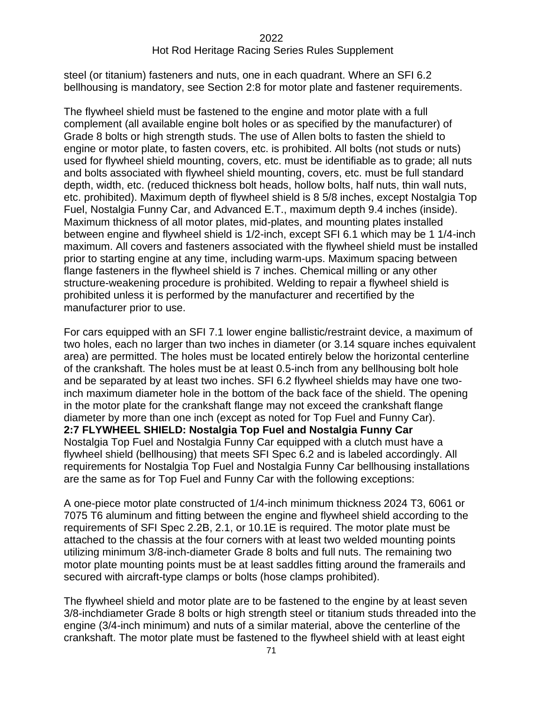steel (or titanium) fasteners and nuts, one in each quadrant. Where an SFI 6.2 bellhousing is mandatory, see Section 2:8 for motor plate and fastener requirements.

The flywheel shield must be fastened to the engine and motor plate with a full complement (all available engine bolt holes or as specified by the manufacturer) of Grade 8 bolts or high strength studs. The use of Allen bolts to fasten the shield to engine or motor plate, to fasten covers, etc. is prohibited. All bolts (not studs or nuts) used for flywheel shield mounting, covers, etc. must be identifiable as to grade; all nuts and bolts associated with flywheel shield mounting, covers, etc. must be full standard depth, width, etc. (reduced thickness bolt heads, hollow bolts, half nuts, thin wall nuts, etc. prohibited). Maximum depth of flywheel shield is 8 5/8 inches, except Nostalgia Top Fuel, Nostalgia Funny Car, and Advanced E.T., maximum depth 9.4 inches (inside). Maximum thickness of all motor plates, mid-plates, and mounting plates installed between engine and flywheel shield is 1/2-inch, except SFI 6.1 which may be 1 1/4-inch maximum. All covers and fasteners associated with the flywheel shield must be installed prior to starting engine at any time, including warm-ups. Maximum spacing between flange fasteners in the flywheel shield is 7 inches. Chemical milling or any other structure-weakening procedure is prohibited. Welding to repair a flywheel shield is prohibited unless it is performed by the manufacturer and recertified by the manufacturer prior to use.

For cars equipped with an SFI 7.1 lower engine ballistic/restraint device, a maximum of two holes, each no larger than two inches in diameter (or 3.14 square inches equivalent area) are permitted. The holes must be located entirely below the horizontal centerline of the crankshaft. The holes must be at least 0.5-inch from any bellhousing bolt hole and be separated by at least two inches. SFI 6.2 flywheel shields may have one twoinch maximum diameter hole in the bottom of the back face of the shield. The opening in the motor plate for the crankshaft flange may not exceed the crankshaft flange diameter by more than one inch (except as noted for Top Fuel and Funny Car). **2:7 FLYWHEEL SHIELD: Nostalgia Top Fuel and Nostalgia Funny Car** Nostalgia Top Fuel and Nostalgia Funny Car equipped with a clutch must have a flywheel shield (bellhousing) that meets SFI Spec 6.2 and is labeled accordingly. All requirements for Nostalgia Top Fuel and Nostalgia Funny Car bellhousing installations are the same as for Top Fuel and Funny Car with the following exceptions:

A one-piece motor plate constructed of 1/4-inch minimum thickness 2024 T3, 6061 or 7075 T6 aluminum and fitting between the engine and flywheel shield according to the requirements of SFI Spec 2.2B, 2.1, or 10.1E is required. The motor plate must be attached to the chassis at the four corners with at least two welded mounting points utilizing minimum 3/8-inch-diameter Grade 8 bolts and full nuts. The remaining two motor plate mounting points must be at least saddles fitting around the framerails and secured with aircraft-type clamps or bolts (hose clamps prohibited).

The flywheel shield and motor plate are to be fastened to the engine by at least seven 3/8-inchdiameter Grade 8 bolts or high strength steel or titanium studs threaded into the engine (3/4-inch minimum) and nuts of a similar material, above the centerline of the crankshaft. The motor plate must be fastened to the flywheel shield with at least eight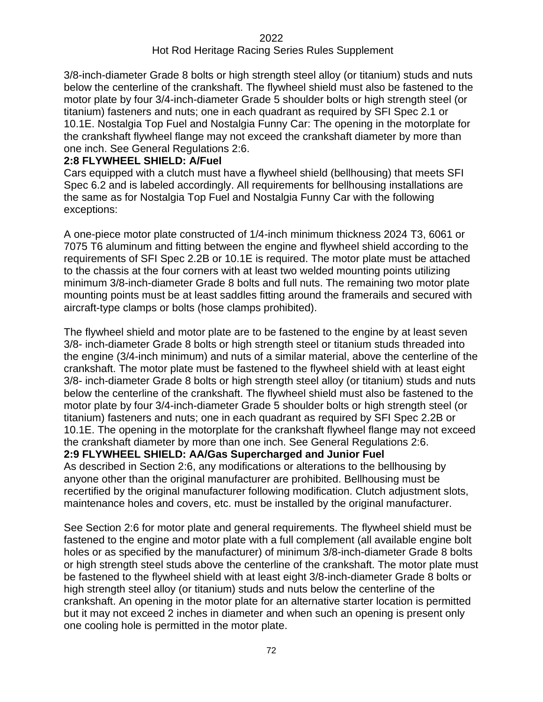#### Hot Rod Heritage Racing Series Rules Supplement

3/8-inch-diameter Grade 8 bolts or high strength steel alloy (or titanium) studs and nuts below the centerline of the crankshaft. The flywheel shield must also be fastened to the motor plate by four 3/4-inch-diameter Grade 5 shoulder bolts or high strength steel (or titanium) fasteners and nuts; one in each quadrant as required by SFI Spec 2.1 or 10.1E. Nostalgia Top Fuel and Nostalgia Funny Car: The opening in the motorplate for the crankshaft flywheel flange may not exceed the crankshaft diameter by more than one inch. See General Regulations 2:6.

#### **2:8 FLYWHEEL SHIELD: A/Fuel**

Cars equipped with a clutch must have a flywheel shield (bellhousing) that meets SFI Spec 6.2 and is labeled accordingly. All requirements for bellhousing installations are the same as for Nostalgia Top Fuel and Nostalgia Funny Car with the following exceptions:

A one-piece motor plate constructed of 1/4-inch minimum thickness 2024 T3, 6061 or 7075 T6 aluminum and fitting between the engine and flywheel shield according to the requirements of SFI Spec 2.2B or 10.1E is required. The motor plate must be attached to the chassis at the four corners with at least two welded mounting points utilizing minimum 3/8-inch-diameter Grade 8 bolts and full nuts. The remaining two motor plate mounting points must be at least saddles fitting around the framerails and secured with aircraft-type clamps or bolts (hose clamps prohibited).

The flywheel shield and motor plate are to be fastened to the engine by at least seven 3/8- inch-diameter Grade 8 bolts or high strength steel or titanium studs threaded into the engine (3/4-inch minimum) and nuts of a similar material, above the centerline of the crankshaft. The motor plate must be fastened to the flywheel shield with at least eight 3/8- inch-diameter Grade 8 bolts or high strength steel alloy (or titanium) studs and nuts below the centerline of the crankshaft. The flywheel shield must also be fastened to the motor plate by four 3/4-inch-diameter Grade 5 shoulder bolts or high strength steel (or titanium) fasteners and nuts; one in each quadrant as required by SFI Spec 2.2B or 10.1E. The opening in the motorplate for the crankshaft flywheel flange may not exceed the crankshaft diameter by more than one inch. See General Regulations 2:6.

**2:9 FLYWHEEL SHIELD: AA/Gas Supercharged and Junior Fuel**

As described in Section 2:6, any modifications or alterations to the bellhousing by anyone other than the original manufacturer are prohibited. Bellhousing must be recertified by the original manufacturer following modification. Clutch adjustment slots, maintenance holes and covers, etc. must be installed by the original manufacturer.

See Section 2:6 for motor plate and general requirements. The flywheel shield must be fastened to the engine and motor plate with a full complement (all available engine bolt holes or as specified by the manufacturer) of minimum 3/8-inch-diameter Grade 8 bolts or high strength steel studs above the centerline of the crankshaft. The motor plate must be fastened to the flywheel shield with at least eight 3/8-inch-diameter Grade 8 bolts or high strength steel alloy (or titanium) studs and nuts below the centerline of the crankshaft. An opening in the motor plate for an alternative starter location is permitted but it may not exceed 2 inches in diameter and when such an opening is present only one cooling hole is permitted in the motor plate.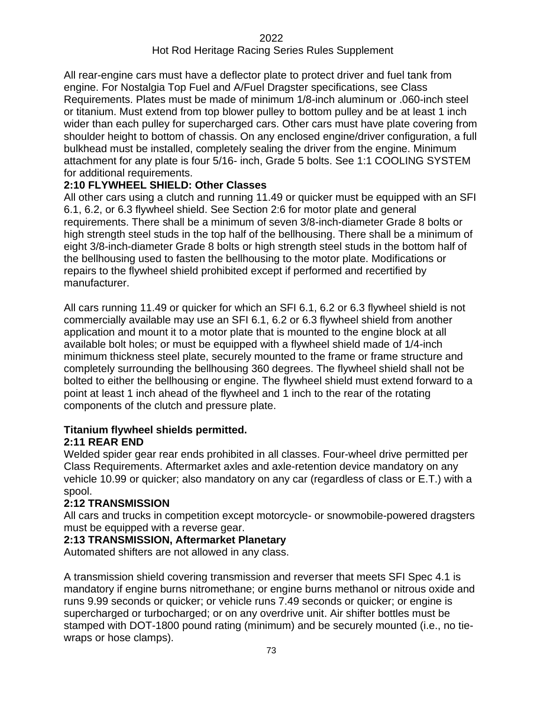All rear-engine cars must have a deflector plate to protect driver and fuel tank from engine. For Nostalgia Top Fuel and A/Fuel Dragster specifications, see Class Requirements. Plates must be made of minimum 1/8-inch aluminum or .060-inch steel or titanium. Must extend from top blower pulley to bottom pulley and be at least 1 inch wider than each pulley for supercharged cars. Other cars must have plate covering from shoulder height to bottom of chassis. On any enclosed engine/driver configuration, a full bulkhead must be installed, completely sealing the driver from the engine. Minimum attachment for any plate is four 5/16- inch, Grade 5 bolts. See 1:1 COOLING SYSTEM for additional requirements.

# **2:10 FLYWHEEL SHIELD: Other Classes**

All other cars using a clutch and running 11.49 or quicker must be equipped with an SFI 6.1, 6.2, or 6.3 flywheel shield. See Section 2:6 for motor plate and general requirements. There shall be a minimum of seven 3/8-inch-diameter Grade 8 bolts or high strength steel studs in the top half of the bellhousing. There shall be a minimum of eight 3/8-inch-diameter Grade 8 bolts or high strength steel studs in the bottom half of the bellhousing used to fasten the bellhousing to the motor plate. Modifications or repairs to the flywheel shield prohibited except if performed and recertified by manufacturer.

All cars running 11.49 or quicker for which an SFI 6.1, 6.2 or 6.3 flywheel shield is not commercially available may use an SFI 6.1, 6.2 or 6.3 flywheel shield from another application and mount it to a motor plate that is mounted to the engine block at all available bolt holes; or must be equipped with a flywheel shield made of 1/4-inch minimum thickness steel plate, securely mounted to the frame or frame structure and completely surrounding the bellhousing 360 degrees. The flywheel shield shall not be bolted to either the bellhousing or engine. The flywheel shield must extend forward to a point at least 1 inch ahead of the flywheel and 1 inch to the rear of the rotating components of the clutch and pressure plate.

# **Titanium flywheel shields permitted.**

# **2:11 REAR END**

Welded spider gear rear ends prohibited in all classes. Four-wheel drive permitted per Class Requirements. Aftermarket axles and axle-retention device mandatory on any vehicle 10.99 or quicker; also mandatory on any car (regardless of class or E.T.) with a spool.

#### **2:12 TRANSMISSION**

All cars and trucks in competition except motorcycle- or snowmobile-powered dragsters must be equipped with a reverse gear.

# **2:13 TRANSMISSION, Aftermarket Planetary**

Automated shifters are not allowed in any class.

A transmission shield covering transmission and reverser that meets SFI Spec 4.1 is mandatory if engine burns nitromethane; or engine burns methanol or nitrous oxide and runs 9.99 seconds or quicker; or vehicle runs 7.49 seconds or quicker; or engine is supercharged or turbocharged; or on any overdrive unit. Air shifter bottles must be stamped with DOT-1800 pound rating (minimum) and be securely mounted (i.e., no tiewraps or hose clamps).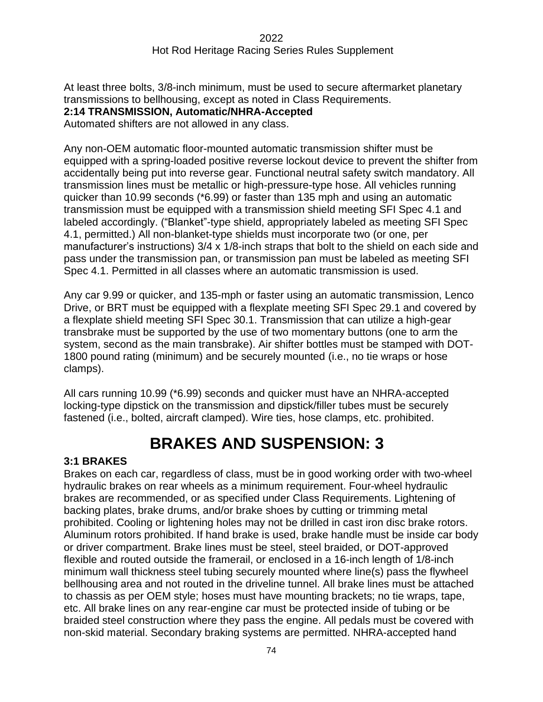At least three bolts, 3/8-inch minimum, must be used to secure aftermarket planetary transmissions to bellhousing, except as noted in Class Requirements. **2:14 TRANSMISSION, Automatic/NHRA-Accepted**

Automated shifters are not allowed in any class.

Any non-OEM automatic floor-mounted automatic transmission shifter must be equipped with a spring-loaded positive reverse lockout device to prevent the shifter from accidentally being put into reverse gear. Functional neutral safety switch mandatory. All transmission lines must be metallic or high-pressure-type hose. All vehicles running quicker than 10.99 seconds (\*6.99) or faster than 135 mph and using an automatic transmission must be equipped with a transmission shield meeting SFI Spec 4.1 and labeled accordingly. ("Blanket"-type shield, appropriately labeled as meeting SFI Spec 4.1, permitted.) All non-blanket-type shields must incorporate two (or one, per manufacturer's instructions) 3/4 x 1/8-inch straps that bolt to the shield on each side and pass under the transmission pan, or transmission pan must be labeled as meeting SFI Spec 4.1. Permitted in all classes where an automatic transmission is used.

Any car 9.99 or quicker, and 135-mph or faster using an automatic transmission, Lenco Drive, or BRT must be equipped with a flexplate meeting SFI Spec 29.1 and covered by a flexplate shield meeting SFI Spec 30.1. Transmission that can utilize a high-gear transbrake must be supported by the use of two momentary buttons (one to arm the system, second as the main transbrake). Air shifter bottles must be stamped with DOT-1800 pound rating (minimum) and be securely mounted (i.e., no tie wraps or hose clamps).

All cars running 10.99 (\*6.99) seconds and quicker must have an NHRA-accepted locking-type dipstick on the transmission and dipstick/filler tubes must be securely fastened (i.e., bolted, aircraft clamped). Wire ties, hose clamps, etc. prohibited.

# **BRAKES AND SUSPENSION: 33**

#### **3:1 BRAKES**

Brakes on each car, regardless of class, must be in good working order with two-wheel hydraulic brakes on rear wheels as a minimum requirement. Four-wheel hydraulic brakes are recommended, or as specified under Class Requirements. Lightening of backing plates, brake drums, and/or brake shoes by cutting or trimming metal prohibited. Cooling or lightening holes may not be drilled in cast iron disc brake rotors. Aluminum rotors prohibited. If hand brake is used, brake handle must be inside car body or driver compartment. Brake lines must be steel, steel braided, or DOT-approved flexible and routed outside the framerail, or enclosed in a 16-inch length of 1/8-inch minimum wall thickness steel tubing securely mounted where line(s) pass the flywheel bellhousing area and not routed in the driveline tunnel. All brake lines must be attached to chassis as per OEM style; hoses must have mounting brackets; no tie wraps, tape, etc. All brake lines on any rear-engine car must be protected inside of tubing or be braided steel construction where they pass the engine. All pedals must be covered with non-skid material. Secondary braking systems are permitted. NHRA-accepted hand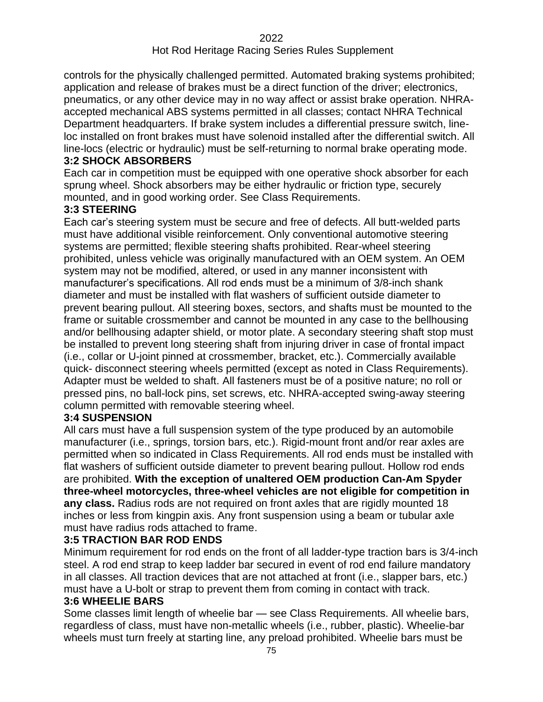controls for the physically challenged permitted. Automated braking systems prohibited; application and release of brakes must be a direct function of the driver; electronics, pneumatics, or any other device may in no way affect or assist brake operation. NHRAaccepted mechanical ABS systems permitted in all classes; contact NHRA Technical Department headquarters. If brake system includes a differential pressure switch, lineloc installed on front brakes must have solenoid installed after the differential switch. All line-locs (electric or hydraulic) must be self-returning to normal brake operating mode. **3:2 SHOCK ABSORBERS**

Each car in competition must be equipped with one operative shock absorber for each sprung wheel. Shock absorbers may be either hydraulic or friction type, securely mounted, and in good working order. See Class Requirements.

# **3:3 STEERING**

Each car's steering system must be secure and free of defects. All butt-welded parts must have additional visible reinforcement. Only conventional automotive steering systems are permitted; flexible steering shafts prohibited. Rear-wheel steering prohibited, unless vehicle was originally manufactured with an OEM system. An OEM system may not be modified, altered, or used in any manner inconsistent with manufacturer's specifications. All rod ends must be a minimum of 3/8-inch shank diameter and must be installed with flat washers of sufficient outside diameter to prevent bearing pullout. All steering boxes, sectors, and shafts must be mounted to the frame or suitable crossmember and cannot be mounted in any case to the bellhousing and/or bellhousing adapter shield, or motor plate. A secondary steering shaft stop must be installed to prevent long steering shaft from injuring driver in case of frontal impact (i.e., collar or U-joint pinned at crossmember, bracket, etc.). Commercially available quick- disconnect steering wheels permitted (except as noted in Class Requirements). Adapter must be welded to shaft. All fasteners must be of a positive nature; no roll or pressed pins, no ball-lock pins, set screws, etc. NHRA-accepted swing-away steering column permitted with removable steering wheel.

#### **3:4 SUSPENSION**

All cars must have a full suspension system of the type produced by an automobile manufacturer (i.e., springs, torsion bars, etc.). Rigid-mount front and/or rear axles are permitted when so indicated in Class Requirements. All rod ends must be installed with flat washers of sufficient outside diameter to prevent bearing pullout. Hollow rod ends are prohibited. **With the exception of unaltered OEM production Can-Am Spyder three-wheel motorcycles, three-wheel vehicles are not eligible for competition in any class.** Radius rods are not required on front axles that are rigidly mounted 18 inches or less from kingpin axis. Any front suspension using a beam or tubular axle must have radius rods attached to frame.

#### **3:5 TRACTION BAR ROD ENDS**

Minimum requirement for rod ends on the front of all ladder-type traction bars is 3/4-inch steel. A rod end strap to keep ladder bar secured in event of rod end failure mandatory in all classes. All traction devices that are not attached at front (i.e., slapper bars, etc.) must have a U-bolt or strap to prevent them from coming in contact with track.

#### **3:6 WHEELIE BARS**

Some classes limit length of wheelie bar — see Class Requirements. All wheelie bars, regardless of class, must have non-metallic wheels (i.e., rubber, plastic). Wheelie-bar wheels must turn freely at starting line, any preload prohibited. Wheelie bars must be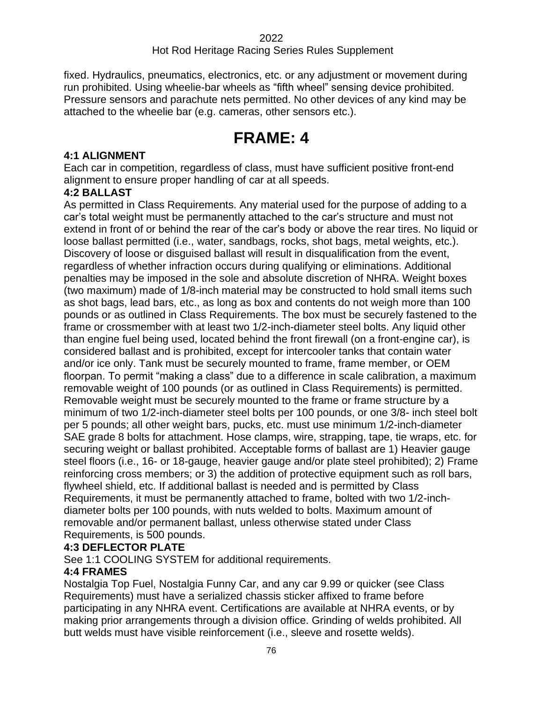# Hot Rod Heritage Racing Series Rules Supplement

fixed. Hydraulics, pneumatics, electronics, etc. or any adjustment or movement during run prohibited. Using wheelie-bar wheels as "fifth wheel" sensing device prohibited. Pressure sensors and parachute nets permitted. No other devices of any kind may be attached to the wheelie bar (e.g. cameras, other sensors etc.).

# **FRAME: 4**

### **4:1 ALIGNMENT**

Each car in competition, regardless of class, must have sufficient positive front-end alignment to ensure proper handling of car at all speeds.

### **4:2 BALLAST**

As permitted in Class Requirements. Any material used for the purpose of adding to a car's total weight must be permanently attached to the car's structure and must not extend in front of or behind the rear of the car's body or above the rear tires. No liquid or loose ballast permitted (i.e., water, sandbags, rocks, shot bags, metal weights, etc.). Discovery of loose or disguised ballast will result in disqualification from the event, regardless of whether infraction occurs during qualifying or eliminations. Additional penalties may be imposed in the sole and absolute discretion of NHRA. Weight boxes (two maximum) made of 1/8-inch material may be constructed to hold small items such as shot bags, lead bars, etc., as long as box and contents do not weigh more than 100 pounds or as outlined in Class Requirements. The box must be securely fastened to the frame or crossmember with at least two 1/2-inch-diameter steel bolts. Any liquid other than engine fuel being used, located behind the front firewall (on a front-engine car), is considered ballast and is prohibited, except for intercooler tanks that contain water and/or ice only. Tank must be securely mounted to frame, frame member, or OEM floorpan. To permit "making a class" due to a difference in scale calibration, a maximum removable weight of 100 pounds (or as outlined in Class Requirements) is permitted. Removable weight must be securely mounted to the frame or frame structure by a minimum of two 1/2-inch-diameter steel bolts per 100 pounds, or one 3/8- inch steel bolt per 5 pounds; all other weight bars, pucks, etc. must use minimum 1/2-inch-diameter SAE grade 8 bolts for attachment. Hose clamps, wire, strapping, tape, tie wraps, etc. for securing weight or ballast prohibited. Acceptable forms of ballast are 1) Heavier gauge steel floors (i.e., 16- or 18-gauge, heavier gauge and/or plate steel prohibited); 2) Frame reinforcing cross members; or 3) the addition of protective equipment such as roll bars, flywheel shield, etc. If additional ballast is needed and is permitted by Class Requirements, it must be permanently attached to frame, bolted with two 1/2-inchdiameter bolts per 100 pounds, with nuts welded to bolts. Maximum amount of removable and/or permanent ballast, unless otherwise stated under Class Requirements, is 500 pounds.

#### **4:3 DEFLECTOR PLATE**

See 1:1 COOLING SYSTEM for additional requirements.

# **4:4 FRAMES**

Nostalgia Top Fuel, Nostalgia Funny Car, and any car 9.99 or quicker (see Class Requirements) must have a serialized chassis sticker affixed to frame before participating in any NHRA event. Certifications are available at NHRA events, or by making prior arrangements through a division office. Grinding of welds prohibited. All butt welds must have visible reinforcement (i.e., sleeve and rosette welds).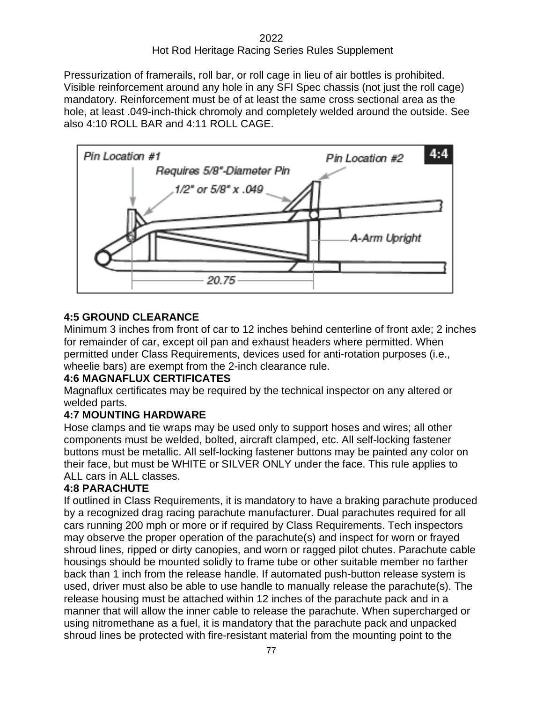Pressurization of framerails, roll bar, or roll cage in lieu of air bottles is prohibited. Visible reinforcement around any hole in any SFI Spec chassis (not just the roll cage) mandatory. Reinforcement must be of at least the same cross sectional area as the hole, at least .049-inch-thick chromoly and completely welded around the outside. See also 4:10 ROLL BAR and 4:11 ROLL CAGE.



# **4:5 GROUND CLEARANCE**

Minimum 3 inches from front of car to 12 inches behind centerline of front axle; 2 inches for remainder of car, except oil pan and exhaust headers where permitted. When permitted under Class Requirements, devices used for anti-rotation purposes (i.e., wheelie bars) are exempt from the 2-inch clearance rule.

# **4:6 MAGNAFLUX CERTIFICATES**

Magnaflux certificates may be required by the technical inspector on any altered or welded parts.

# **4:7 MOUNTING HARDWARE**

Hose clamps and tie wraps may be used only to support hoses and wires; all other components must be welded, bolted, aircraft clamped, etc. All self-locking fastener buttons must be metallic. All self-locking fastener buttons may be painted any color on their face, but must be WHITE or SILVER ONLY under the face. This rule applies to ALL cars in ALL classes.

# **4:8 PARACHUTE**

If outlined in Class Requirements, it is mandatory to have a braking parachute produced by a recognized drag racing parachute manufacturer. Dual parachutes required for all cars running 200 mph or more or if required by Class Requirements. Tech inspectors may observe the proper operation of the parachute(s) and inspect for worn or frayed shroud lines, ripped or dirty canopies, and worn or ragged pilot chutes. Parachute cable housings should be mounted solidly to frame tube or other suitable member no farther back than 1 inch from the release handle. If automated push-button release system is used, driver must also be able to use handle to manually release the parachute(s). The release housing must be attached within 12 inches of the parachute pack and in a manner that will allow the inner cable to release the parachute. When supercharged or using nitromethane as a fuel, it is mandatory that the parachute pack and unpacked shroud lines be protected with fire-resistant material from the mounting point to the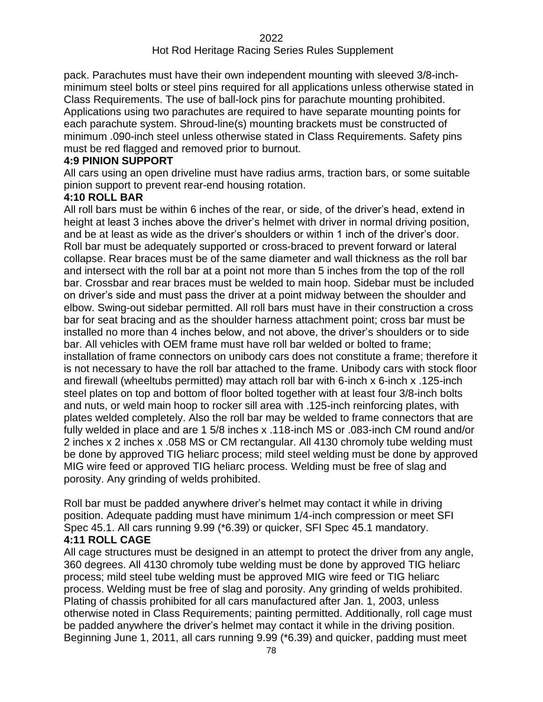### Hot Rod Heritage Racing Series Rules Supplement

pack. Parachutes must have their own independent mounting with sleeved 3/8-inchminimum steel bolts or steel pins required for all applications unless otherwise stated in Class Requirements. The use of ball-lock pins for parachute mounting prohibited. Applications using two parachutes are required to have separate mounting points for each parachute system. Shroud-line(s) mounting brackets must be constructed of minimum .090-inch steel unless otherwise stated in Class Requirements. Safety pins must be red flagged and removed prior to burnout.

### **4:9 PINION SUPPORT**

All cars using an open driveline must have radius arms, traction bars, or some suitable pinion support to prevent rear-end housing rotation.

### **4:10 ROLL BAR**

All roll bars must be within 6 inches of the rear, or side, of the driver's head, extend in height at least 3 inches above the driver's helmet with driver in normal driving position, and be at least as wide as the driver's shoulders or within 1 inch of the driver's door. Roll bar must be adequately supported or cross-braced to prevent forward or lateral collapse. Rear braces must be of the same diameter and wall thickness as the roll bar and intersect with the roll bar at a point not more than 5 inches from the top of the roll bar. Crossbar and rear braces must be welded to main hoop. Sidebar must be included on driver's side and must pass the driver at a point midway between the shoulder and elbow. Swing-out sidebar permitted. All roll bars must have in their construction a cross bar for seat bracing and as the shoulder harness attachment point; cross bar must be installed no more than 4 inches below, and not above, the driver's shoulders or to side bar. All vehicles with OEM frame must have roll bar welded or bolted to frame; installation of frame connectors on unibody cars does not constitute a frame; therefore it is not necessary to have the roll bar attached to the frame. Unibody cars with stock floor and firewall (wheeltubs permitted) may attach roll bar with 6-inch x 6-inch x .125-inch steel plates on top and bottom of floor bolted together with at least four 3/8-inch bolts and nuts, or weld main hoop to rocker sill area with .125-inch reinforcing plates, with plates welded completely. Also the roll bar may be welded to frame connectors that are fully welded in place and are 1 5/8 inches x .118-inch MS or .083-inch CM round and/or 2 inches x 2 inches x .058 MS or CM rectangular. All 4130 chromoly tube welding must be done by approved TIG heliarc process; mild steel welding must be done by approved MIG wire feed or approved TIG heliarc process. Welding must be free of slag and porosity. Any grinding of welds prohibited.

Roll bar must be padded anywhere driver's helmet may contact it while in driving position. Adequate padding must have minimum 1/4-inch compression or meet SFI Spec 45.1. All cars running 9.99 (\*6.39) or quicker, SFI Spec 45.1 mandatory.

# **4:11 ROLL CAGE**

All cage structures must be designed in an attempt to protect the driver from any angle, 360 degrees. All 4130 chromoly tube welding must be done by approved TIG heliarc process; mild steel tube welding must be approved MIG wire feed or TIG heliarc process. Welding must be free of slag and porosity. Any grinding of welds prohibited. Plating of chassis prohibited for all cars manufactured after Jan. 1, 2003, unless otherwise noted in Class Requirements; painting permitted. Additionally, roll cage must be padded anywhere the driver's helmet may contact it while in the driving position. Beginning June 1, 2011, all cars running 9.99 (\*6.39) and quicker, padding must meet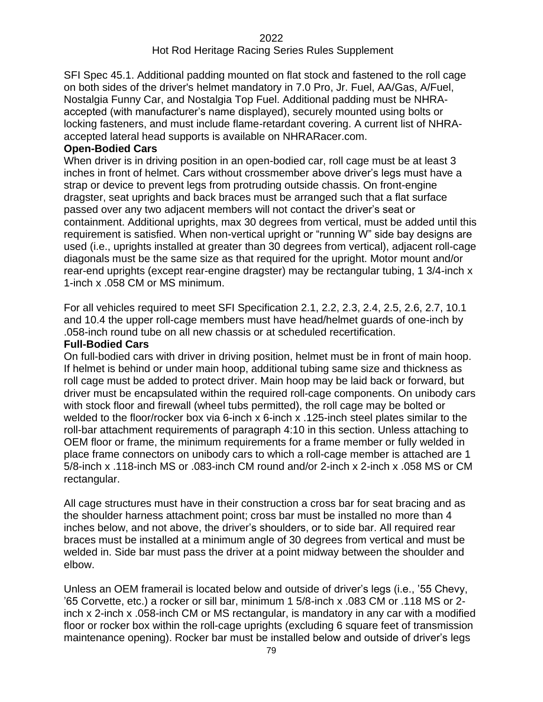SFI Spec 45.1. Additional padding mounted on flat stock and fastened to the roll cage on both sides of the driver's helmet mandatory in 7.0 Pro, Jr. Fuel, AA/Gas, A/Fuel, Nostalgia Funny Car, and Nostalgia Top Fuel. Additional padding must be NHRAaccepted (with manufacturer's name displayed), securely mounted using bolts or locking fasteners, and must include flame-retardant covering. A current list of NHRAaccepted lateral head supports is available on NHRARacer.com.

#### **Open-Bodied Cars**

When driver is in driving position in an open-bodied car, roll cage must be at least 3 inches in front of helmet. Cars without crossmember above driver's legs must have a strap or device to prevent legs from protruding outside chassis. On front-engine dragster, seat uprights and back braces must be arranged such that a flat surface passed over any two adjacent members will not contact the driver's seat or containment. Additional uprights, max 30 degrees from vertical, must be added until this requirement is satisfied. When non-vertical upright or "running W" side bay designs are used (i.e., uprights installed at greater than 30 degrees from vertical), adjacent roll-cage diagonals must be the same size as that required for the upright. Motor mount and/or rear-end uprights (except rear-engine dragster) may be rectangular tubing, 1 3/4-inch x 1-inch x .058 CM or MS minimum.

For all vehicles required to meet SFI Specification 2.1, 2.2, 2.3, 2.4, 2.5, 2.6, 2.7, 10.1 and 10.4 the upper roll-cage members must have head/helmet guards of one-inch by .058-inch round tube on all new chassis or at scheduled recertification.

#### **Full-Bodied Cars**

On full-bodied cars with driver in driving position, helmet must be in front of main hoop. If helmet is behind or under main hoop, additional tubing same size and thickness as roll cage must be added to protect driver. Main hoop may be laid back or forward, but driver must be encapsulated within the required roll-cage components. On unibody cars with stock floor and firewall (wheel tubs permitted), the roll cage may be bolted or welded to the floor/rocker box via 6-inch x 6-inch x .125-inch steel plates similar to the roll-bar attachment requirements of paragraph 4:10 in this section. Unless attaching to OEM floor or frame, the minimum requirements for a frame member or fully welded in place frame connectors on unibody cars to which a roll-cage member is attached are 1 5/8-inch x .118-inch MS or .083-inch CM round and/or 2-inch x 2-inch x .058 MS or CM rectangular.

All cage structures must have in their construction a cross bar for seat bracing and as the shoulder harness attachment point; cross bar must be installed no more than 4 inches below, and not above, the driver's shoulders, or to side bar. All required rear braces must be installed at a minimum angle of 30 degrees from vertical and must be welded in. Side bar must pass the driver at a point midway between the shoulder and elbow.

Unless an OEM framerail is located below and outside of driver's legs (i.e., '55 Chevy, '65 Corvette, etc.) a rocker or sill bar, minimum 1 5/8-inch x .083 CM or .118 MS or 2 inch x 2-inch x .058-inch CM or MS rectangular, is mandatory in any car with a modified floor or rocker box within the roll-cage uprights (excluding 6 square feet of transmission maintenance opening). Rocker bar must be installed below and outside of driver's legs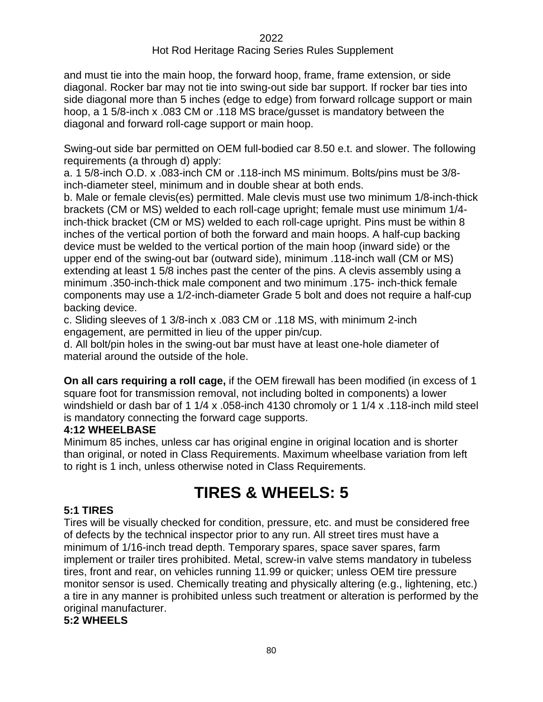and must tie into the main hoop, the forward hoop, frame, frame extension, or side diagonal. Rocker bar may not tie into swing-out side bar support. If rocker bar ties into side diagonal more than 5 inches (edge to edge) from forward rollcage support or main hoop, a 1 5/8-inch x .083 CM or .118 MS brace/gusset is mandatory between the diagonal and forward roll-cage support or main hoop.

Swing-out side bar permitted on OEM full-bodied car 8.50 e.t. and slower. The following requirements (a through d) apply:

a. 1 5/8-inch O.D. x .083-inch CM or .118-inch MS minimum. Bolts/pins must be 3/8 inch-diameter steel, minimum and in double shear at both ends.

b. Male or female clevis(es) permitted. Male clevis must use two minimum 1/8-inch-thick brackets (CM or MS) welded to each roll-cage upright; female must use minimum 1/4 inch-thick bracket (CM or MS) welded to each roll-cage upright. Pins must be within 8 inches of the vertical portion of both the forward and main hoops. A half-cup backing device must be welded to the vertical portion of the main hoop (inward side) or the upper end of the swing-out bar (outward side), minimum .118-inch wall (CM or MS) extending at least 1 5/8 inches past the center of the pins. A clevis assembly using a minimum .350-inch-thick male component and two minimum .175- inch-thick female components may use a 1/2-inch-diameter Grade 5 bolt and does not require a half-cup backing device.

c. Sliding sleeves of 1 3/8-inch x .083 CM or .118 MS, with minimum 2-inch engagement, are permitted in lieu of the upper pin/cup.

d. All bolt/pin holes in the swing-out bar must have at least one-hole diameter of material around the outside of the hole.

**On all cars requiring a roll cage,** if the OEM firewall has been modified (in excess of 1 square foot for transmission removal, not including bolted in components) a lower windshield or dash bar of 1 1/4 x .058-inch 4130 chromoly or 1 1/4 x .118-inch mild steel is mandatory connecting the forward cage supports.

# **4:12 WHEELBASE**

Minimum 85 inches, unless car has original engine in original location and is shorter than original, or noted in Class Requirements. Maximum wheelbase variation from left to right is 1 inch, unless otherwise noted in Class Requirements.

# **TIRES & WHEELS: 5**

# **5:1 TIRES**

Tires will be visually checked for condition, pressure, etc. and must be considered free of defects by the technical inspector prior to any run. All street tires must have a minimum of 1/16-inch tread depth. Temporary spares, space saver spares, farm implement or trailer tires prohibited. Metal, screw-in valve stems mandatory in tubeless tires, front and rear, on vehicles running 11.99 or quicker; unless OEM tire pressure monitor sensor is used. Chemically treating and physically altering (e.g., lightening, etc.) a tire in any manner is prohibited unless such treatment or alteration is performed by the original manufacturer.

#### **5:2 WHEELS**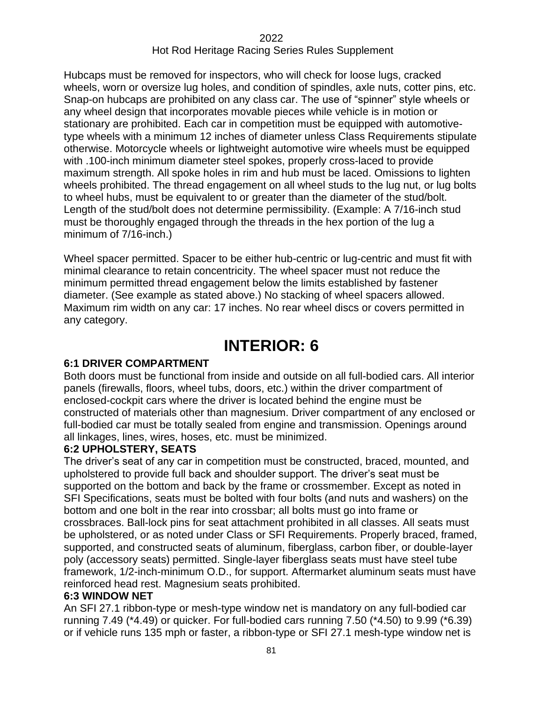Hubcaps must be removed for inspectors, who will check for loose lugs, cracked wheels, worn or oversize lug holes, and condition of spindles, axle nuts, cotter pins, etc. Snap-on hubcaps are prohibited on any class car. The use of "spinner" style wheels or any wheel design that incorporates movable pieces while vehicle is in motion or stationary are prohibited. Each car in competition must be equipped with automotivetype wheels with a minimum 12 inches of diameter unless Class Requirements stipulate otherwise. Motorcycle wheels or lightweight automotive wire wheels must be equipped with .100-inch minimum diameter steel spokes, properly cross-laced to provide maximum strength. All spoke holes in rim and hub must be laced. Omissions to lighten wheels prohibited. The thread engagement on all wheel studs to the lug nut, or lug bolts to wheel hubs, must be equivalent to or greater than the diameter of the stud/bolt. Length of the stud/bolt does not determine permissibility. (Example: A 7/16-inch stud must be thoroughly engaged through the threads in the hex portion of the lug a minimum of 7/16-inch.)

Wheel spacer permitted. Spacer to be either hub-centric or lug-centric and must fit with minimal clearance to retain concentricity. The wheel spacer must not reduce the minimum permitted thread engagement below the limits established by fastener diameter. (See example as stated above.) No stacking of wheel spacers allowed. Maximum rim width on any car: 17 inches. No rear wheel discs or covers permitted in any category.

# **INTERIOR: 6**

#### **6:1 DRIVER COMPARTMENT**

Both doors must be functional from inside and outside on all full-bodied cars. All interior panels (firewalls, floors, wheel tubs, doors, etc.) within the driver compartment of enclosed-cockpit cars where the driver is located behind the engine must be constructed of materials other than magnesium. Driver compartment of any enclosed or full-bodied car must be totally sealed from engine and transmission. Openings around all linkages, lines, wires, hoses, etc. must be minimized.

#### **6:2 UPHOLSTERY, SEATS**

The driver's seat of any car in competition must be constructed, braced, mounted, and upholstered to provide full back and shoulder support. The driver's seat must be supported on the bottom and back by the frame or crossmember. Except as noted in SFI Specifications, seats must be bolted with four bolts (and nuts and washers) on the bottom and one bolt in the rear into crossbar; all bolts must go into frame or crossbraces. Ball-lock pins for seat attachment prohibited in all classes. All seats must be upholstered, or as noted under Class or SFI Requirements. Properly braced, framed, supported, and constructed seats of aluminum, fiberglass, carbon fiber, or double-layer poly (accessory seats) permitted. Single-layer fiberglass seats must have steel tube framework, 1/2-inch-minimum O.D., for support. Aftermarket aluminum seats must have reinforced head rest. Magnesium seats prohibited.

#### **6:3 WINDOW NET**

An SFI 27.1 ribbon-type or mesh-type window net is mandatory on any full-bodied car running 7.49 (\*4.49) or quicker. For full-bodied cars running 7.50 (\*4.50) to 9.99 (\*6.39) or if vehicle runs 135 mph or faster, a ribbon-type or SFI 27.1 mesh-type window net is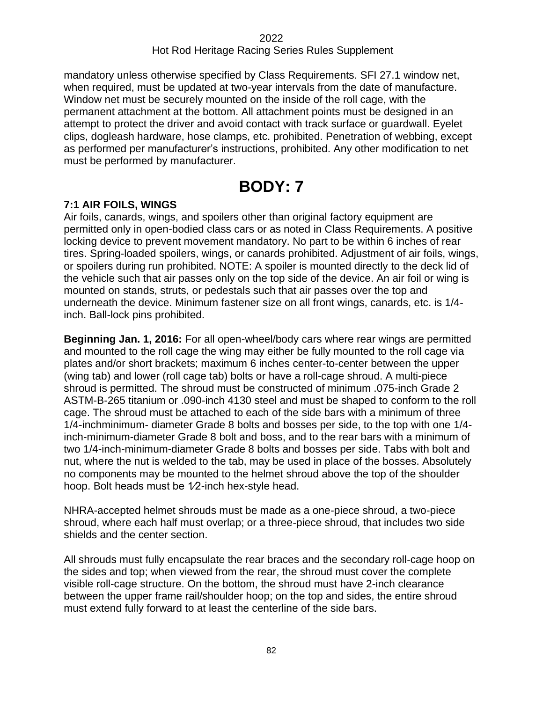mandatory unless otherwise specified by Class Requirements. SFI 27.1 window net, when required, must be updated at two-year intervals from the date of manufacture. Window net must be securely mounted on the inside of the roll cage, with the permanent attachment at the bottom. All attachment points must be designed in an attempt to protect the driver and avoid contact with track surface or guardwall. Eyelet clips, dogleash hardware, hose clamps, etc. prohibited. Penetration of webbing, except as performed per manufacturer's instructions, prohibited. Any other modification to net must be performed by manufacturer.

# **BODY: 7**

# **7:1 AIR FOILS, WINGS**

Air foils, canards, wings, and spoilers other than original factory equipment are permitted only in open-bodied class cars or as noted in Class Requirements. A positive locking device to prevent movement mandatory. No part to be within 6 inches of rear tires. Spring-loaded spoilers, wings, or canards prohibited. Adjustment of air foils, wings, or spoilers during run prohibited. NOTE: A spoiler is mounted directly to the deck lid of the vehicle such that air passes only on the top side of the device. An air foil or wing is mounted on stands, struts, or pedestals such that air passes over the top and underneath the device. Minimum fastener size on all front wings, canards, etc. is 1/4 inch. Ball-lock pins prohibited.

**Beginning Jan. 1, 2016:** For all open-wheel/body cars where rear wings are permitted and mounted to the roll cage the wing may either be fully mounted to the roll cage via plates and/or short brackets; maximum 6 inches center-to-center between the upper (wing tab) and lower (roll cage tab) bolts or have a roll-cage shroud. A multi-piece shroud is permitted. The shroud must be constructed of minimum .075-inch Grade 2 ASTM-B-265 titanium or .090-inch 4130 steel and must be shaped to conform to the roll cage. The shroud must be attached to each of the side bars with a minimum of three 1/4-inchminimum- diameter Grade 8 bolts and bosses per side, to the top with one 1/4 inch-minimum-diameter Grade 8 bolt and boss, and to the rear bars with a minimum of two 1/4-inch-minimum-diameter Grade 8 bolts and bosses per side. Tabs with bolt and nut, where the nut is welded to the tab, may be used in place of the bosses. Absolutely no components may be mounted to the helmet shroud above the top of the shoulder hoop. Bolt heads must be 1/2-inch hex-style head.

NHRA-accepted helmet shrouds must be made as a one-piece shroud, a two-piece shroud, where each half must overlap; or a three-piece shroud, that includes two side shields and the center section.

All shrouds must fully encapsulate the rear braces and the secondary roll-cage hoop on the sides and top; when viewed from the rear, the shroud must cover the complete visible roll-cage structure. On the bottom, the shroud must have 2-inch clearance between the upper frame rail/shoulder hoop; on the top and sides, the entire shroud must extend fully forward to at least the centerline of the side bars.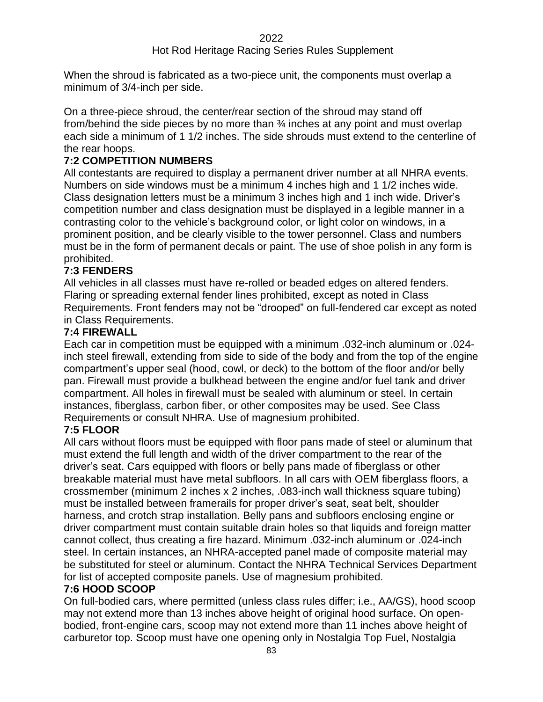When the shroud is fabricated as a two-piece unit, the components must overlap a minimum of 3/4-inch per side.

On a three-piece shroud, the center/rear section of the shroud may stand off from/behind the side pieces by no more than  $\frac{3}{4}$  inches at any point and must overlap each side a minimum of 1 1/2 inches. The side shrouds must extend to the centerline of the rear hoops.

# **7:2 COMPETITION NUMBERS**

All contestants are required to display a permanent driver number at all NHRA events. Numbers on side windows must be a minimum 4 inches high and 1 1/2 inches wide. Class designation letters must be a minimum 3 inches high and 1 inch wide. Driver's competition number and class designation must be displayed in a legible manner in a contrasting color to the vehicle's background color, or light color on windows, in a prominent position, and be clearly visible to the tower personnel. Class and numbers must be in the form of permanent decals or paint. The use of shoe polish in any form is prohibited.

# **7:3 FENDERS**

All vehicles in all classes must have re-rolled or beaded edges on altered fenders. Flaring or spreading external fender lines prohibited, except as noted in Class Requirements. Front fenders may not be "drooped" on full-fendered car except as noted in Class Requirements.

### **7:4 FIREWALL**

Each car in competition must be equipped with a minimum .032-inch aluminum or .024 inch steel firewall, extending from side to side of the body and from the top of the engine compartment's upper seal (hood, cowl, or deck) to the bottom of the floor and/or belly pan. Firewall must provide a bulkhead between the engine and/or fuel tank and driver compartment. All holes in firewall must be sealed with aluminum or steel. In certain instances, fiberglass, carbon fiber, or other composites may be used. See Class Requirements or consult NHRA. Use of magnesium prohibited.

#### **7:5 FLOOR**

All cars without floors must be equipped with floor pans made of steel or aluminum that must extend the full length and width of the driver compartment to the rear of the driver's seat. Cars equipped with floors or belly pans made of fiberglass or other breakable material must have metal subfloors. In all cars with OEM fiberglass floors, a crossmember (minimum 2 inches x 2 inches, .083-inch wall thickness square tubing) must be installed between framerails for proper driver's seat, seat belt, shoulder harness, and crotch strap installation. Belly pans and subfloors enclosing engine or driver compartment must contain suitable drain holes so that liquids and foreign matter cannot collect, thus creating a fire hazard. Minimum .032-inch aluminum or .024-inch steel. In certain instances, an NHRA-accepted panel made of composite material may be substituted for steel or aluminum. Contact the NHRA Technical Services Department for list of accepted composite panels. Use of magnesium prohibited.

#### **7:6 HOOD SCOOP**

On full-bodied cars, where permitted (unless class rules differ; i.e., AA/GS), hood scoop may not extend more than 13 inches above height of original hood surface. On openbodied, front-engine cars, scoop may not extend more than 11 inches above height of carburetor top. Scoop must have one opening only in Nostalgia Top Fuel, Nostalgia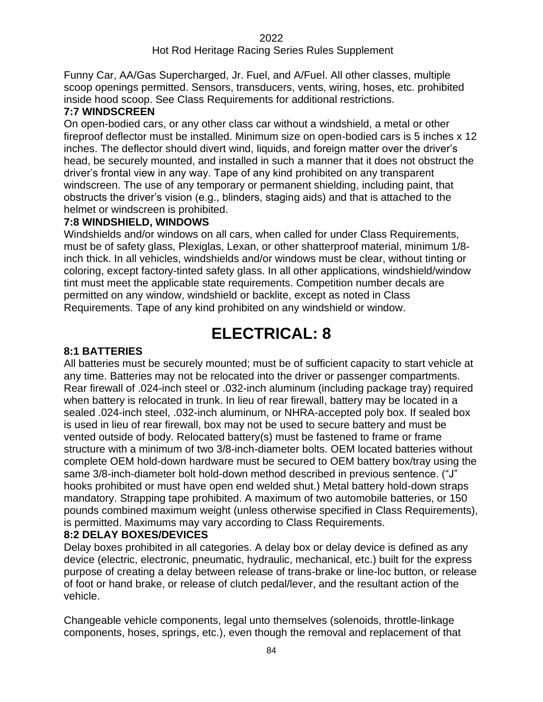Funny Car, AA/Gas Supercharged, Jr. Fuel, and A/Fuel. All other classes, multiple scoop openings permitted. Sensors, transducers, vents, wiring, hoses, etc. prohibited inside hood scoop. See Class Requirements for additional restrictions.

#### **7:7 WINDSCREEN**

On open-bodied cars, or any other class car without a windshield, a metal or other fireproof deflector must be installed. Minimum size on open-bodied cars is 5 inches x 12 inches. The deflector should divert wind, liquids, and foreign matter over the driver's head, be securely mounted, and installed in such a manner that it does not obstruct the driver's frontal view in any way. Tape of any kind prohibited on any transparent windscreen. The use of any temporary or permanent shielding, including paint, that obstructs the driver's vision (e.g., blinders, staging aids) and that is attached to the helmet or windscreen is prohibited.

#### **7:8 WINDSHIELD, WINDOWS**

Windshields and/or windows on all cars, when called for under Class Requirements, must be of safety glass, Plexiglas, Lexan, or other shatterproof material, minimum 1/8 inch thick. In all vehicles, windshields and/or windows must be clear, without tinting or coloring, except factory-tinted safety glass. In all other applications, windshield/window tint must meet the applicable state requirements. Competition number decals are permitted on any window, windshield or backlite, except as noted in Class Requirements. Tape of any kind prohibited on any windshield or window.

# **ELECTRICAL: 8**

#### **8:1 BATTERIES**

All batteries must be securely mounted; must be of sufficient capacity to start vehicle at any time. Batteries may not be relocated into the driver or passenger compartments. Rear firewall of .024-inch steel or .032-inch aluminum (including package tray) required when battery is relocated in trunk. In lieu of rear firewall, battery may be located in a sealed .024-inch steel, .032-inch aluminum, or NHRA-accepted poly box. If sealed box is used in lieu of rear firewall, box may not be used to secure battery and must be vented outside of body. Relocated battery(s) must be fastened to frame or frame structure with a minimum of two 3/8-inch-diameter bolts. OEM located batteries without complete OEM hold-down hardware must be secured to OEM battery box/tray using the same 3/8-inch-diameter bolt hold-down method described in previous sentence. ("J" hooks prohibited or must have open end welded shut.) Metal battery hold-down straps mandatory. Strapping tape prohibited. A maximum of two automobile batteries, or 150 pounds combined maximum weight (unless otherwise specified in Class Requirements), is permitted. Maximums may vary according to Class Requirements.

#### **8:2 DELAY BOXES/DEVICES**

Delay boxes prohibited in all categories. A delay box or delay device is defined as any device (electric, electronic, pneumatic, hydraulic, mechanical, etc.) built for the express purpose of creating a delay between release of trans-brake or line-loc button, or release of foot or hand brake, or release of clutch pedal/lever, and the resultant action of the vehicle.

Changeable vehicle components, legal unto themselves (solenoids, throttle-linkage components, hoses, springs, etc.), even though the removal and replacement of that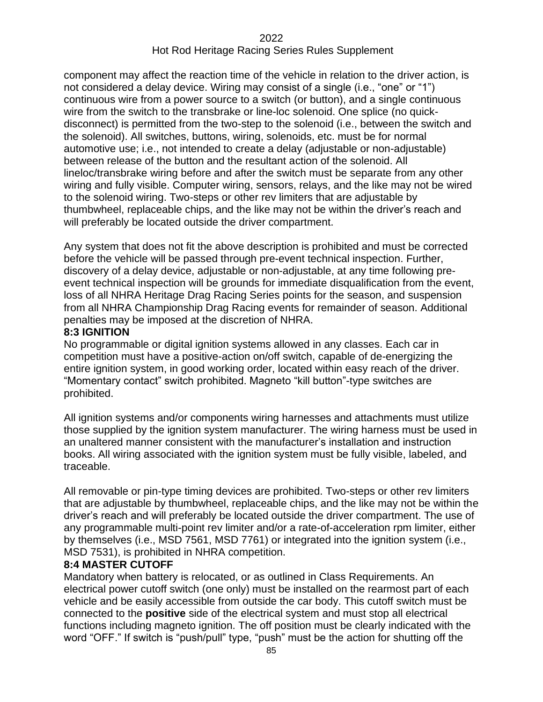component may affect the reaction time of the vehicle in relation to the driver action, is not considered a delay device. Wiring may consist of a single (i.e., "one" or "1") continuous wire from a power source to a switch (or button), and a single continuous wire from the switch to the transbrake or line-loc solenoid. One splice (no quickdisconnect) is permitted from the two-step to the solenoid (i.e., between the switch and the solenoid). All switches, buttons, wiring, solenoids, etc. must be for normal automotive use; i.e., not intended to create a delay (adjustable or non-adjustable) between release of the button and the resultant action of the solenoid. All lineloc/transbrake wiring before and after the switch must be separate from any other wiring and fully visible. Computer wiring, sensors, relays, and the like may not be wired to the solenoid wiring. Two-steps or other rev limiters that are adjustable by thumbwheel, replaceable chips, and the like may not be within the driver's reach and will preferably be located outside the driver compartment.

Any system that does not fit the above description is prohibited and must be corrected before the vehicle will be passed through pre-event technical inspection. Further, discovery of a delay device, adjustable or non-adjustable, at any time following preevent technical inspection will be grounds for immediate disqualification from the event, loss of all NHRA Heritage Drag Racing Series points for the season, and suspension from all NHRA Championship Drag Racing events for remainder of season. Additional penalties may be imposed at the discretion of NHRA.

#### **8:3 IGNITION**

No programmable or digital ignition systems allowed in any classes. Each car in competition must have a positive-action on/off switch, capable of de-energizing the entire ignition system, in good working order, located within easy reach of the driver. "Momentary contact" switch prohibited. Magneto "kill button"-type switches are prohibited.

All ignition systems and/or components wiring harnesses and attachments must utilize those supplied by the ignition system manufacturer. The wiring harness must be used in an unaltered manner consistent with the manufacturer's installation and instruction books. All wiring associated with the ignition system must be fully visible, labeled, and traceable.

All removable or pin-type timing devices are prohibited. Two-steps or other rev limiters that are adjustable by thumbwheel, replaceable chips, and the like may not be within the driver's reach and will preferably be located outside the driver compartment. The use of any programmable multi-point rev limiter and/or a rate-of-acceleration rpm limiter, either by themselves (i.e., MSD 7561, MSD 7761) or integrated into the ignition system (i.e., MSD 7531), is prohibited in NHRA competition.

#### **8:4 MASTER CUTOFF**

Mandatory when battery is relocated, or as outlined in Class Requirements. An electrical power cutoff switch (one only) must be installed on the rearmost part of each vehicle and be easily accessible from outside the car body. This cutoff switch must be connected to the **positive** side of the electrical system and must stop all electrical functions including magneto ignition. The off position must be clearly indicated with the word "OFF." If switch is "push/pull" type, "push" must be the action for shutting off the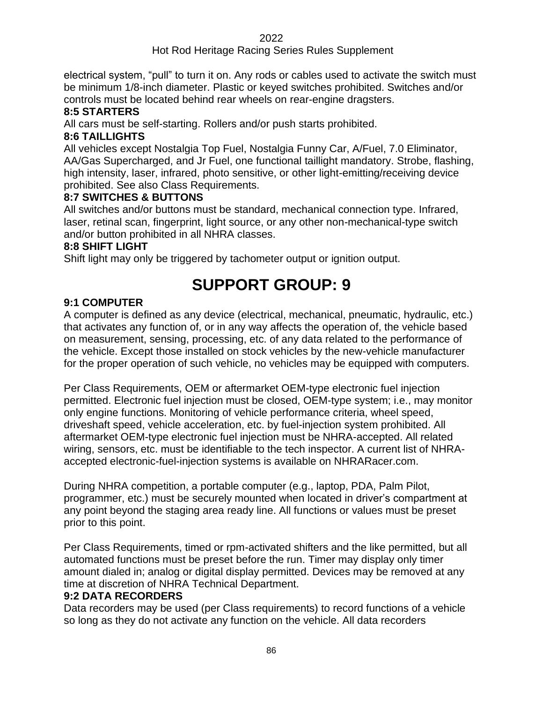# Hot Rod Heritage Racing Series Rules Supplement

electrical system, "pull" to turn it on. Any rods or cables used to activate the switch must be minimum 1/8-inch diameter. Plastic or keyed switches prohibited. Switches and/or controls must be located behind rear wheels on rear-engine dragsters.

#### **8:5 STARTERS**

All cars must be self-starting. Rollers and/or push starts prohibited.

# **8:6 TAILLIGHTS**

All vehicles except Nostalgia Top Fuel, Nostalgia Funny Car, A/Fuel, 7.0 Eliminator, AA/Gas Supercharged, and Jr Fuel, one functional taillight mandatory. Strobe, flashing, high intensity, laser, infrared, photo sensitive, or other light-emitting/receiving device prohibited. See also Class Requirements.

### **8:7 SWITCHES & BUTTONS**

All switches and/or buttons must be standard, mechanical connection type. Infrared, laser, retinal scan, fingerprint, light source, or any other non-mechanical-type switch and/or button prohibited in all NHRA classes.

#### **8:8 SHIFT LIGHT**

Shift light may only be triggered by tachometer output or ignition output.

# **SUPPORT GROUP: 9**

# **9:1 COMPUTER**

A computer is defined as any device (electrical, mechanical, pneumatic, hydraulic, etc.) that activates any function of, or in any way affects the operation of, the vehicle based on measurement, sensing, processing, etc. of any data related to the performance of the vehicle. Except those installed on stock vehicles by the new-vehicle manufacturer for the proper operation of such vehicle, no vehicles may be equipped with computers.

Per Class Requirements, OEM or aftermarket OEM-type electronic fuel injection permitted. Electronic fuel injection must be closed, OEM-type system; i.e., may monitor only engine functions. Monitoring of vehicle performance criteria, wheel speed, driveshaft speed, vehicle acceleration, etc. by fuel-injection system prohibited. All aftermarket OEM-type electronic fuel injection must be NHRA-accepted. All related wiring, sensors, etc. must be identifiable to the tech inspector. A current list of NHRAaccepted electronic-fuel-injection systems is available on NHRARacer.com.

During NHRA competition, a portable computer (e.g., laptop, PDA, Palm Pilot, programmer, etc.) must be securely mounted when located in driver's compartment at any point beyond the staging area ready line. All functions or values must be preset prior to this point.

Per Class Requirements, timed or rpm-activated shifters and the like permitted, but all automated functions must be preset before the run. Timer may display only timer amount dialed in; analog or digital display permitted. Devices may be removed at any time at discretion of NHRA Technical Department.

#### **9:2 DATA RECORDERS**

Data recorders may be used (per Class requirements) to record functions of a vehicle so long as they do not activate any function on the vehicle. All data recorders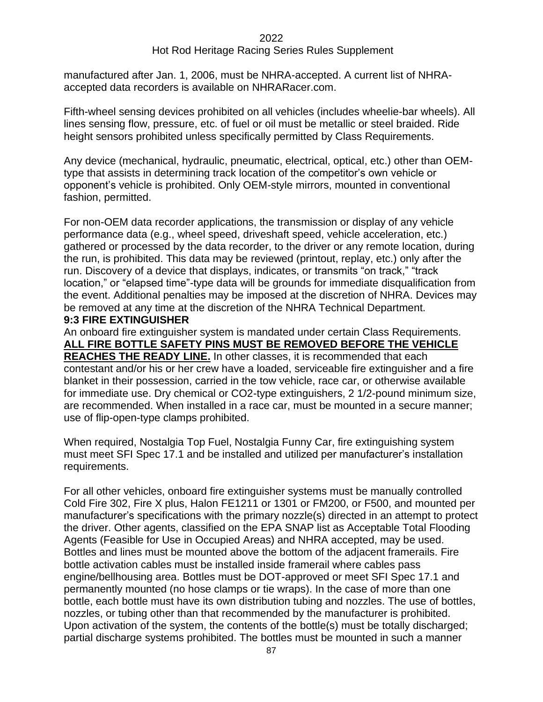manufactured after Jan. 1, 2006, must be NHRA-accepted. A current list of NHRAaccepted data recorders is available on NHRARacer.com.

Fifth-wheel sensing devices prohibited on all vehicles (includes wheelie-bar wheels). All lines sensing flow, pressure, etc. of fuel or oil must be metallic or steel braided. Ride height sensors prohibited unless specifically permitted by Class Requirements.

Any device (mechanical, hydraulic, pneumatic, electrical, optical, etc.) other than OEMtype that assists in determining track location of the competitor's own vehicle or opponent's vehicle is prohibited. Only OEM-style mirrors, mounted in conventional fashion, permitted.

For non-OEM data recorder applications, the transmission or display of any vehicle performance data (e.g., wheel speed, driveshaft speed, vehicle acceleration, etc.) gathered or processed by the data recorder, to the driver or any remote location, during the run, is prohibited. This data may be reviewed (printout, replay, etc.) only after the run. Discovery of a device that displays, indicates, or transmits "on track," "track location," or "elapsed time"-type data will be grounds for immediate disqualification from the event. Additional penalties may be imposed at the discretion of NHRA. Devices may be removed at any time at the discretion of the NHRA Technical Department.

#### **9:3 FIRE EXTINGUISHER**

An onboard fire extinguisher system is mandated under certain Class Requirements. **ALL FIRE BOTTLE SAFETY PINS MUST BE REMOVED BEFORE THE VEHICLE REACHES THE READY LINE.** In other classes, it is recommended that each contestant and/or his or her crew have a loaded, serviceable fire extinguisher and a fire blanket in their possession, carried in the tow vehicle, race car, or otherwise available for immediate use. Dry chemical or CO2-type extinguishers, 2 1/2-pound minimum size, are recommended. When installed in a race car, must be mounted in a secure manner; use of flip-open-type clamps prohibited.

When required, Nostalgia Top Fuel, Nostalgia Funny Car, fire extinguishing system must meet SFI Spec 17.1 and be installed and utilized per manufacturer's installation requirements.

For all other vehicles, onboard fire extinguisher systems must be manually controlled Cold Fire 302, Fire X plus, Halon FE1211 or 1301 or FM200, or F500, and mounted per manufacturer's specifications with the primary nozzle(s) directed in an attempt to protect the driver. Other agents, classified on the EPA SNAP list as Acceptable Total Flooding Agents (Feasible for Use in Occupied Areas) and NHRA accepted, may be used. Bottles and lines must be mounted above the bottom of the adjacent framerails. Fire bottle activation cables must be installed inside framerail where cables pass engine/bellhousing area. Bottles must be DOT-approved or meet SFI Spec 17.1 and permanently mounted (no hose clamps or tie wraps). In the case of more than one bottle, each bottle must have its own distribution tubing and nozzles. The use of bottles, nozzles, or tubing other than that recommended by the manufacturer is prohibited. Upon activation of the system, the contents of the bottle(s) must be totally discharged; partial discharge systems prohibited. The bottles must be mounted in such a manner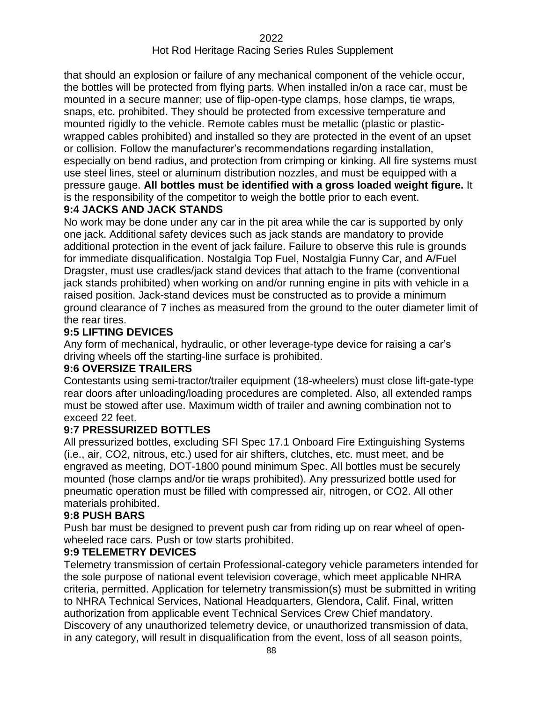that should an explosion or failure of any mechanical component of the vehicle occur, the bottles will be protected from flying parts. When installed in/on a race car, must be mounted in a secure manner; use of flip-open-type clamps, hose clamps, tie wraps, snaps, etc. prohibited. They should be protected from excessive temperature and mounted rigidly to the vehicle. Remote cables must be metallic (plastic or plasticwrapped cables prohibited) and installed so they are protected in the event of an upset or collision. Follow the manufacturer's recommendations regarding installation, especially on bend radius, and protection from crimping or kinking. All fire systems must use steel lines, steel or aluminum distribution nozzles, and must be equipped with a pressure gauge. **All bottles must be identified with a gross loaded weight figure.** It is the responsibility of the competitor to weigh the bottle prior to each event.

# **9:4 JACKS AND JACK STANDS**

No work may be done under any car in the pit area while the car is supported by only one jack. Additional safety devices such as jack stands are mandatory to provide additional protection in the event of jack failure. Failure to observe this rule is grounds for immediate disqualification. Nostalgia Top Fuel, Nostalgia Funny Car, and A/Fuel Dragster, must use cradles/jack stand devices that attach to the frame (conventional jack stands prohibited) when working on and/or running engine in pits with vehicle in a raised position. Jack-stand devices must be constructed as to provide a minimum ground clearance of 7 inches as measured from the ground to the outer diameter limit of the rear tires.

### **9:5 LIFTING DEVICES**

Any form of mechanical, hydraulic, or other leverage-type device for raising a car's driving wheels off the starting-line surface is prohibited.

# **9:6 OVERSIZE TRAILERS**

Contestants using semi-tractor/trailer equipment (18-wheelers) must close lift-gate-type rear doors after unloading/loading procedures are completed. Also, all extended ramps must be stowed after use. Maximum width of trailer and awning combination not to exceed 22 feet.

# **9:7 PRESSURIZED BOTTLES**

All pressurized bottles, excluding SFI Spec 17.1 Onboard Fire Extinguishing Systems (i.e., air, CO2, nitrous, etc.) used for air shifters, clutches, etc. must meet, and be engraved as meeting, DOT-1800 pound minimum Spec. All bottles must be securely mounted (hose clamps and/or tie wraps prohibited). Any pressurized bottle used for pneumatic operation must be filled with compressed air, nitrogen, or CO2. All other materials prohibited.

# **9:8 PUSH BARS**

Push bar must be designed to prevent push car from riding up on rear wheel of openwheeled race cars. Push or tow starts prohibited.

#### **9:9 TELEMETRY DEVICES**

Telemetry transmission of certain Professional-category vehicle parameters intended for the sole purpose of national event television coverage, which meet applicable NHRA criteria, permitted. Application for telemetry transmission(s) must be submitted in writing to NHRA Technical Services, National Headquarters, Glendora, Calif. Final, written authorization from applicable event Technical Services Crew Chief mandatory. Discovery of any unauthorized telemetry device, or unauthorized transmission of data, in any category, will result in disqualification from the event, loss of all season points,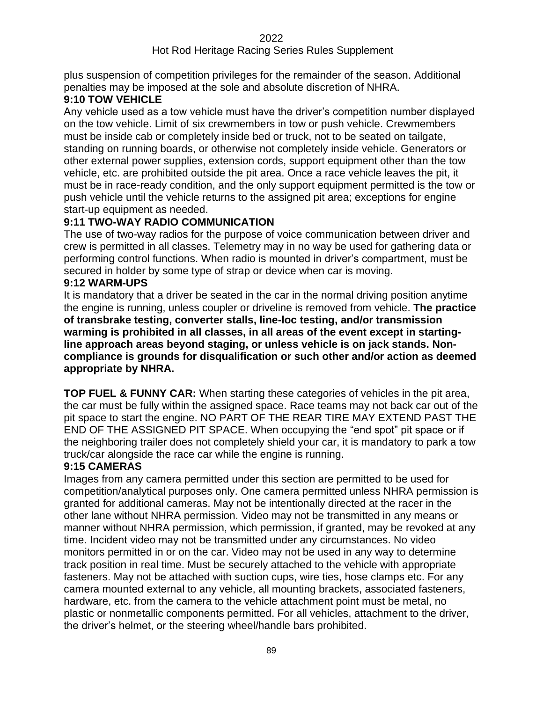### Hot Rod Heritage Racing Series Rules Supplement

plus suspension of competition privileges for the remainder of the season. Additional penalties may be imposed at the sole and absolute discretion of NHRA.

# **9:10 TOW VEHICLE**

Any vehicle used as a tow vehicle must have the driver's competition number displayed on the tow vehicle. Limit of six crewmembers in tow or push vehicle. Crewmembers must be inside cab or completely inside bed or truck, not to be seated on tailgate, standing on running boards, or otherwise not completely inside vehicle. Generators or other external power supplies, extension cords, support equipment other than the tow vehicle, etc. are prohibited outside the pit area. Once a race vehicle leaves the pit, it must be in race-ready condition, and the only support equipment permitted is the tow or push vehicle until the vehicle returns to the assigned pit area; exceptions for engine start-up equipment as needed.

# **9:11 TWO-WAY RADIO COMMUNICATION**

The use of two-way radios for the purpose of voice communication between driver and crew is permitted in all classes. Telemetry may in no way be used for gathering data or performing control functions. When radio is mounted in driver's compartment, must be secured in holder by some type of strap or device when car is moving.

### **9:12 WARM-UPS**

It is mandatory that a driver be seated in the car in the normal driving position anytime the engine is running, unless coupler or driveline is removed from vehicle. **The practice of transbrake testing, converter stalls, line-loc testing, and/or transmission warming is prohibited in all classes, in all areas of the event except in startingline approach areas beyond staging, or unless vehicle is on jack stands. Noncompliance is grounds for disqualification or such other and/or action as deemed appropriate by NHRA.**

**TOP FUEL & FUNNY CAR:** When starting these categories of vehicles in the pit area, the car must be fully within the assigned space. Race teams may not back car out of the pit space to start the engine. NO PART OF THE REAR TIRE MAY EXTEND PAST THE END OF THE ASSIGNED PIT SPACE. When occupying the "end spot" pit space or if the neighboring trailer does not completely shield your car, it is mandatory to park a tow truck/car alongside the race car while the engine is running.

# **9:15 CAMERAS**

Images from any camera permitted under this section are permitted to be used for competition/analytical purposes only. One camera permitted unless NHRA permission is granted for additional cameras. May not be intentionally directed at the racer in the other lane without NHRA permission. Video may not be transmitted in any means or manner without NHRA permission, which permission, if granted, may be revoked at any time. Incident video may not be transmitted under any circumstances. No video monitors permitted in or on the car. Video may not be used in any way to determine track position in real time. Must be securely attached to the vehicle with appropriate fasteners. May not be attached with suction cups, wire ties, hose clamps etc. For any camera mounted external to any vehicle, all mounting brackets, associated fasteners, hardware, etc. from the camera to the vehicle attachment point must be metal, no plastic or nonmetallic components permitted. For all vehicles, attachment to the driver, the driver's helmet, or the steering wheel/handle bars prohibited.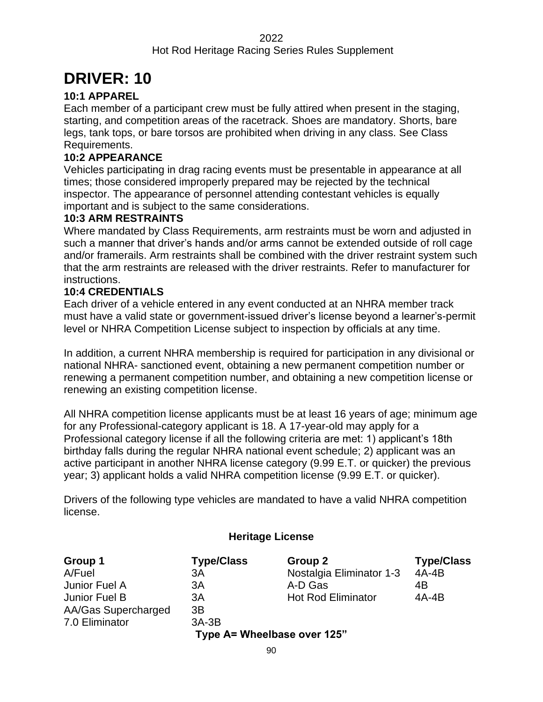# **DRIVER: 10**

# **10:1 APPAREL**

Each member of a participant crew must be fully attired when present in the staging, starting, and competition areas of the racetrack. Shoes are mandatory. Shorts, bare legs, tank tops, or bare torsos are prohibited when driving in any class. See Class Requirements.

### **10:2 APPEARANCE**

Vehicles participating in drag racing events must be presentable in appearance at all times; those considered improperly prepared may be rejected by the technical inspector. The appearance of personnel attending contestant vehicles is equally important and is subject to the same considerations.

#### **10:3 ARM RESTRAINTS**

Where mandated by Class Requirements, arm restraints must be worn and adjusted in such a manner that driver's hands and/or arms cannot be extended outside of roll cage and/or framerails. Arm restraints shall be combined with the driver restraint system such that the arm restraints are released with the driver restraints. Refer to manufacturer for instructions.

### **10:4 CREDENTIALS**

Each driver of a vehicle entered in any event conducted at an NHRA member track must have a valid state or government-issued driver's license beyond a learner's-permit level or NHRA Competition License subject to inspection by officials at any time.

In addition, a current NHRA membership is required for participation in any divisional or national NHRA- sanctioned event, obtaining a new permanent competition number or renewing a permanent competition number, and obtaining a new competition license or renewing an existing competition license.

All NHRA competition license applicants must be at least 16 years of age; minimum age for any Professional-category applicant is 18. A 17-year-old may apply for a Professional category license if all the following criteria are met: 1) applicant's 18th birthday falls during the regular NHRA national event schedule; 2) applicant was an active participant in another NHRA license category (9.99 E.T. or quicker) the previous year; 3) applicant holds a valid NHRA competition license (9.99 E.T. or quicker).

Drivers of the following type vehicles are mandated to have a valid NHRA competition license.

# **Heritage License**

| Group 1                     | <b>Type/Class</b> | Group 2                   | <b>Type/Class</b> |  |  |
|-----------------------------|-------------------|---------------------------|-------------------|--|--|
| A/Fuel                      | ЗA                | Nostalgia Eliminator 1-3  | $4A-4B$           |  |  |
| Junior Fuel A               | 3A                | A-D Gas                   | 4B                |  |  |
| Junior Fuel B               | 3A                | <b>Hot Rod Eliminator</b> | $4A-4B$           |  |  |
| AA/Gas Supercharged         | 3B                |                           |                   |  |  |
| 7.0 Eliminator              | $3A-3B$           |                           |                   |  |  |
| Type A= Wheelbase over 125" |                   |                           |                   |  |  |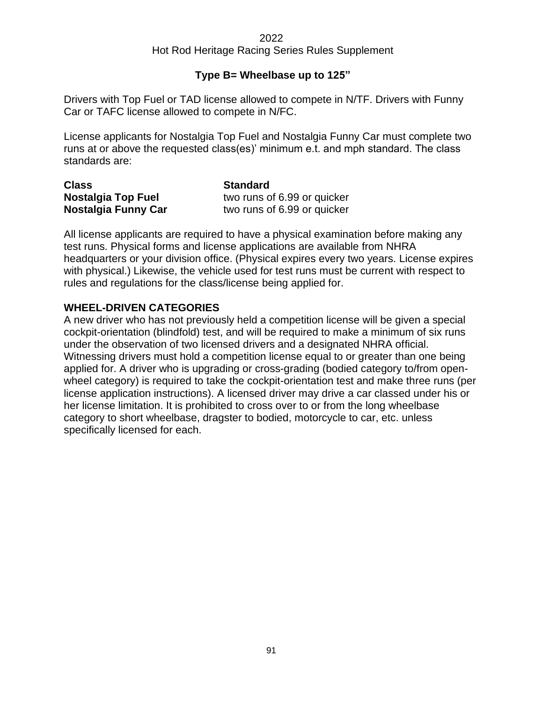# **Type B= Wheelbase up to 125"**

Drivers with Top Fuel or TAD license allowed to compete in N/TF. Drivers with Funny Car or TAFC license allowed to compete in N/FC.

License applicants for Nostalgia Top Fuel and Nostalgia Funny Car must complete two runs at or above the requested class(es)' minimum e.t. and mph standard. The class standards are:

| <b>Class</b>              | <b>Standard</b>             |
|---------------------------|-----------------------------|
| <b>Nostalgia Top Fuel</b> | two runs of 6.99 or quicker |
| Nostalgia Funny Car       | two runs of 6.99 or quicker |

All license applicants are required to have a physical examination before making any test runs. Physical forms and license applications are available from NHRA headquarters or your division office. (Physical expires every two years. License expires with physical.) Likewise, the vehicle used for test runs must be current with respect to rules and regulations for the class/license being applied for.

# **WHEEL-DRIVEN CATEGORIES**

A new driver who has not previously held a competition license will be given a special cockpit-orientation (blindfold) test, and will be required to make a minimum of six runs under the observation of two licensed drivers and a designated NHRA official. Witnessing drivers must hold a competition license equal to or greater than one being applied for. A driver who is upgrading or cross-grading (bodied category to/from openwheel category) is required to take the cockpit-orientation test and make three runs (per license application instructions). A licensed driver may drive a car classed under his or her license limitation. It is prohibited to cross over to or from the long wheelbase category to short wheelbase, dragster to bodied, motorcycle to car, etc. unless specifically licensed for each.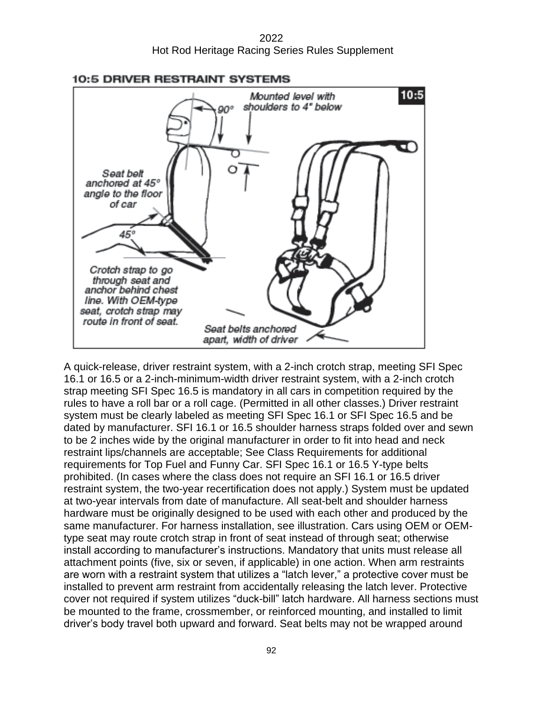2022 Hot Rod Heritage Racing Series Rules Supplement



#### **10:5 DRIVER RESTRAINT SYSTEMS**

A quick-release, driver restraint system, with a 2-inch crotch strap, meeting SFI Spec 16.1 or 16.5 or a 2-inch-minimum-width driver restraint system, with a 2-inch crotch strap meeting SFI Spec 16.5 is mandatory in all cars in competition required by the rules to have a roll bar or a roll cage. (Permitted in all other classes.) Driver restraint system must be clearly labeled as meeting SFI Spec 16.1 or SFI Spec 16.5 and be dated by manufacturer. SFI 16.1 or 16.5 shoulder harness straps folded over and sewn to be 2 inches wide by the original manufacturer in order to fit into head and neck restraint lips/channels are acceptable; See Class Requirements for additional requirements for Top Fuel and Funny Car. SFI Spec 16.1 or 16.5 Y-type belts prohibited. (In cases where the class does not require an SFI 16.1 or 16.5 driver restraint system, the two-year recertification does not apply.) System must be updated at two-year intervals from date of manufacture. All seat-belt and shoulder harness hardware must be originally designed to be used with each other and produced by the same manufacturer. For harness installation, see illustration. Cars using OEM or OEMtype seat may route crotch strap in front of seat instead of through seat; otherwise install according to manufacturer's instructions. Mandatory that units must release all attachment points (five, six or seven, if applicable) in one action. When arm restraints are worn with a restraint system that utilizes a "latch lever," a protective cover must be installed to prevent arm restraint from accidentally releasing the latch lever. Protective cover not required if system utilizes "duck-bill" latch hardware. All harness sections must be mounted to the frame, crossmember, or reinforced mounting, and installed to limit driver's body travel both upward and forward. Seat belts may not be wrapped around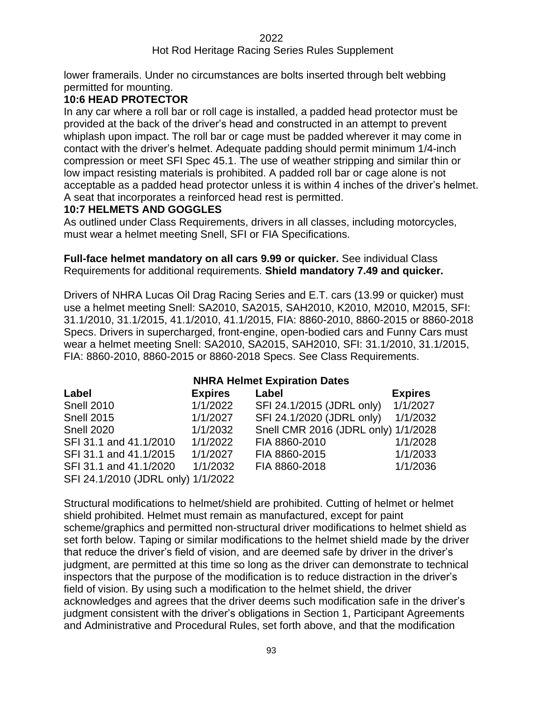# Hot Rod Heritage Racing Series Rules Supplement

lower framerails. Under no circumstances are bolts inserted through belt webbing permitted for mounting.

# **10:6 HEAD PROTECTOR**

In any car where a roll bar or roll cage is installed, a padded head protector must be provided at the back of the driver's head and constructed in an attempt to prevent whiplash upon impact. The roll bar or cage must be padded wherever it may come in contact with the driver's helmet. Adequate padding should permit minimum 1/4-inch compression or meet SFI Spec 45.1. The use of weather stripping and similar thin or low impact resisting materials is prohibited. A padded roll bar or cage alone is not acceptable as a padded head protector unless it is within 4 inches of the driver's helmet. A seat that incorporates a reinforced head rest is permitted.

# **10:7 HELMETS AND GOGGLES**

As outlined under Class Requirements, drivers in all classes, including motorcycles, must wear a helmet meeting Snell, SFI or FIA Specifications.

#### **Full-face helmet mandatory on all cars 9.99 or quicker.** See individual Class Requirements for additional requirements. **Shield mandatory 7.49 and quicker.**

Drivers of NHRA Lucas Oil Drag Racing Series and E.T. cars (13.99 or quicker) must use a helmet meeting Snell: SA2010, SA2015, SAH2010, K2010, M2010, M2015, SFI: 31.1/2010, 31.1/2015, 41.1/2010, 41.1/2015, FIA: 8860-2010, 8860-2015 or 8860-2018 Specs. Drivers in supercharged, front-engine, open-bodied cars and Funny Cars must wear a helmet meeting Snell: SA2010, SA2015, SAH2010, SFI: 31.1/2010, 31.1/2015, FIA: 8860-2010, 8860-2015 or 8860-2018 Specs. See Class Requirements.

| <b>NHRA Helmet Expiration Dates</b> |                |                                     |                |  |
|-------------------------------------|----------------|-------------------------------------|----------------|--|
| Label                               | <b>Expires</b> | Label                               | <b>Expires</b> |  |
| <b>Snell 2010</b>                   | 1/1/2022       | SFI 24.1/2015 (JDRL only)           | 1/1/2027       |  |
| <b>Snell 2015</b>                   | 1/1/2027       | SFI 24.1/2020 (JDRL only)           | 1/1/2032       |  |
| <b>Snell 2020</b>                   | 1/1/2032       | Snell CMR 2016 (JDRL only) 1/1/2028 |                |  |
| SFI 31.1 and 41.1/2010              | 1/1/2022       | FIA 8860-2010                       | 1/1/2028       |  |
| SFI 31.1 and 41.1/2015              | 1/1/2027       | FIA 8860-2015                       | 1/1/2033       |  |
| SFI 31.1 and 41.1/2020              | 1/1/2032       | FIA 8860-2018                       | 1/1/2036       |  |
| SFI 24.1/2010 (JDRL only) 1/1/2022  |                |                                     |                |  |

Structural modifications to helmet/shield are prohibited. Cutting of helmet or helmet shield prohibited. Helmet must remain as manufactured, except for paint scheme/graphics and permitted non-structural driver modifications to helmet shield as set forth below. Taping or similar modifications to the helmet shield made by the driver that reduce the driver's field of vision, and are deemed safe by driver in the driver's judgment, are permitted at this time so long as the driver can demonstrate to technical inspectors that the purpose of the modification is to reduce distraction in the driver's field of vision. By using such a modification to the helmet shield, the driver acknowledges and agrees that the driver deems such modification safe in the driver's judgment consistent with the driver's obligations in Section 1, Participant Agreements and Administrative and Procedural Rules, set forth above, and that the modification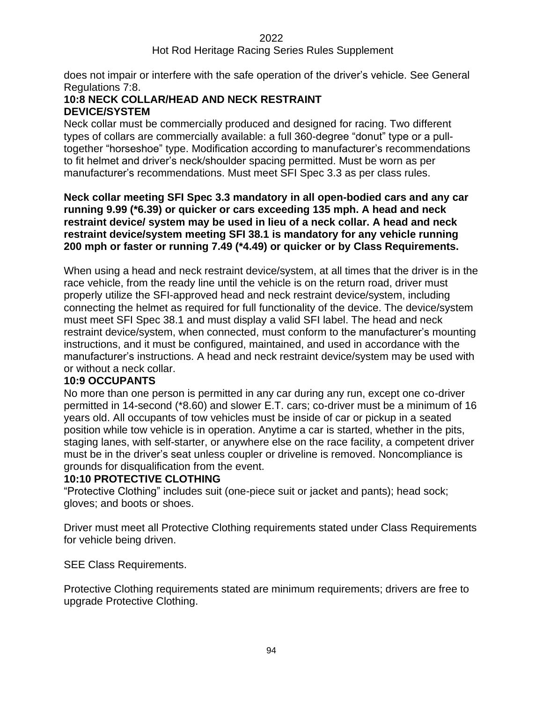### Hot Rod Heritage Racing Series Rules Supplement

does not impair or interfere with the safe operation of the driver's vehicle. See General Regulations 7:8.

### **10:8 NECK COLLAR/HEAD AND NECK RESTRAINT DEVICE/SYSTEM**

Neck collar must be commercially produced and designed for racing. Two different types of collars are commercially available: a full 360-degree "donut" type or a pulltogether "horseshoe" type. Modification according to manufacturer's recommendations to fit helmet and driver's neck/shoulder spacing permitted. Must be worn as per manufacturer's recommendations. Must meet SFI Spec 3.3 as per class rules.

**Neck collar meeting SFI Spec 3.3 mandatory in all open-bodied cars and any car running 9.99 (\*6.39) or quicker or cars exceeding 135 mph. A head and neck restraint device/ system may be used in lieu of a neck collar. A head and neck restraint device/system meeting SFI 38.1 is mandatory for any vehicle running 200 mph or faster or running 7.49 (\*4.49) or quicker or by Class Requirements.**

When using a head and neck restraint device/system, at all times that the driver is in the race vehicle, from the ready line until the vehicle is on the return road, driver must properly utilize the SFI-approved head and neck restraint device/system, including connecting the helmet as required for full functionality of the device. The device/system must meet SFI Spec 38.1 and must display a valid SFI label. The head and neck restraint device/system, when connected, must conform to the manufacturer's mounting instructions, and it must be configured, maintained, and used in accordance with the manufacturer's instructions. A head and neck restraint device/system may be used with or without a neck collar.

#### **10:9 OCCUPANTS**

No more than one person is permitted in any car during any run, except one co-driver permitted in 14-second (\*8.60) and slower E.T. cars; co-driver must be a minimum of 16 years old. All occupants of tow vehicles must be inside of car or pickup in a seated position while tow vehicle is in operation. Anytime a car is started, whether in the pits, staging lanes, with self-starter, or anywhere else on the race facility, a competent driver must be in the driver's seat unless coupler or driveline is removed. Noncompliance is grounds for disqualification from the event.

#### **10:10 PROTECTIVE CLOTHING**

"Protective Clothing" includes suit (one-piece suit or jacket and pants); head sock; gloves; and boots or shoes.

Driver must meet all Protective Clothing requirements stated under Class Requirements for vehicle being driven.

SEE Class Requirements.

Protective Clothing requirements stated are minimum requirements; drivers are free to upgrade Protective Clothing.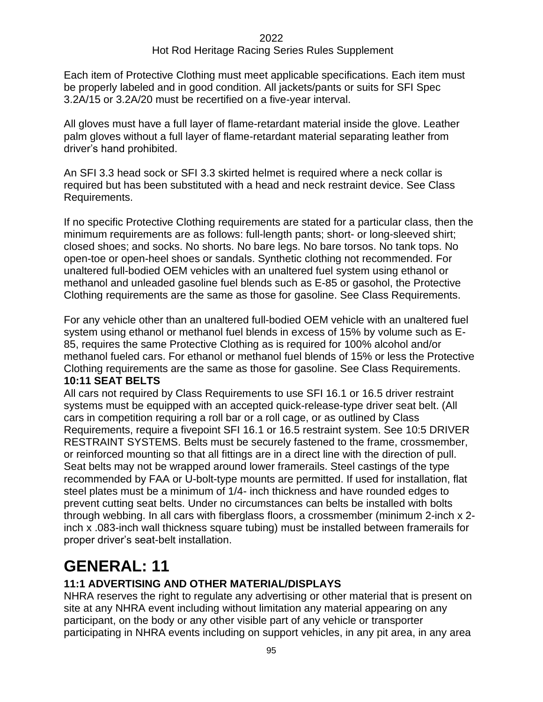Each item of Protective Clothing must meet applicable specifications. Each item must be properly labeled and in good condition. All jackets/pants or suits for SFI Spec 3.2A/15 or 3.2A/20 must be recertified on a five-year interval.

All gloves must have a full layer of flame-retardant material inside the glove. Leather palm gloves without a full layer of flame-retardant material separating leather from driver's hand prohibited.

An SFI 3.3 head sock or SFI 3.3 skirted helmet is required where a neck collar is required but has been substituted with a head and neck restraint device. See Class Requirements.

If no specific Protective Clothing requirements are stated for a particular class, then the minimum requirements are as follows: full-length pants; short- or long-sleeved shirt; closed shoes; and socks. No shorts. No bare legs. No bare torsos. No tank tops. No open-toe or open-heel shoes or sandals. Synthetic clothing not recommended. For unaltered full-bodied OEM vehicles with an unaltered fuel system using ethanol or methanol and unleaded gasoline fuel blends such as E-85 or gasohol, the Protective Clothing requirements are the same as those for gasoline. See Class Requirements.

For any vehicle other than an unaltered full-bodied OEM vehicle with an unaltered fuel system using ethanol or methanol fuel blends in excess of 15% by volume such as E-85, requires the same Protective Clothing as is required for 100% alcohol and/or methanol fueled cars. For ethanol or methanol fuel blends of 15% or less the Protective Clothing requirements are the same as those for gasoline. See Class Requirements. **10:11 SEAT BELTS**

#### All cars not required by Class Requirements to use SFI 16.1 or 16.5 driver restraint systems must be equipped with an accepted quick-release-type driver seat belt. (All cars in competition requiring a roll bar or a roll cage, or as outlined by Class Requirements, require a fivepoint SFI 16.1 or 16.5 restraint system. See 10:5 DRIVER RESTRAINT SYSTEMS. Belts must be securely fastened to the frame, crossmember, or reinforced mounting so that all fittings are in a direct line with the direction of pull. Seat belts may not be wrapped around lower framerails. Steel castings of the type recommended by FAA or U-bolt-type mounts are permitted. If used for installation, flat steel plates must be a minimum of 1/4- inch thickness and have rounded edges to prevent cutting seat belts. Under no circumstances can belts be installed with bolts through webbing. In all cars with fiberglass floors, a crossmember (minimum 2-inch x 2 inch x .083-inch wall thickness square tubing) must be installed between framerails for proper driver's seat-belt installation.

# **GENERAL: 11**

# **11:1 ADVERTISING AND OTHER MATERIAL/DISPLAYS**

NHRA reserves the right to regulate any advertising or other material that is present on site at any NHRA event including without limitation any material appearing on any participant, on the body or any other visible part of any vehicle or transporter participating in NHRA events including on support vehicles, in any pit area, in any area